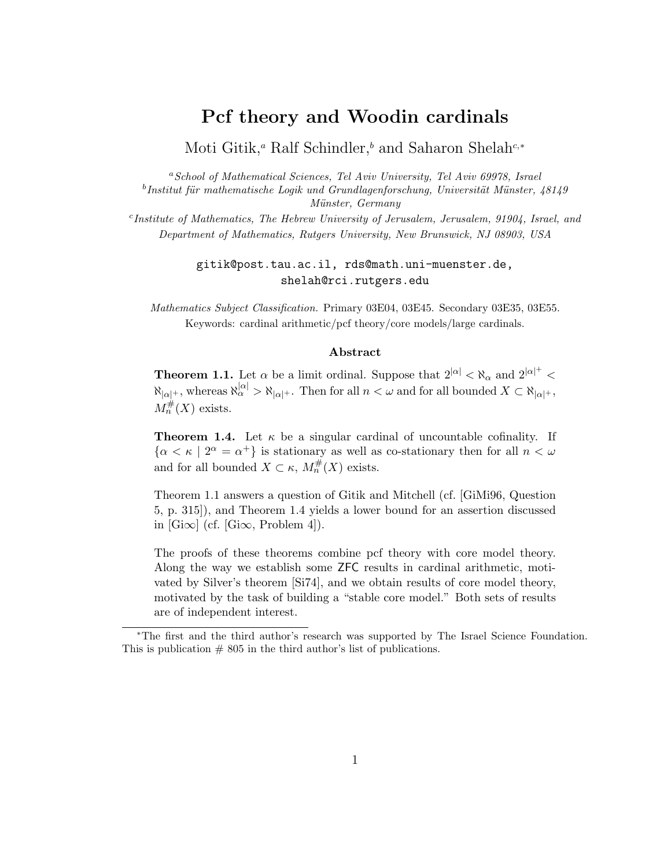## Pcf theory and Woodin cardinals

Moti Gitik,<sup>*a*</sup> Ralf Schindler,<sup>*b*</sup> and Saharon Shelah<sup>c,\*</sup>

<sup>a</sup>School of Mathematical Sciences, Tel Aviv University, Tel Aviv 69978, Israel  $^b$ Institut für mathematische Logik und Grundlagenforschung, Universität Münster, 48149 Münster, Germany

<sup>c</sup>Institute of Mathematics, The Hebrew University of Jerusalem, Jerusalem, 91904, Israel, and Department of Mathematics, Rutgers University, New Brunswick, NJ 08903, USA

#### gitik@post.tau.ac.il, rds@math.uni-muenster.de, shelah@rci.rutgers.edu

Mathematics Subject Classification. Primary 03E04, 03E45. Secondary 03E35, 03E55. Keywords: cardinal arithmetic/pcf theory/core models/large cardinals.

#### Abstract

**Theorem 1.1.** Let  $\alpha$  be a limit ordinal. Suppose that  $2^{|\alpha|} < \aleph_{\alpha}$  and  $2^{|\alpha|+} <$  $\aleph_{|\alpha|}$ , whereas  $\aleph_{|\alpha|}^{|\alpha|} > \aleph_{|\alpha|}$ . Then for all  $n < \omega$  and for all bounded  $X \subset \aleph_{|\alpha|}$ ,  $M_n^{\#}(X)$  exists.

**Theorem 1.4.** Let  $\kappa$  be a singular cardinal of uncountable cofinality. If  $\{\alpha < \kappa \mid 2^{\alpha} = \alpha^+\}\$ is stationary as well as co-stationary then for all  $n < \omega$ and for all bounded  $X \subset \kappa$ ,  $M_n^{\#}(X)$  exists.

Theorem 1.1 answers a question of Gitik and Mitchell (cf. [GiMi96, Question 5, p. 315]), and Theorem 1.4 yields a lower bound for an assertion discussed in  $[G\infty]$  (cf.  $[G\infty,$  Problem 4]).

The proofs of these theorems combine pcf theory with core model theory. Along the way we establish some ZFC results in cardinal arithmetic, motivated by Silver's theorem [Si74], and we obtain results of core model theory, motivated by the task of building a "stable core model." Both sets of results are of independent interest.

<sup>∗</sup>The first and the third author's research was supported by The Israel Science Foundation. This is publication  $# 805$  in the third author's list of publications.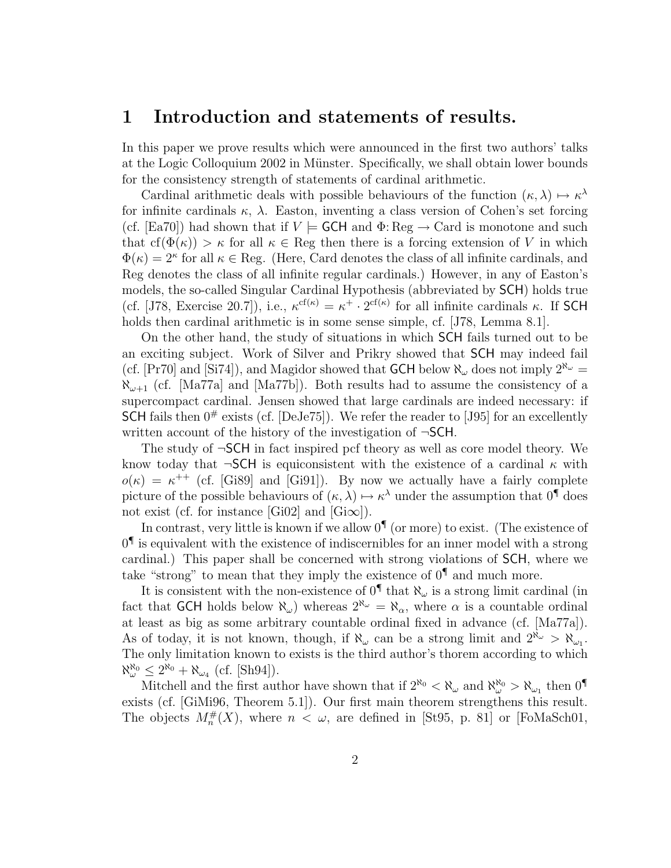### 1 Introduction and statements of results.

In this paper we prove results which were announced in the first two authors' talks at the Logic Colloquium 2002 in Münster. Specifically, we shall obtain lower bounds for the consistency strength of statements of cardinal arithmetic.

Cardinal arithmetic deals with possible behaviours of the function  $(\kappa, \lambda) \mapsto \kappa^{\lambda}$ for infinite cardinals  $\kappa$ ,  $\lambda$ . Easton, inventing a class version of Cohen's set forcing (cf. [Ea70]) had shown that if  $V \models$  GCH and  $\Phi$ : Reg  $\rightarrow$  Card is monotone and such that  $cf(\Phi(\kappa)) > \kappa$  for all  $\kappa \in \text{Reg}$  then there is a forcing extension of V in which  $\Phi(\kappa) = 2^{\kappa}$  for all  $\kappa \in \text{Reg.}$  (Here, Card denotes the class of all infinite cardinals, and Reg denotes the class of all infinite regular cardinals.) However, in any of Easton's models, the so-called Singular Cardinal Hypothesis (abbreviated by SCH) holds true (cf. [J78, Exercise 20.7]), i.e.,  $\kappa^{cf(\kappa)} = \kappa^+ \cdot 2^{cf(\kappa)}$  for all infinite cardinals  $\kappa$ . If SCH holds then cardinal arithmetic is in some sense simple, cf. [J78, Lemma 8.1].

On the other hand, the study of situations in which SCH fails turned out to be an exciting subject. Work of Silver and Prikry showed that SCH may indeed fail (cf. [Pr70] and [Si74]), and Magidor showed that **GCH** below  $\aleph_{\omega}$  does not imply  $2^{\aleph_{\omega}}$  =  $\aleph_{\omega+1}$  (cf. [Ma77a] and [Ma77b]). Both results had to assume the consistency of a supercompact cardinal. Jensen showed that large cardinals are indeed necessary: if SCH fails then  $0^{\#}$  exists (cf. [DeJe75]). We refer the reader to [J95] for an excellently written account of the history of the investigation of ¬SCH.

The study of ¬SCH in fact inspired pcf theory as well as core model theory. We know today that  $\neg\nSCH$  is equiconsistent with the existence of a cardinal  $\kappa$  with  $o(\kappa) = \kappa^{++}$  (cf. [Gi89] and [Gi91]). By now we actually have a fairly complete picture of the possible behaviours of  $(\kappa, \lambda) \mapsto \kappa^{\lambda}$  under the assumption that  $0^{\P}$  does not exist (cf. for instance [Gi02] and [Gi $\infty$ ]).

In contrast, very little is known if we allow  $0^{\P}$  (or more) to exist. (The existence of  $0<sup>9</sup>$  is equivalent with the existence of indiscernibles for an inner model with a strong cardinal.) This paper shall be concerned with strong violations of SCH, where we take "strong" to mean that they imply the existence of  $0^{\P}$  and much more.

It is consistent with the non-existence of  $0^{\P}$  that  $\aleph_{\omega}$  is a strong limit cardinal (in fact that GCH holds below  $\aleph_{\omega}$ ) whereas  $2^{\aleph_{\omega}} = \aleph_{\alpha}$ , where  $\alpha$  is a countable ordinal at least as big as some arbitrary countable ordinal fixed in advance (cf. [Ma77a]). As of today, it is not known, though, if  $\aleph_{\omega}$  can be a strong limit and  $2^{\aleph_{\omega}} > \aleph_{\omega_1}$ . The only limitation known to exists is the third author's thorem according to which  $\aleph_{\omega}^{\aleph_0} \leq 2^{\aleph_0} + \aleph_{\omega_4}$  (cf. [Sh94]).

Mitchell and the first author have shown that if  $2^{\aleph_0} < \aleph_\omega$  and  $\aleph_\omega^{\aleph_0} > \aleph_{\omega_1}$  then  $0^{\P}$ exists (cf. [GiMi96, Theorem 5.1]). Our first main theorem strengthens this result. The objects  $M_n^{\#}(X)$ , where  $n < \omega$ , are defined in [St95, p. 81] or [FoMaSch01,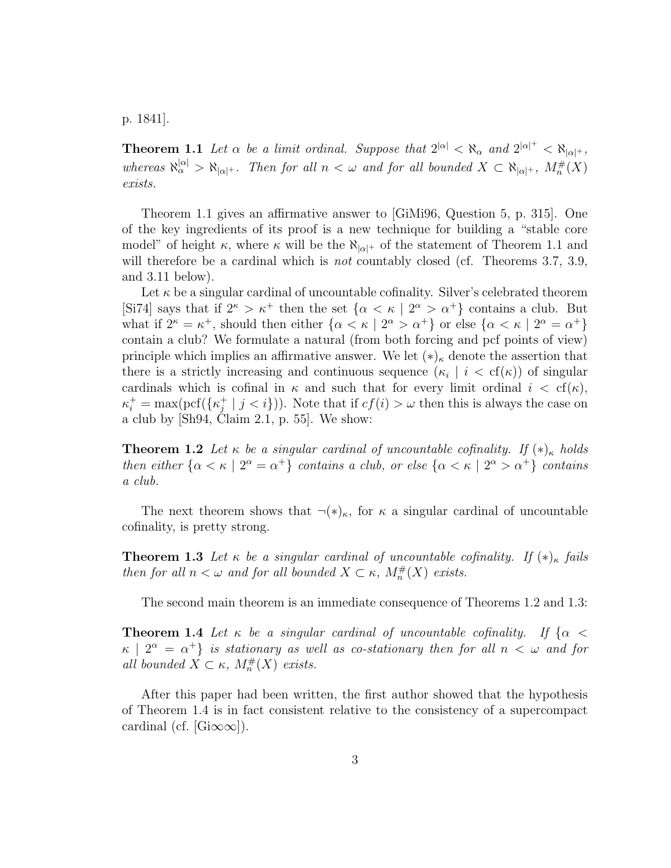p. 1841].

**Theorem 1.1** Let  $\alpha$  be a limit ordinal. Suppose that  $2^{|\alpha|} < \aleph_{\alpha}$  and  $2^{|\alpha|^+} < \aleph_{|\alpha|^+}$ , whereas  $\aleph_{\alpha}^{|\alpha|} > \aleph_{|\alpha|+}$ . Then for all  $n < \omega$  and for all bounded  $X \subset \aleph_{|\alpha|+}$ ,  $M_n^{\#}(X)$ exists.

Theorem 1.1 gives an affirmative answer to [GiMi96, Question 5, p. 315]. One of the key ingredients of its proof is a new technique for building a "stable core model" of height  $\kappa$ , where  $\kappa$  will be the  $\aleph_{|\alpha|+}$  of the statement of Theorem 1.1 and will therefore be a cardinal which is *not* countably closed (cf. Theorems 3.7, 3.9, and 3.11 below).

Let  $\kappa$  be a singular cardinal of uncountable cofinality. Silver's celebrated theorem [Si74] says that if  $2^{\kappa} > \kappa^+$  then the set  $\{\alpha < \kappa \mid 2^{\alpha} > \alpha^+\}$  contains a club. But what if  $2^{\kappa} = \kappa^+$ , should then either  $\{\alpha < \kappa \mid 2^{\alpha} > \alpha^+\}$  or else  $\{\alpha < \kappa \mid 2^{\alpha} = \alpha^+\}$ contain a club? We formulate a natural (from both forcing and pcf points of view) principle which implies an affirmative answer. We let  $(*)_\kappa$  denote the assertion that there is a strictly increasing and continuous sequence  $(\kappa_i \mid i < \text{cf}(\kappa))$  of singular cardinals which is cofinal in  $\kappa$  and such that for every limit ordinal  $i < \text{cf}(\kappa)$ ,  $\kappa_i^+ = \max(\text{pcf}(\{\kappa_j^+\})$  $j^+$  |  $j < i$ }). Note that if  $cf(i) > \omega$  then this is always the case on a club by [Sh94, Claim 2.1, p. 55]. We show:

**Theorem 1.2** Let  $\kappa$  be a singular cardinal of uncountable cofinality. If  $(\ast)_{\kappa}$  holds then either  $\{\alpha < \kappa \mid 2^{\alpha} = \alpha^+\}$  contains a club, or else  $\{\alpha < \kappa \mid 2^{\alpha} > \alpha^+\}$  contains a club.

The next theorem shows that  $\neg(\ast)_{\kappa}$ , for  $\kappa$  a singular cardinal of uncountable cofinality, is pretty strong.

**Theorem 1.3** Let  $\kappa$  be a singular cardinal of uncountable cofinality. If  $(*)_{\kappa}$  fails then for all  $n < \omega$  and for all bounded  $X \subset \kappa$ ,  $M_n^{\#}(X)$  exists.

The second main theorem is an immediate consequence of Theorems 1.2 and 1.3:

**Theorem 1.4** Let  $\kappa$  be a singular cardinal of uncountable cofinality. If  $\{\alpha$  $\kappa$  |  $2^{\alpha}$  =  $\alpha^{+}$ } is stationary as well as co-stationary then for all  $n < \omega$  and for all bounded  $X \subset \kappa$ ,  $M_n^{\#}(X)$  exists.

After this paper had been written, the first author showed that the hypothesis of Theorem 1.4 is in fact consistent relative to the consistency of a supercompact cardinal (cf. [Gi $\infty\infty$ ]).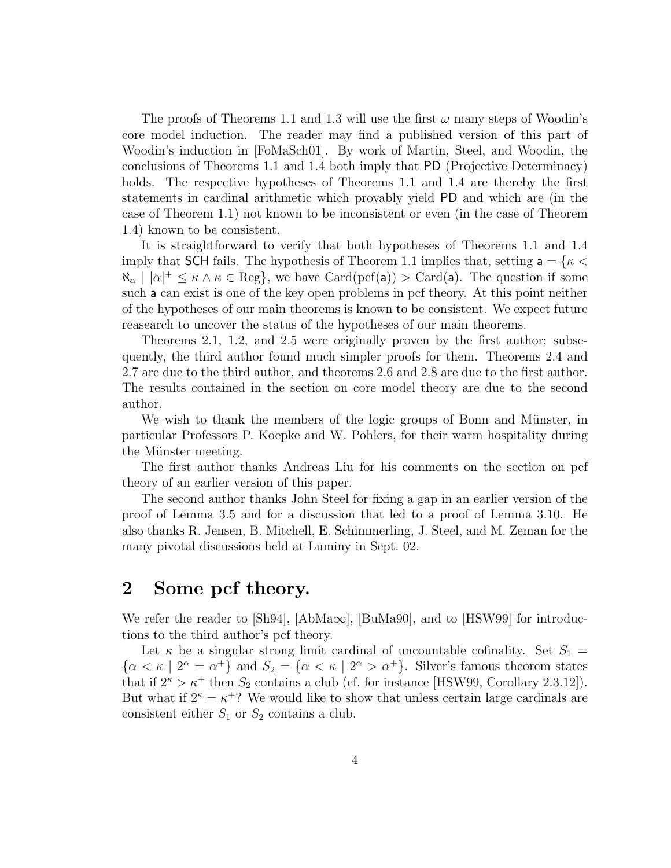The proofs of Theorems 1.1 and 1.3 will use the first  $\omega$  many steps of Woodin's core model induction. The reader may find a published version of this part of Woodin's induction in [FoMaSch01]. By work of Martin, Steel, and Woodin, the conclusions of Theorems 1.1 and 1.4 both imply that PD (Projective Determinacy) holds. The respective hypotheses of Theorems 1.1 and 1.4 are thereby the first statements in cardinal arithmetic which provably yield PD and which are (in the case of Theorem 1.1) not known to be inconsistent or even (in the case of Theorem 1.4) known to be consistent.

It is straightforward to verify that both hypotheses of Theorems 1.1 and 1.4 imply that SCH fails. The hypothesis of Theorem 1.1 implies that, setting  $a = \{\kappa \leq \mathcal{L}\}$  $\aleph_{\alpha} \mid |\alpha|^+ \leq \kappa \wedge \kappa \in \text{Reg}\},\$  we have  $\text{Card}(\text{pcf}(a)) > \text{Card}(a).$  The question if some such a can exist is one of the key open problems in pcf theory. At this point neither of the hypotheses of our main theorems is known to be consistent. We expect future reasearch to uncover the status of the hypotheses of our main theorems.

Theorems 2.1, 1.2, and 2.5 were originally proven by the first author; subsequently, the third author found much simpler proofs for them. Theorems 2.4 and 2.7 are due to the third author, and theorems 2.6 and 2.8 are due to the first author. The results contained in the section on core model theory are due to the second author.

We wish to thank the members of the logic groups of Bonn and Münster, in particular Professors P. Koepke and W. Pohlers, for their warm hospitality during the Münster meeting.

The first author thanks Andreas Liu for his comments on the section on pcf theory of an earlier version of this paper.

The second author thanks John Steel for fixing a gap in an earlier version of the proof of Lemma 3.5 and for a discussion that led to a proof of Lemma 3.10. He also thanks R. Jensen, B. Mitchell, E. Schimmerling, J. Steel, and M. Zeman for the many pivotal discussions held at Luminy in Sept. 02.

## 2 Some pcf theory.

We refer the reader to  $|\text{Sh94}|$ ,  $|\text{AbM}a\infty|$ ,  $|\text{BuMa90}|$ , and to  $|\text{HSV99}|$  for introductions to the third author's pcf theory.

Let  $\kappa$  be a singular strong limit cardinal of uncountable cofinality. Set  $S_1 =$  $\{\alpha < \kappa \mid 2^{\alpha} = \alpha^+\}\$ and  $S_2 = \{\alpha < \kappa \mid 2^{\alpha} > \alpha^+\}\$ . Silver's famous theorem states that if  $2^{\kappa} > \kappa^+$  then  $S_2$  contains a club (cf. for instance [HSW99, Corollary 2.3.12]). But what if  $2^{\kappa} = \kappa^{+}$ ? We would like to show that unless certain large cardinals are consistent either  $S_1$  or  $S_2$  contains a club.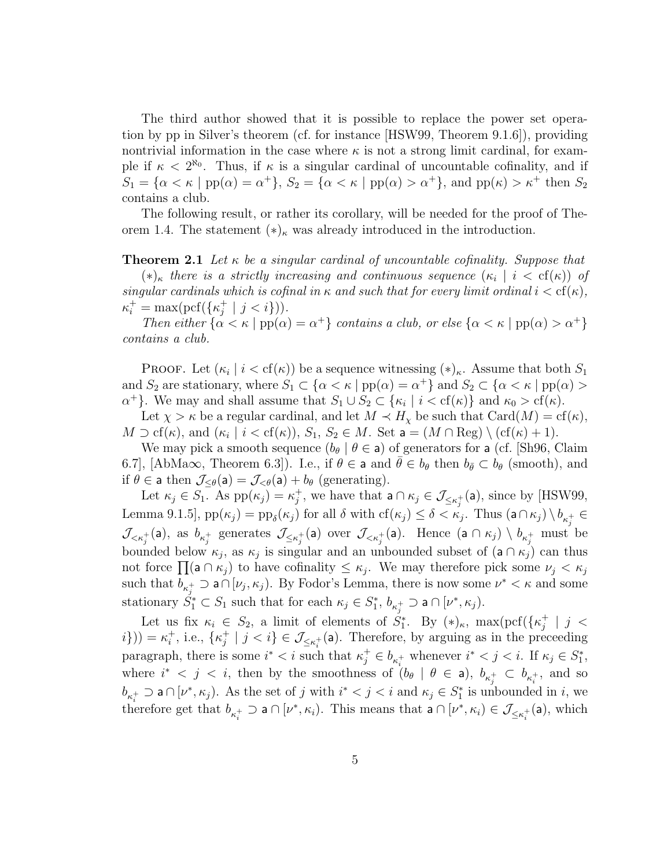The third author showed that it is possible to replace the power set operation by pp in Silver's theorem (cf. for instance [HSW99, Theorem 9.1.6]), providing nontrivial information in the case where  $\kappa$  is not a strong limit cardinal, for example if  $\kappa < 2^{\aleph_0}$ . Thus, if  $\kappa$  is a singular cardinal of uncountable cofinality, and if  $S_1 = {\alpha < \kappa \mid pp(\alpha) = \alpha^+}, S_2 = {\alpha < \kappa \mid pp(\alpha) > \alpha^+}, \text{ and } pp(\kappa) > \kappa^+ \text{ then } S_2$ contains a club.

The following result, or rather its corollary, will be needed for the proof of Theorem 1.4. The statement  $(*)_\kappa$  was already introduced in the introduction.

**Theorem 2.1** Let  $\kappa$  be a singular cardinal of uncountable cofinality. Suppose that

 $(*)_\kappa$  there is a strictly increasing and continuous sequence  $(\kappa_i \mid i < \text{cf}(\kappa))$  of singular cardinals which is cofinal in  $\kappa$  and such that for every limit ordinal  $i < cf(\kappa)$ ,  $\kappa_i^+ = \max(\text{pcf}(\{\kappa_j^+\})$  $j^+ | j < i \})$ ).

Then either  $\{\alpha < \kappa \mid pp(\alpha) = \alpha^+\}$  contains a club, or else  $\{\alpha < \kappa \mid pp(\alpha) > \alpha^+\}$ contains a club.

**PROOF.** Let  $(\kappa_i \mid i < \text{cf}(\kappa))$  be a sequence witnessing  $(\ast)_{\kappa}$ . Assume that both  $S_1$ and  $S_2$  are stationary, where  $S_1 \subset \{\alpha < \kappa \mid pp(\alpha) = \alpha^+\}$  and  $S_2 \subset \{\alpha < \kappa \mid pp(\alpha) > \alpha^+\}$  $\alpha^+$ . We may and shall assume that  $S_1 \cup S_2 \subset \{\kappa_i \mid i < \text{cf}(\kappa)\}\$ and  $\kappa_0 > \text{cf}(\kappa)$ .

Let  $\chi > \kappa$  be a regular cardinal, and let  $M \prec H_{\chi}$  be such that  $Card(M) = cf(\kappa)$ ,  $M \supset \text{cf}(\kappa)$ , and  $(\kappa_i \mid i < \text{cf}(\kappa))$ ,  $S_1, S_2 \in M$ . Set  $\mathsf{a} = (M \cap \text{Reg}) \setminus (\text{cf}(\kappa) + 1)$ .

We may pick a smooth sequence  $(b_{\theta} | \theta \in \mathsf{a})$  of generators for a (cf. [Sh96, Claim 6.7], [AbMa $\infty$ , Theorem 6.3]). I.e., if  $\theta \in \mathsf{a}$  and  $\bar{\theta} \in b_{\theta}$  then  $b_{\bar{\theta}} \subset b_{\theta}$  (smooth), and if  $\theta \in \mathsf{a}$  then  $\mathcal{J}_{\leq \theta}(\mathsf{a}) = \mathcal{J}_{\leq \theta}(\mathsf{a}) + b_{\theta}$  (generating).

Let  $\kappa_j \in S_1$ . As  $pp(\kappa_j) = \kappa_j^+$  $j^+$ , we have that  $a \cap \kappa_j \in \mathcal{J}_{\leq \kappa_j^+}(a)$ , since by [HSW99, Lemma 9.1.5],  $pp(\kappa_j) = pp_\delta(\kappa_j)$  for all  $\delta$  with  $cf(\kappa_j) \leq \delta < \kappa_j$ . Thus  $(a \cap \kappa_j) \setminus b_{\kappa_j^+} \in$  $\mathcal{J}_{\leq\kappa_j^+}(\mathsf{a})$ , as  $b_{\kappa_j^+}$  generates  $\mathcal{J}_{\leq\kappa_j^+}(\mathsf{a})$  over  $\mathcal{J}_{\leq\kappa_j^+}(\mathsf{a})$ . Hence  $(\mathsf{a}\cap\kappa_j)\setminus b_{\kappa_j^+}$  must be bounded below  $\kappa_j$ , as  $\kappa_j$  is singular and an unbounded subset of  $(a \cap \kappa_j)$  can thus bounded below  $\kappa_j$ , as  $\kappa_j$  is singular and an unbounded subset of  $(a \cap \kappa_j)$  can thus<br>not force  $\prod(a \cap \kappa_j)$  to have cofinality  $\leq \kappa_j$ . We may therefore pick some  $\nu_j < \kappa_j$ such that  $b_{\kappa_j^+} \supset a \cap [\nu_j, \kappa_j)$ . By Fodor's Lemma, there is now some  $\nu^* < \kappa$  and some stationary  $\check{S}_1^* \subset S_1$  such that for each  $\kappa_j \in S_1^*$ ,  $b_{\kappa_j^+} \supset \mathsf{a} \cap [\nu^*, \kappa_j)$ .

Let us fix  $\kappa_i \in S_2$ , a limit of elements of  $S_1^*$ . By  $(\ast)_\kappa$ , max $(\text{pcf}(\{\kappa_j^+\})$  $\frac{+}{j}$  |  $j$  <  $i\})$  =  $\kappa_i^+$  $i^+$ , i.e.,  $\{\kappa_j^+$  $j \nmid j < i$   $\in \mathcal{J}_{\leq \kappa_i^{+}}(\mathsf{a})$ . Therefore, by arguing as in the preceeding paragraph, there is some  $i^* < i$  such that  $\kappa_j^+ \in b_{\kappa_i^+}$  whenever  $i^* < j < i$ . If  $\kappa_j \in S_1^*$ , where  $i^* < j < i$ , then by the smoothness of  $(b_{\theta} \mid \theta \in a)$ ,  $b_{\kappa_i^+} \subset b_{\kappa_i^+}$ , and so  $b_{\kappa_i^+} \supset \mathsf{a} \cap [\nu^*, \kappa_j]$ . As the set of j with  $i^* < j < i$  and  $\kappa_j \in S_1^*$  is unbounded in i, we therefore get that  $b_{\kappa_i^+} \supset a \cap [\nu^*, \kappa_i]$ . This means that  $a \cap [\nu^*, \kappa_i) \in \mathcal{J}_{\leq \kappa_i^+}(a)$ , which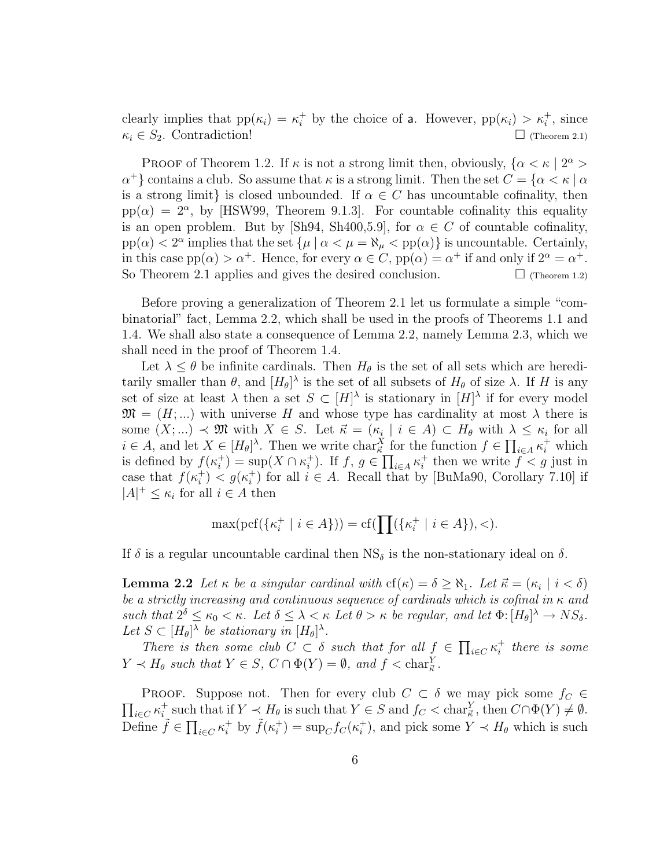clearly implies that  $pp(\kappa_i) = \kappa_i^+$  by the choice of a. However,  $pp(\kappa_i) > \kappa_i^+$ , since  $\kappa_i \in S_2$ . Contradiction!  $\Box$  (Theorem 2.1)

PROOF of Theorem 1.2. If  $\kappa$  is not a strong limit then, obviously,  $\{\alpha < \kappa \mid 2^{\alpha} > \kappa\}$  $\alpha^+$ } contains a club. So assume that  $\kappa$  is a strong limit. Then the set  $C = \{\alpha < \kappa \mid \alpha\}$ is a strong limit} is closed unbounded. If  $\alpha \in C$  has uncountable cofinality, then  $pp(\alpha) = 2^{\alpha}$ , by [HSW99, Theorem 9.1.3]. For countable cofinality this equality is an open problem. But by [Sh94, Sh400,5.9], for  $\alpha \in C$  of countable cofinality,  $pp(\alpha) < 2^{\alpha}$  implies that the set  $\{\mu \mid \alpha < \mu = \aleph_{\mu} < pp(\alpha)\}\$  is uncountable. Certainly, in this case  $pp(\alpha) > \alpha^+$ . Hence, for every  $\alpha \in C$ ,  $pp(\alpha) = \alpha^+$  if and only if  $2^{\alpha} = \alpha^+$ . So Theorem 2.1 applies and gives the desired conclusion.  $\Box$  (Theorem 1.2)

Before proving a generalization of Theorem 2.1 let us formulate a simple "combinatorial" fact, Lemma 2.2, which shall be used in the proofs of Theorems 1.1 and 1.4. We shall also state a consequence of Lemma 2.2, namely Lemma 2.3, which we shall need in the proof of Theorem 1.4.

Let  $\lambda \leq \theta$  be infinite cardinals. Then  $H_{\theta}$  is the set of all sets which are hereditarily smaller than  $\theta$ , and  $[H_{\theta}]^{\lambda}$  is the set of all subsets of  $H_{\theta}$  of size  $\lambda$ . If H is any set of size at least  $\lambda$  then a set  $S \subset [H]^{\lambda}$  is stationary in  $[H]^{\lambda}$  if for every model  $\mathfrak{M} = (H; \dots)$  with universe H and whose type has cardinality at most  $\lambda$  there is some  $(X; ...) \prec \mathfrak{M}$  with  $X \in S$ . Let  $\vec{\kappa} = (\kappa_i \mid i \in A) \subset H_{\theta}$  with  $\lambda \leq \kappa_i$  for all  $i \in A$ , and let  $X \in [H_\theta]^\lambda$ . Then we write char $\frac{X}{\kappa}$  for the function  $f \in \prod_{i \in A} \kappa_i^+$  which is defined by  $f(\kappa_i^+$  $\chi_i^+$ ) = sup( $X \cap \kappa_i^+$ <sup>+</sup>). If  $f, g \in \prod_{i \in A} \kappa_i^+$ <sup> $+$ </sup> then we write  $f < g$  just in case that  $f(\kappa_i^+$  $\binom{+}{i} < g(\kappa_i^+)$ <sup>+</sup>) for all  $i \in A$ . Recall that by [BuMa90, Corollary 7.10] if  $|A|^+\leq \kappa_i$  for all  $i\in A$  then

$$
\max(\mathrm{pcf}(\{\kappa_i^+ \mid i\in A\})) = \mathrm{cf}(\prod(\{\kappa_i^+ \mid i\in A\}), <).
$$

If  $\delta$  is a regular uncountable cardinal then  $NS_{\delta}$  is the non-stationary ideal on  $\delta$ .

**Lemma 2.2** Let  $\kappa$  be a singular cardinal with  $cf(\kappa) = \delta \ge \aleph_1$ . Let  $\vec{\kappa} = (\kappa_i \mid i < \delta)$ be a strictly increasing and continuous sequence of cardinals which is cofinal in  $\kappa$  and such that  $2^{\delta} \leq \kappa_0 < \kappa$ . Let  $\delta \leq \lambda < \kappa$  Let  $\theta > \kappa$  be regular, and let  $\Phi: [H_{\theta}]^{\lambda} \to NS_{\delta}$ . Let  $S \subset [H_\theta]^\lambda$  be stationary in  $[H_\theta]^\lambda$ .  $\overline{a}$ 

There is then some club  $C \subset \delta$  such that for all  $f \in$  $_{i\in C}\kappa_i^+$  $i<sub>i</sub>$  there is some  $Y \prec H_{\theta}$  such that  $Y \in S$ ,  $C \cap \Phi(Y) = \emptyset$ , and  $f < \text{char}_{\vec{\kappa}}^Y$ .

 $\overline{a}$ PROOF. Suppose not. Then for every club  $C \subset \delta$  we may pick some  $f_C \in$  $_{i\in C}\kappa_{i}^{+}$ <sup>+</sup> such that if  $Y \prec H_\theta$  is such that  $Y \in S$  and  $f_C < \text{char}_{\mathcal{K}}^Y$ , then  $C \cap \Phi(Y) \neq \emptyset$ . Define  $\tilde{f} \in \prod_{i \in C} \kappa_i^+$  by  $\tilde{f}(\kappa_i^+$ <sup>+</sup>) =  $\sup_C f_C(\kappa_i^+)$ <sup>+</sup>, and pick some  $Y \prec H_{\theta}$  which is such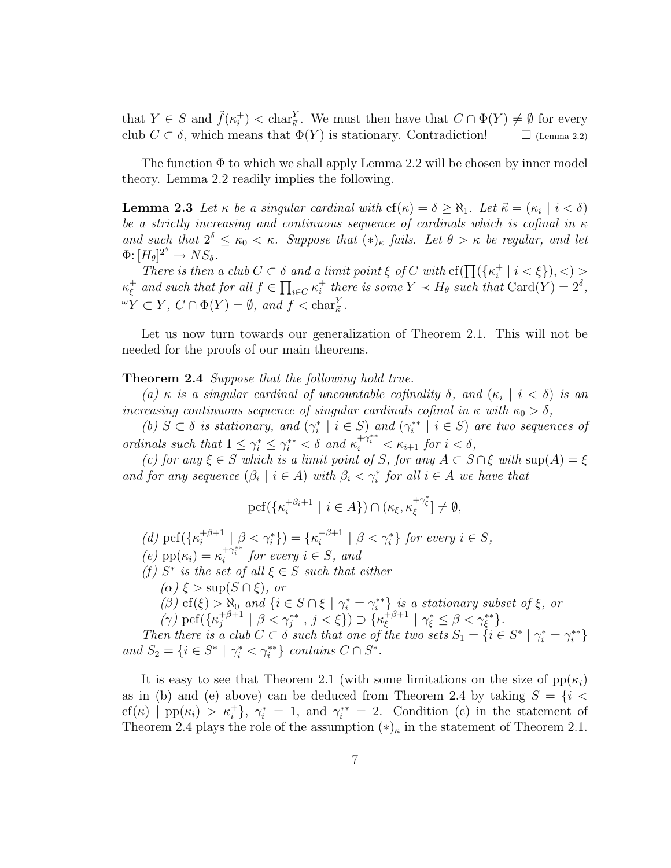that  $Y \in S$  and  $\tilde{f}(\kappa_i^+$  $\chi_i^+$   $\langle \text{char}_{\mathcal{K}}^Y$ . We must then have that  $C \cap \Phi(Y) \neq \emptyset$  for every club  $C \subset \delta$ , which means that  $\Phi(Y)$  is stationary. Contradiction!  $\Box$  (Lemma 2.2)

The function  $\Phi$  to which we shall apply Lemma 2.2 will be chosen by inner model theory. Lemma 2.2 readily implies the following.

**Lemma 2.3** Let  $\kappa$  be a singular cardinal with  $cf(\kappa) = \delta \ge \aleph_1$ . Let  $\vec{\kappa} = (\kappa_i \mid i < \delta)$ be a strictly increasing and continuous sequence of cardinals which is cofinal in  $\kappa$ and such that  $2^{\delta} \leq \kappa_0 < \kappa$ . Suppose that  $(*)_{\kappa}$  fails. Let  $\theta > \kappa$  be regular, and let  $\Phi: [H_{\theta}]^{2^{\delta}} \to NS_{\delta}.$ 

 $H_{\theta}$   $\to$   $N \beta_{\delta}$ .<br>There is then a club  $C \subset \delta$  and a limit point  $\xi$  of C with cf( $\prod (\{\kappa_i^+\})$  $\delta$  and a limit point  $\xi$  of C with  $cf(\prod({\{\kappa_i^+\mid i<\xi\}}),<)$  $\kappa_{\mathfrak{s}}^+$  $\frac{1}{\xi}$  and such that for all  $f \in \prod_{i \in C} \kappa_i^+$ <sup>+</sup> there is some  $Y \prec H_{\theta}$  such that  $\text{Card}(Y) = 2^{\delta}$ ,  ${}^{\omega}Y \subset Y$ ,  $C \cap \Phi(Y) = \emptyset$ , and  $f < \text{char}_{\mathcal{K}}^Y$ .

Let us now turn towards our generalization of Theorem 2.1. This will not be needed for the proofs of our main theorems.

#### **Theorem 2.4** Suppose that the following hold true.

(a)  $\kappa$  is a singular cardinal of uncountable cofinality  $\delta$ , and  $(\kappa_i \mid i < \delta)$  is an increasing continuous sequence of singular cardinals cofinal in  $\kappa$  with  $\kappa_0 > \delta$ ,

(b)  $S \subset \delta$  is stationary, and  $(\gamma_i^* \mid i \in S)$  and  $(\gamma_i^{**} \mid i \in S)$  are two sequences of ordinals such that  $1 \leq \gamma_i^* \leq \gamma_i^{**} < \delta$  and  $\kappa_i^{+\gamma_i^{**}} < \kappa_{i+1}$  for  $i < \delta$ ,

(c) for any  $\xi \in S$  which is a limit point of S, for any  $A \subset S \cap \xi$  with  $\sup(A) = \xi$ and for any sequence  $(\beta_i \mid i \in A)$  with  $\beta_i < \gamma_i^*$  for all  $i \in A$  we have that

$$
\mathrm{pcf}(\{\kappa_i^{+\beta_i+1}\ |\ i\in A\})\cap(\kappa_\xi,\kappa_\xi^{+\gamma_\xi^*}]\neq\emptyset,
$$

(d) pcf( $\{\kappa_i^{+\beta+1}$  $\binom{+\beta+1}{i} \mid \beta < \gamma_i^*$ ) = { $\kappa_i^{+\beta+1}$  $i^{+\beta+1}$  |  $\beta < \gamma_i^*$  for every  $i \in S$ , (e)  $pp(\kappa_i) = \kappa_i^{+\gamma_i^{**}}$  for every  $i \in S$ , and

(f)  $S^*$  is the set of all  $\xi \in S$  such that either

$$
(\alpha) \xi > \sup(S \cap \xi)
$$
, or

(β) cf(ξ) >  $\aleph_0$  and  $\{i \in S \cap \xi \mid \gamma_i^* = \gamma_i^{**}\}$  is a stationary subset of  $\xi$ , or  $(\gamma)$  pcf( $\{\kappa_i^{+\beta+1}$  $\left\{ \begin{array}{c} +\beta+1 \\ j \end{array} \right\} \left( \beta<\gamma_j^{**}\right), \ j<\xi\} \right) \supset \{\kappa_{\xi}^{+\beta+1}\}$  $\frac{1}{\xi}$  +  $\beta$  +  $1$   $\gamma_{\xi}^* \leq \beta < \gamma_{\xi}^{**}$  }.

Then there is a club  $C \subset \delta$  such that one of the two sets  $S_1 = \{i \in S^* \mid \gamma_i^* = \gamma_i^{**}\}$ and  $S_2 = \{i \in S^* \mid \gamma_i^* < \gamma_i^{**}\}\$ contains  $C \cap S^*$ .

It is easy to see that Theorem 2.1 (with some limitations on the size of  $pp(\kappa_i)$ ) as in (b) and (e) above) can be deduced from Theorem 2.4 by taking  $S = \{i \leq$ cf(k) | pp(k<sub>i</sub>) >  $\kappa_i^+$ },  $\gamma_i^* = 1$ , and  $\gamma_i^{**} = 2$ . Condition (c) in the statement of Theorem 2.4 plays the role of the assumption  $(*)_{\kappa}$  in the statement of Theorem 2.1.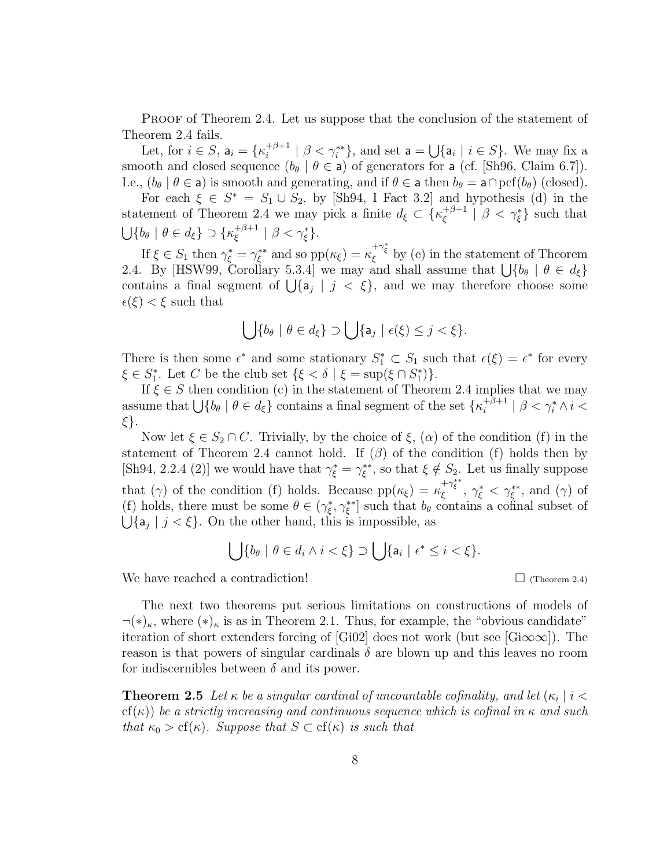PROOF of Theorem 2.4. Let us suppose that the conclusion of the statement of Theorem 2.4 fails. S

Let, for  $i \in S$ ,  $a_i = \{\kappa_i^{+\beta+1}\}$  $i^{+\beta+1}$  |  $\beta < \gamma_i^{**}$ }, and set a =  ${a_i \mid i \in S}$ . We may fix a smooth and closed sequence  $(b_{\theta} | \theta \in \mathsf{a})$  of generators for a (cf. [Sh96, Claim 6.7]). I.e.,  $(b_{\theta} | \theta \in \mathsf{a})$  is smooth and generating, and if  $\theta \in \mathsf{a}$  then  $b_{\theta} = \mathsf{a} \cap \mathrm{pcf}(b_{\theta})$  (closed).

For each  $\xi \in S^* = S_1 \cup S_2$ , by [Sh94, I Fact 3.2] and hypothesis (d) in the statement of Theorem 2.4 we may pick a finite  $d_{\xi} \subset \{\kappa_{\xi}^{+\beta+1}\}$  $\{\xi}^{+\beta+1} \mid \beta < \gamma_{\xi}^* \}$  such that  $\frac{50}{1}$  ${b_\theta \mid \theta \in d_\xi} \supset { \kappa_\xi^{+\beta+1}}$  $\frac{1}{\xi}^{\beta+1} | \beta < \gamma_{\xi}^* \}.$ 

If  $\xi \in S_1$  then  $\gamma_{\xi}^* = \gamma_{\xi}^{**}$  and so  $pp(\kappa_{\xi}) = \kappa_{\xi}^{+\gamma_{\xi}^*}$  by (e) in the statement of Theorem 2.4. By [HSW99, Corollary 5.3.4] we may and shall assume that  $\bigcup \{b_{\theta} \mid \theta \in d_{\xi}\}\$ 2.4. By [HSW99, Coronary 5.5.4] we may and shall assume that  $\bigcup \{o_\theta \mid \sigma \in a_\xi\}$  contains a final segment of  $\bigcup \{a_j \mid j \leq \xi\}$ , and we may therefore choose some  $\epsilon(\xi) < \xi$  such that

$$
\bigcup \{b_{\theta} \mid \theta \in d_{\xi}\} \supset \bigcup \{a_{j} \mid \epsilon(\xi) \leq j < \xi\}.
$$

There is then some  $\epsilon^*$  and some stationary  $S_1^* \subset S_1$  such that  $\epsilon(\xi) = \epsilon^*$  for every  $\xi \in S_1^*$ . Let C be the club set  $\{\xi < \delta \mid \xi = \sup(\xi \cap S_1^*)\}.$ 

If  $\xi \in S$  then condition (c) in the statement of Theorem 2.4 implies that we may  $\alpha \in S$  then condition (c) in the statement of Theorem 2.4 implies<br>assume that  $\bigcup \{b_\theta \mid \theta \in d_\xi\}$  contains a final segment of the set  $\{\kappa_i^{+\beta+1}\}$  $\frac{1}{i}^{\beta+1}$  |  $\beta < \gamma_i^* \wedge i <$ ξ}.

Now let  $\xi \in S_2 \cap C$ . Trivially, by the choice of  $\xi$ ,  $(\alpha)$  of the condition (f) in the statement of Theorem 2.4 cannot hold. If  $(\beta)$  of the condition (f) holds then by [Sh94, 2.2.4 (2)] we would have that  $\gamma_{\xi}^* = \gamma_{\xi}^{**}$ , so that  $\xi \notin S_2$ . Let us finally suppose that (γ) of the condition (f) holds. Because  $pp(\kappa_{\xi}) = \kappa_{\xi}^{+\gamma_{\xi}^{**}}, \gamma_{\xi}^{*} < \gamma_{\xi}^{**}$ , and (γ) of (f) holds, there must be some  $\theta \in (\gamma_{\xi}^*, \gamma_{\xi}^{**}]$  such that  $b_{\theta}$  contains a cofinal subset of  ${a_j | j < \xi}.$  On the other hand, this is impossible, as

$$
\bigcup \{b_{\theta} \mid \theta \in d_i \wedge i < \xi\} \supset \bigcup \{a_i \mid \epsilon^* \leq i < \xi\}.
$$

We have reached a contradiction!  $\Box$  (Theorem 2.4)

The next two theorems put serious limitations on constructions of models of  $\neg(\ast)_\kappa$ , where  $(\ast)_\kappa$  is as in Theorem 2.1. Thus, for example, the "obvious candidate" iteration of short extenders forcing of [Gi02] does not work (but see [Gi $\infty$  $\infty$ ]). The reason is that powers of singular cardinals  $\delta$  are blown up and this leaves no room for indiscernibles between  $\delta$  and its power.

**Theorem 2.5** Let  $\kappa$  be a singular cardinal of uncountable cofinality, and let  $(\kappa_i \mid i <$ cf(κ)) be a strictly increasing and continuous sequence which is cofinal in  $\kappa$  and such that  $\kappa_0 > cf(\kappa)$ . Suppose that  $S \subset cf(\kappa)$  is such that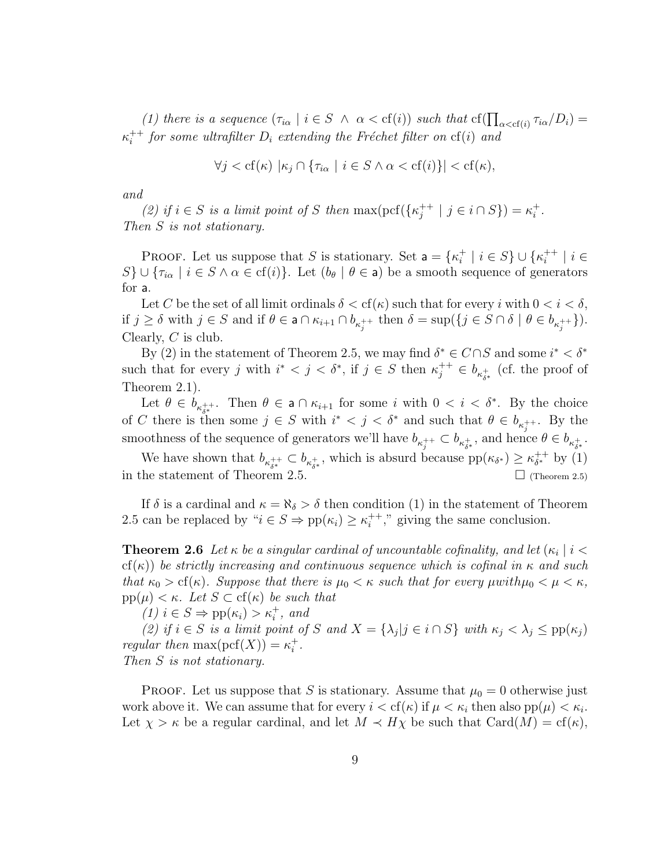(1) there is a sequence  $(\tau_{i\alpha} \mid i \in S \land \alpha < \text{cf}(i))$  such that  $\text{cf}(\prod_{\alpha < \text{cf}(i)} \tau_{i\alpha}/D_i) =$  $\kappa_i^{++}$  $i^{++}$  for some ultrafilter  $D_i$  extending the Fréchet filter on  $cf(i)$  and

$$
\forall j < \text{cf}(\kappa) \, \left| \kappa_j \cap \{\tau_{i\alpha} \mid i \in S \land \alpha < \text{cf}(i)\}\right| < \text{cf}(\kappa),
$$

and

(2) if  $i \in S$  is a limit point of S then max(pcf({ $\kappa_i^{++}$  $j^{++} | j \in i \cap S$ ) =  $\kappa_i^+$  $\frac{+}{i}$  . Then S is not stationary.

**PROOF.** Let us suppose that S is stationary. Set  $a = \{\kappa_i^+\}$  $\frac{1}{i} \mid i \in S$   $\cup$  { $\kappa_i^{++}$  $i^{++}$  |  $i \in$ S}  $\cup$  { $\tau_{i\alpha}$  |  $i \in S \land \alpha \in \text{cf}(i)$ }. Let  $(b_{\theta} \mid \theta \in \mathsf{a})$  be a smooth sequence of generators for a.

Let C be the set of all limit ordinals  $\delta < \text{cf}(\kappa)$  such that for every i with  $0 < i < \delta$ , if  $j \geq \delta$  with  $j \in S$  and if  $\theta \in \mathsf{a} \cap \kappa_{i+1} \cap b_{\kappa_i^+}$  then  $\delta = \sup\{\{j \in S \cap \delta \mid \theta \in b_{\kappa_i^+}+\}\}.$ Clearly, C is club.

By (2) in the statement of Theorem 2.5, we may find  $\delta^* \in C \cap S$  and some  $i^* < \delta^*$ such that for every j with  $i^* < j < \delta^*$ , if  $j \in S$  then  $\kappa_j^{++} \in b_{\kappa_{\delta^*}^+}$  (cf. the proof of Theorem 2.1).

Let  $\theta \in b_{\kappa_{\delta^*}^{++}}$ . Then  $\theta \in \mathsf{a} \cap \kappa_{i+1}$  for some i with  $0 < i < \delta^*$ . By the choice of C there is then some  $j \in S$  with  $i^* < j < \delta^*$  and such that  $\theta \in b_{\kappa_j^{++}}$ . By the smoothness of the sequence of generators we'll have  $b_{\kappa_j^{++}} \subset b_{\kappa_{\delta^*}^+}$ , and hence  $\theta \in b_{\kappa_{\delta^*}^+}$ .

We have shown that  $b_{\kappa_{\delta^*}^{++}} \subset b_{\kappa_{\delta^*}^+}$ , which is absurd because  $pp(\kappa_{\delta^*}) \geq \kappa_{\delta^*}^{++}$  $_{\delta^*}^{++}$  by (1) in the statement of Theorem 2.5.  $\Box$  (Theorem 2.5)

If  $\delta$  is a cardinal and  $\kappa = \aleph_{\delta} > \delta$  then condition (1) in the statement of Theorem 2.5 can be replaced by " $i \in S \Rightarrow pp(\kappa_i) \geq \kappa_i^{++}$  $i^{++}$ ," giving the same conclusion.

**Theorem 2.6** Let  $\kappa$  be a singular cardinal of uncountable cofinality, and let  $(\kappa_i \mid i <$ cf(κ)) be strictly increasing and continuous sequence which is cofinal in  $\kappa$  and such that  $\kappa_0 > cf(\kappa)$ . Suppose that there is  $\mu_0 < \kappa$  such that for every  $\mu$ with $\mu_0 < \mu < \kappa$ ,  $pp(\mu) < \kappa$ . Let  $S \subset cf(\kappa)$  be such that

(1)  $i \in S \Rightarrow \text{pp}(\kappa_i) > \kappa_i^+$ , and

(2) if  $i \in S$  is a limit point of S and  $X = {\lambda_j | j \in i \cap S}$  with  $\kappa_j < \lambda_j \leq pp(\kappa_j)$ regular then  $\max(\text{pcf}(X))=\kappa_i^+$  $\frac{+}{i}$  . Then S is not stationary.

**PROOF.** Let us suppose that S is stationary. Assume that  $\mu_0 = 0$  otherwise just work above it. We can assume that for every  $i < \text{cf}(\kappa)$  if  $\mu < \kappa_i$  then also  $\text{pp}(\mu) < \kappa_i$ . Let  $\chi > \kappa$  be a regular cardinal, and let  $M \prec H\chi$  be such that  $Card(M) = cf(\kappa)$ ,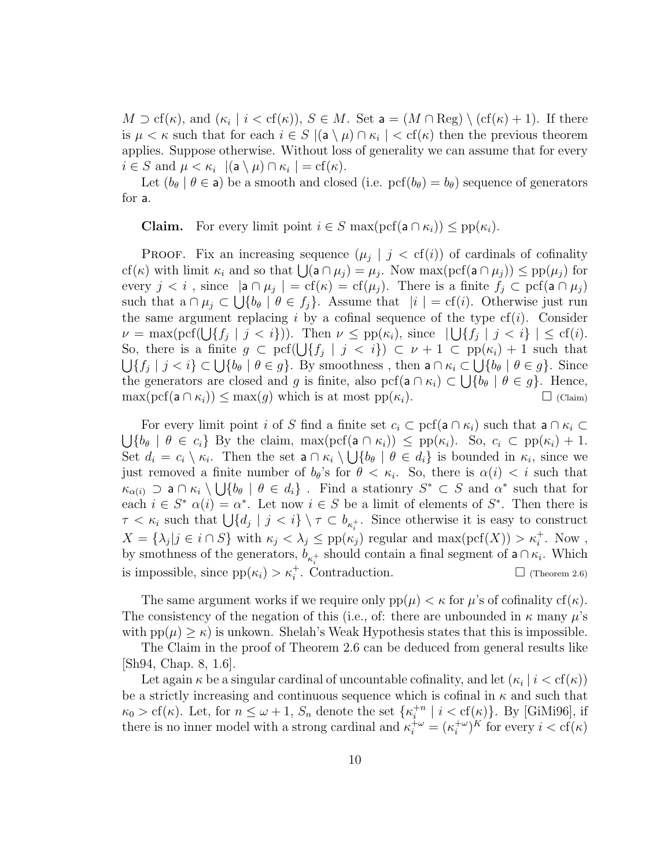$M \supset \text{cf}(\kappa)$ , and  $(\kappa_i \mid i < \text{cf}(\kappa))$ ,  $S \in M$ . Set  $\mathsf{a} = (M \cap \text{Reg}) \setminus (\text{cf}(\kappa) + 1)$ . If there is  $\mu < \kappa$  such that for each  $i \in S$   $|(\mathsf{a} \setminus \mu) \cap \kappa_i| < \text{cf}(\kappa)$  then the previous theorem applies. Suppose otherwise. Without loss of generality we can assume that for every  $i \in S$  and  $\mu < \kappa_i$   $|(\mathsf{a} \setminus \mu) \cap \kappa_i| = \mathrm{cf}(\kappa).$ 

Let  $(b_\theta | \theta \in \mathsf{a})$  be a smooth and closed (i.e.  $\text{pcf}(b_\theta)=b_\theta$ ) sequence of generators for a.

**Claim.** For every limit point  $i \in S$  max $(\text{pcf}(a \cap \kappa_i)) \leq \text{pp}(\kappa_i)$ .

**PROOF.** Fix an increasing sequence  $(\mu_j \mid j < cf(i))$  of cardinals of cofinality **PROOF.** FIX an increasing sequence  $(\mu_j | j < c_1(i))$  or cardinals of connaity  $cf(\kappa)$  with limit  $\kappa_i$  and so that  $\bigcup (a \cap \mu_j) = \mu_j$ . Now max $(\text{pcf}(a \cap \mu_j)) \leq \text{pp}(\mu_j)$  for every  $j < i$ , since  $|\mathbf{a} \cap \mu_j| = \text{cf}(\kappa) = \text{cf}(\mu_j)$ . There is a finite  $f_j \subset \text{pcf}(\mathbf{a} \cap \mu_j)$ such that  $a \cap \mu_j \subset \bigcup \{b_\theta \mid \theta \in f_j\}.$  Assume that  $|i| = cf(i)$ . Otherwise just run the same argument replacing i by a cofinal sequence of the type  $cf(i)$ . Consider the same argument replacing *i* by a connal sequence of the type  $c_1(i)$ . Consider  $\nu = \max(\text{pcf}(\bigcup\{f_j \mid j < i\}))$ . Then  $\nu \leq \text{pp}(\kappa_i)$ , since  $\bigcup\{f_j \mid j < i\} \big| \leq cf(i)$ .  $\nu = \max(\text{per}(U\{j_j \mid j \leq i\}))$ . Then  $\nu \leq \text{pp}(\kappa_i)$ , since  $|U\{j_j \mid j \leq i\}| \leq c_1(i)$ .<br>So, there is a finite  $g \subset \text{pcf}(\bigcup \{f_j \mid j \leq i\}) \subset \nu + 1 \subset \text{pp}(\kappa_i) + 1$  such that  ${f_j \mid j < i} \subset \bigcup \{b_\theta \mid \theta \in g\}.$  By smoothness, then  $a \cap \kappa_i \subset \bigcup \{b_\theta \mid \theta \in g\}.$  Since the generators are closed and g is finite, also pcf( $a \cap \kappa_i$ )  $\subset \bigcup \{b_{\theta} \mid \theta \in g\}$ . Hence,  $\max(\text{pcf}(a \cap \kappa_i)) \leq \max(g)$  which is at most  $\text{pp}(\kappa_i)$ .  $\Box$  (Claim)

For every limit point i of S find a finite set  $c_i \subset \text{pcf}(a \cap \kappa_i)$  such that  $a \cap \kappa_i \subset$ S  ${b_\theta \mid \theta \in c_i}$  By the claim, max $(\text{pcf}(a \cap \kappa_i)) \leq \text{pp}(\kappa_i)$ . So,  $c_i \subset \text{pp}(\kappa_i) + 1$ . Set  $d_i = c_i \setminus \kappa_i$ . Then the set  $a \cap \kappa_i \setminus \bigcup \{b_\theta | \theta \in d_i\}$  is bounded in  $\kappa_i$ , since we just removed a finite number of  $b_{\theta}$ 's for  $\theta < \kappa_i$ . So, there is  $\alpha(i) < i$  such that  $\kappa_{\alpha(i)} \supset a \cap \kappa_i \setminus \bigcup \{b_\theta \mid \theta \in d_i\}$ . Find a stationry  $S^* \subset S$  and  $\alpha^*$  such that for each  $i \in S^*$   $\alpha(i) = \alpha^*$ . Let now  $i \in S$  be a limit of elements of  $S^*$ . Then there is each  $i \in S$   $\alpha(i) = \alpha$ . Let now  $i \in S$  be a limit of elements of S. Then there is  $\tau < \kappa_i$  such that  $\bigcup \{d_j \mid j < i\} \setminus \tau \subset b_{\kappa_i^+}$ . Since otherwise it is easy to construct  $X = {\lambda_j | j \in i \cap S}$  with  $\kappa_j < \lambda_j \le \text{pp}(\kappa_j)$  regular and  $\max(\text{pcf}(X)) > \kappa_i^+$ . Now, by smothness of the generators,  $b_{\kappa_i^+}$  should contain a final segment of **a** ∩  $\kappa_i$ . Which is impossible, since  $pp(\kappa_i) > \kappa_i^+$ . Contraduction.  $\Box$  (Theorem 2.6)

The same argument works if we require only  $pp(\mu) < \kappa$  for  $\mu$ 's of cofinality cf( $\kappa$ ). The consistency of the negation of this (i.e., of: there are unbounded in  $\kappa$  many  $\mu$ 's with  $pp(\mu) \geq \kappa$ ) is unkown. Shelah's Weak Hypothesis states that this is impossible.

The Claim in the proof of Theorem 2.6 can be deduced from general results like [Sh94, Chap. 8, 1.6].

Let again  $\kappa$  be a singular cardinal of uncountable cofinality, and let  $(\kappa_i \mid i < \text{cf}(\kappa))$ be a strictly increasing and continuous sequence which is cofinal in  $\kappa$  and such that  $\kappa_0 > cf(\kappa)$ . Let, for  $n \leq \omega + 1$ ,  $S_n$  denote the set  $\{\kappa_i^{+n}\}$  $i^{+n}$  |  $i < \text{cf}(\kappa)$ }. By [GiMi96], if there is no inner model with a strong cardinal and  $\kappa_i^{+\omega} = (\kappa_i^{+\omega})$  $\int_i^{+\omega}$  for every  $i < \text{cf}(\kappa)$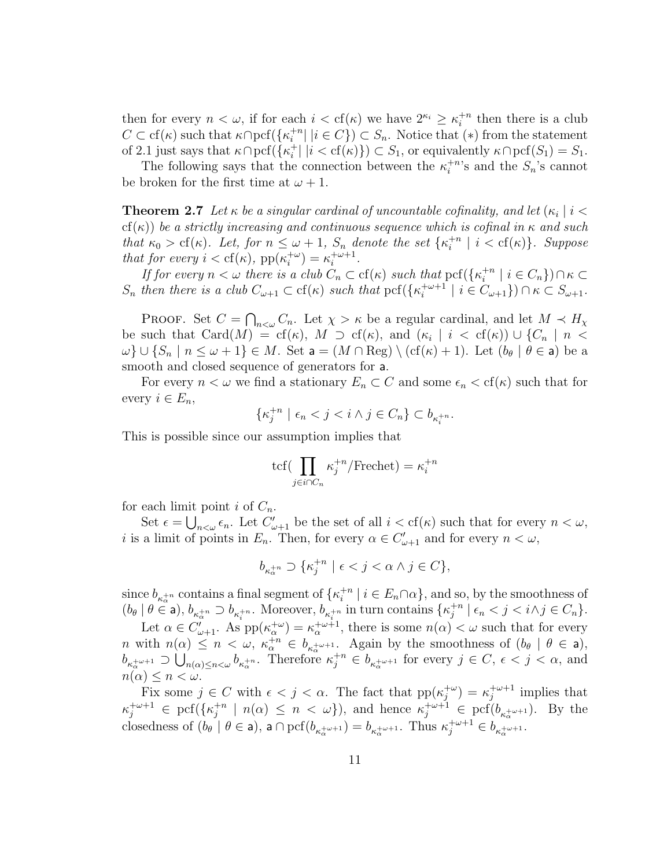then for every  $n < \omega$ , if for each  $i < \text{cf}(\kappa)$  we have  $2^{\kappa_i} \geq \kappa_i^{+n}$  $i^{+n}$  then there is a club  $C \subset cf(\kappa)$  such that  $\kappa \cap \text{pcf}(\{\kappa_i^{+n}\})$  $\binom{+n}{i}$   $|i \in C$   $\}$   $\subset$   $S_n$ . Notice that  $(*)$  from the statement of 2.1 just says that  $\kappa \cap \text{pcf}(\{\kappa_i^+\})$  $i<sub>i</sub><sup>+</sup> | i < cf(\kappa) \}$   $\subset S_1$ , or equivalently  $\kappa \cap \text{pcf}(S_1) = S_1$ .

The following says that the connection between the  $\kappa_i^{+n}$  $i^{+n}$ 's and the  $S_n$ 's cannot be broken for the first time at  $\omega + 1$ .

**Theorem 2.7** Let  $\kappa$  be a singular cardinal of uncountable cofinality, and let  $(\kappa_i \mid i <$ cf( $\kappa$ )) be a strictly increasing and continuous sequence which is cofinal in  $\kappa$  and such that  $\kappa_0 > cf(\kappa)$ . Let, for  $n \leq \omega + 1$ ,  $S_n$  denote the set  $\{\kappa_i^{+n}\}$  $i^{+n}$  |  $i < cf(\kappa)$ }. Suppose that for every  $i < \text{cf}(\kappa)$ , pp $(\kappa_i^{+\omega})$  $\lambda_i^{+\omega}$ ) =  $\kappa_i^{+\omega+1}$  $i^{\omega+1}$ .

If for every  $n < \omega$  there is a club  $C_n \subset cf(\kappa)$  such that  $\text{pcf}(\{\kappa_i^{+n}\})$  $i^{+n}$  |  $i \in C_n$ }) $\cap \kappa \subset$  $S_n$  then there is a club  $C_{\omega+1} \subset cf(\kappa)$  such that  $\text{pcf}(\{\kappa_i^{+\omega+1}\})$  $\{e^{+\omega+1} \mid i \in C_{\omega+1}\}\) \cap \kappa \subset S_{\omega+1}.$ 

PROOF. Set  $C =$  $\overline{a}$  $C_n$ . Let  $\chi > \kappa$  be a regular cardinal, and let  $M \prec H_{\chi}$ be such that  $Card(M) = cf(\kappa)$ ,  $M \supset cf(\kappa)$ , and  $(\kappa_i | i < cf(\kappa)) \cup \{C_n | n <$  $\omega\cup\{S_n\mid n\leq \omega+1\}\in M$ . Set  $\mathsf{a}=(M\cap \text{Reg})\setminus(\text{cf}(\kappa)+1)$ . Let  $(b_\theta\mid \theta\in\mathsf{a})$  be a smooth and closed sequence of generators for a.

For every  $n < \omega$  we find a stationary  $E_n \subset C$  and some  $\epsilon_n < \text{cf}(\kappa)$  such that for every  $i \in E_n$ ,

$$
\{\kappa_j^{+n} \mid \epsilon_n < j < i \wedge j \in C_n\} \subset b_{\kappa_i^{+n}}.
$$

This is possible since our assumption implies that

$$
\text{tcf}(\prod_{j \in i \cap C_n} \kappa_j^{+n} / \text{Frechet}) = \kappa_i^{+n}
$$

for each limit point *i* of  $C_n$ .

Set  $\epsilon = \bigcup_{n<\omega} \epsilon_n$ . Let  $C'_{\omega+1}$  be the set of all  $i < \text{cf}(\kappa)$  such that for every  $n < \omega$ , *i* is a limit of points in  $E_n$ . Then, for every  $\alpha \in C'_{\omega+1}$  and for every  $n < \omega$ ,

$$
b_{\kappa_{\alpha}^{+n}} \supset \{\kappa_j^{+n} \mid \epsilon < j < \alpha \wedge j \in C\},\
$$

since  $b_{\kappa_{\alpha}^{+n}}$  contains a final segment of  $\{\kappa_i^{+n}$  $i^{+n}$  |  $i \in E_n \cap \alpha$ , and so, by the smoothness of  $(b_\theta \mid \theta \in \mathsf{a})$ ,  $b_{\kappa_\alpha^{+n}} \supset b_{\kappa_i^{+n}}$ . Moreover,  $b_{\kappa_i^{+n}}$  in turn contains  $\{\kappa_j^{+n}\}$  $j^{+n}$  |  $\epsilon_n < j < i \wedge j \in C_n$  }.

Let  $\alpha \in C'_{\omega+1}$ . As  $pp(\kappa_{\alpha}^{+\omega}) = \kappa_{\alpha}^{+\omega+1}$ , there is some  $n(\alpha) < \omega$  such that for every *n* with  $n(\alpha) \leq n < \omega$ ,  $\kappa_{\alpha}^{+n} \in b_{\kappa_{\alpha}^{+n+1}}$ . Again by the smoothness of  $(b_{\theta} | \theta \in \mathsf{a})$ ,  $b_{\kappa_\alpha^{+\omega+1}} \supset \bigcup_{n(\alpha)\leq n<\omega} b_{\kappa_\alpha^{+\alpha}}$ . Therefore  $\kappa_j^{+\alpha} \in b_{\kappa_\alpha^{+\omega+1}}$  for every  $j \in C, \epsilon < j < \alpha$ , and  $n(\alpha) \leq n < \omega$ .

Fix some  $j \in C$  with  $\epsilon < j < \alpha$ . The fact that  $pp(\kappa_i^{+\omega})$  $j^{+\omega}$ ) =  $\kappa_j^{+\omega+1}$  $j^{+\omega+1}$  implies that  $\kappa_j^{+\omega+1} \in \text{pcf} (\{\kappa_j^{+n}$  $j^{+n}$  |  $n(\alpha) \leq n < \omega$ }), and hence  $\kappa_j^{+\omega+1} \in \text{pcf}(b_{\kappa_\alpha^{+\omega+1}})$ . By the closedness of  $(b_\theta | \theta \in \mathsf{a})$ ,  $\mathsf{a} \cap \text{pcf}(b_{\kappa_\alpha^{+\omega+1}}) = b_{\kappa_\alpha^{+\omega+1}}$ . Thus  $\kappa_j^{+\omega+1} \in b_{\kappa_\alpha^{+\omega+1}}$ .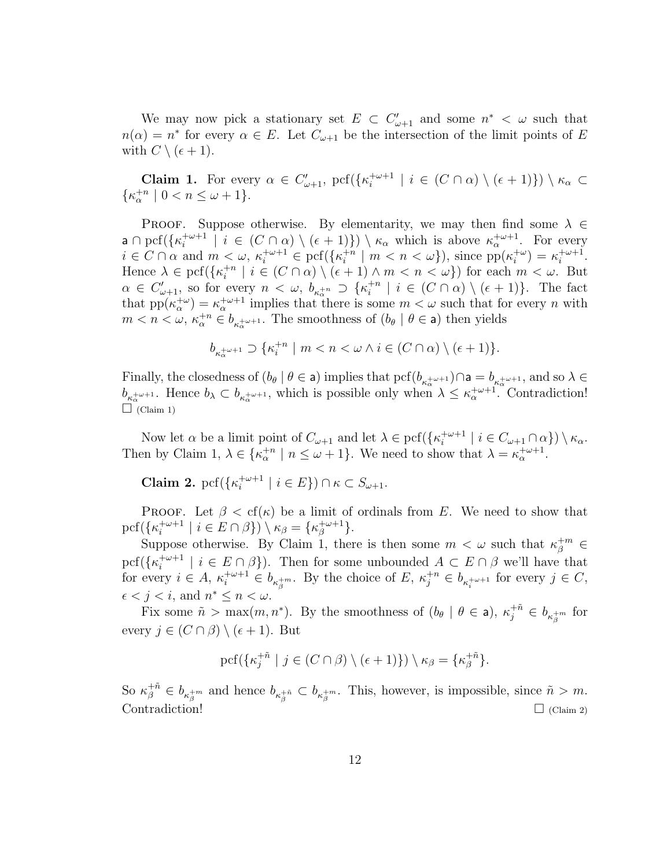We may now pick a stationary set  $E \subset C'_{\omega+1}$  and some  $n^* < \omega$  such that  $n(\alpha) = n^*$  for every  $\alpha \in E$ . Let  $C_{\omega+1}$  be the intersection of the limit points of E with  $C \setminus (\epsilon + 1)$ .

**Claim 1.** For every  $\alpha \in C'_{\omega+1}$ , pcf( $\{\kappa_i^{+\omega+1}\}$  $\left\{i \atop i \atop i} \right\} | i \in (C \cap \alpha) \setminus (\epsilon + 1) \rbrace) \setminus \kappa_{\alpha} \subset$  $\{\kappa_\alpha^{+n} \mid 0 < n \leq \omega + 1\}.$ 

PROOF. Suppose otherwise. By elementarity, we may then find some  $\lambda \in$ a  $\cap$  pcf( $\{\kappa_i^{+\omega+1}$  $\mathcal{L}^{+\omega+1}_{i} \mid i \in (C \cap \alpha) \setminus (\epsilon+1) \}$ )  $\setminus \kappa_{\alpha}$  which is above  $\kappa_{\alpha}^{+\omega+1}$ . For every  $i \in C \cap \alpha$  and  $m < \omega$ ,  $\kappa_i^{+\omega+1} \in \text{pcf}(\{\kappa_i^{+m}\})$  $\binom{+n}{i}$  |  $m < n < \omega$ }), since  $pp(\kappa_i^{+\omega})$  $\binom{+\omega}{i} = \kappa_i^{+\omega+1}$  $i^{\omega+1}$ . Hence  $\lambda \in \text{pcf}({\{\kappa_i^{+n}\}})$  $\binom{+n}{i}$   $i \in (C \cap \alpha) \setminus (\epsilon + 1) \wedge m < n < \omega\}$  for each  $m < \omega$ . But  $\alpha \in C'_{\omega+1}$ , so for every  $n \langle \omega, b_{\kappa^{+n}_{\alpha}} \rangle \{ \kappa^{+n}_{i} \}$  $i^{+n}$  |  $i \in (C \cap \alpha) \setminus (\epsilon + 1)$ . The fact that  $pp(\kappa_\alpha^{+\omega}) = \kappa_\alpha^{+\omega+1}$  implies that there is some  $m < \omega$  such that for every n with  $m < n < \omega$ ,  $\kappa_{\alpha}^{+n} \in b_{\kappa_{\alpha}^{+}\omega+1}$ . The smoothness of  $(b_{\theta} \mid \theta \in \mathsf{a})$  then yields

$$
b_{\kappa^{+\omega+1}_\alpha}\supset\{\kappa^{+n}_i\mid m
$$

Finally, the closedness of  $(b_\theta | \theta \in \mathsf{a})$  implies that  $\text{pcf}(b_{\kappa_\alpha^{+\omega+1}})\cap \mathsf{a}=b_{\kappa_\alpha^{+\omega+1}}$ , and so  $\lambda \in$  $b_{\kappa_\alpha^{+\omega+1}}$ . Hence  $b_\lambda \subset b_{\kappa_\alpha^{+\omega+1}}$ , which is possible only when  $\lambda \leq \kappa_\alpha^{+\omega+1}$ . Contradiction!  $\Box$  (Claim 1)

Now let  $\alpha$  be a limit point of  $C_{\omega+1}$  and let  $\lambda \in \text{pcf}(\{\kappa_i^{+\omega+1}\})$  $\mathcal{L}^{+\omega+1}_i \mid i \in C_{\omega+1} \cap \alpha \}$ )  $\setminus \kappa_\alpha$ . Then by Claim 1,  $\lambda \in {\kappa_\alpha^{+n} \mid n \leq \omega + 1}$ . We need to show that  $\lambda = \kappa_\alpha^{+\omega+1}$ .

Claim 2. pcf( $\{\kappa_i^{+\omega+1}$  $\{e^{+\omega+1} \mid i \in E\}$ )  $\cap \kappa \subset S_{\omega+1}$ .

**PROOF.** Let  $\beta < \text{cf}(\kappa)$  be a limit of ordinals from E. We need to show that  $\text{pcf}(\{\kappa_i^{+\omega+1}$  $\mathcal{L}^{+\omega+1}_i \mid i \in E \cap \beta$ )  $\setminus \kappa_\beta = {\kappa_\beta^{+\omega+1}}$  $\, \frac{+\omega+1}{\beta} \}.$ 

Suppose otherwise. By Claim 1, there is then some  $m < \omega$  such that  $\kappa_{\beta}^{+m} \in$  $\operatorname{pcf}(\{\kappa_i^{+\omega+1}$  $\{e^{+\omega+1} \mid i \in E \cap \beta\}$ . Then for some unbounded  $A \subset E \cap \beta$  we'll have that for every  $i \in A$ ,  $\kappa_i^{+\omega+1} \in b_{\kappa_i^{+m}}$ . By the choice of  $E$ ,  $\kappa_j^{+n} \in b_{\kappa_i^{+\omega+1}}$  for every  $j \in C$ ,  $\epsilon < j < i$ , and  $n^* \leq n < \omega$ .

Fix some  $\tilde{n} > \max(m, n^*)$ . By the smoothness of  $(b_{\theta} \mid \theta \in a)$ ,  $\kappa_j^{+\tilde{n}} \in b_{\kappa_j^{+m}}$  for every  $j \in (C \cap \beta) \setminus (\epsilon + 1)$ . But

$$
\operatorname{pcf}(\{\kappa_j^{+\tilde n}\mid j\in (C\cap\beta)\setminus(\epsilon+1)\})\setminus\kappa_\beta=\{\kappa_\beta^{+\tilde n}\}.
$$

So  $\kappa_{\beta}^{+\tilde{n}} \in b_{\kappa_{\beta}^{+\tilde{n}}}$  and hence  $b_{\kappa_{\beta}^{+\tilde{n}}} \subset b_{\kappa_{\beta}^{+\tilde{n}}}$ . This, however, is impossible, since  $\tilde{n} > m$ .  $\Box$  (Claim 2)  $\Box$  (Claim 2)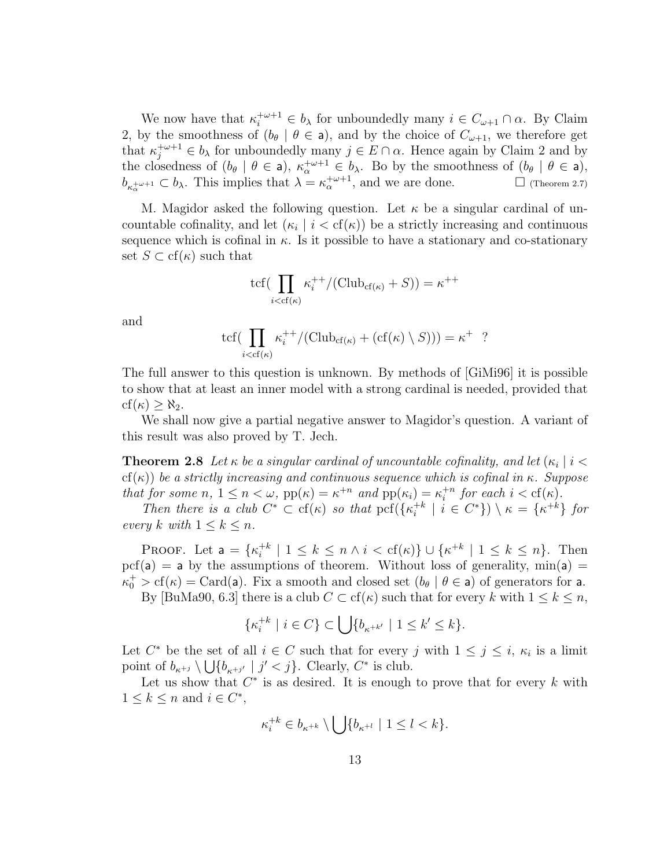We now have that  $\kappa_i^{+\omega+1} \in b_\lambda$  for unboundedly many  $i \in C_{\omega+1} \cap \alpha$ . By Claim 2, by the smoothness of  $(b_{\theta} \mid \theta \in \mathbf{a})$ , and by the choice of  $C_{\omega+1}$ , we therefore get that  $\kappa_j^{+\omega+1} \in b_\lambda$  for unboundedly many  $j \in E \cap \alpha$ . Hence again by Claim 2 and by the closedness of  $(b_{\theta} \mid \theta \in a)$ ,  $\kappa_{\alpha}^{+\omega+1} \in b_{\lambda}$ . Bo by the smoothness of  $(b_{\theta} \mid \theta \in a)$ ,  $b_{\kappa_{\alpha}^{+\omega+1}} \subset b_{\lambda}$ . This implies that  $\lambda = \kappa_{\alpha}^{+\omega+1}$ , and we are done.  $\square$  (Theorem 2.7)

M. Magidor asked the following question. Let  $\kappa$  be a singular cardinal of uncountable cofinality, and let  $(\kappa_i \mid i < \text{cf}(\kappa))$  be a strictly increasing and continuous sequence which is cofinal in  $\kappa$ . Is it possible to have a stationary and co-stationary set  $S \subset cf(\kappa)$  such that

$$
\text{tcf}(\prod_{i < \text{cf}(\kappa)} \kappa_i^{++} / (\text{Club}_{\text{cf}(\kappa)} + S)) = \kappa^{++}
$$

and

$$
\text{tcf}(\prod_{i < \text{cf}(\kappa)} \kappa_i^{++} / (\text{Club}_{\text{cf}(\kappa)} + (\text{cf}(\kappa) \setminus S))) = \kappa^+ ?
$$

The full answer to this question is unknown. By methods of [GiMi96] it is possible to show that at least an inner model with a strong cardinal is needed, provided that  $cf(\kappa) > \aleph_2$ .

We shall now give a partial negative answer to Magidor's question. A variant of this result was also proved by T. Jech.

**Theorem 2.8** Let  $\kappa$  be a singular cardinal of uncountable cofinality, and let  $(\kappa_i \mid i <$ cf(κ)) be a strictly increasing and continuous sequence which is cofinal in  $\kappa$ . Suppose that for some  $n, 1 \leq n < \omega$ ,  $pp(\kappa) = \kappa^{+n}$  and  $pp(\kappa_i) = \kappa_i^{+n}$  $i^{+n}$  for each  $i < \text{cf}(\kappa)$ .

Then there is a club  $C^* \subset cf(\kappa)$  so that pcf({ $\kappa_i^{+k}$ )  $\{e^{+k} \mid i \in C^*\}$ )  $\setminus \kappa = \{\kappa^{+k}\}\$  for every k with  $1 \leq k \leq n$ .

PROOF. Let  $a = \{\kappa_i^{+k}\}$  $i^{+k}$  | 1 ≤  $k \le n \wedge i < \text{cf}(\kappa)$  ∪ { $\kappa^{+k}$  | 1 ≤  $k \le n$  }. Then  $\text{pcf}(a) = a$  by the assumptions of theorem. Without loss of generality,  $\min(a) =$  $\kappa_0^+ > cf(\kappa) = Card(a)$ . Fix a smooth and closed set  $(b_\theta | \theta \in a)$  of generators for a.

By [BuMa90, 6.3] there is a club  $C \subset cf(\kappa)$  such that for every k with  $1 \leq k \leq n$ ,

$$
\{\kappa_i^{+k} \mid i \in C\} \subset \bigcup \{b_{\kappa^{+k'}} \mid 1 \le k' \le k\}.
$$

Let  $C^*$  be the set of all  $i \in C$  such that for every j with  $1 \leq j \leq i$ ,  $\kappa_i$  is a limit point of  $b_{\kappa^{+j}} \setminus \bigcup \{b_{\kappa^{+j'}} \mid j' < j\}$ . Clearly,  $C^*$  is club.

Let us show that  $C^*$  is as desired. It is enough to prove that for every k with  $1 \leq k \leq n$  and  $i \in C^*$ ,

$$
\kappa_i^{+k} \in b_{\kappa^{+k}} \setminus \bigcup \{b_{\kappa^{+l}} \ | \ 1 \leq l < k\}.
$$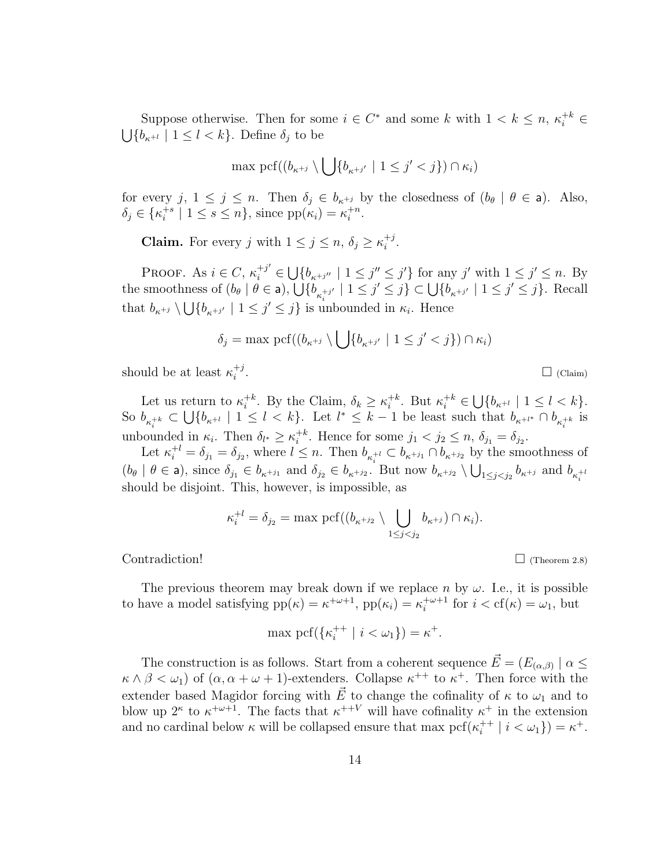Suppose otherwise. Then for some  $i \in C^*$  and some k with  $1 < k \leq n, \, \kappa_i^{+k} \in$ S  ${b_{\kappa^{+l}} \mid 1 \leq l \lt k}$ . Define  $\delta_j$  to be

$$
\max \, \mathrm{pcf}((b_{\kappa^{+j}}\setminus\bigcup\{b_{\kappa^{+j'}}\mid 1\leq j'
$$

for every j,  $1 \le j \le n$ . Then  $\delta_j \in b_{\kappa^{+j}}$  by the closedness of  $(b_{\theta} \mid \theta \in \mathsf{a})$ . Also,  $\delta_j \in {\{\kappa_i^{+s}}$  $i^{+s}$  |  $1 \leq s \leq n$ , since  $pp(\kappa_i) = \kappa_i^{+n}$  $\frac{+n}{i}$ .

**Claim.** For every j with  $1 \leq j \leq n$ ,  $\delta_j \geq \kappa_i^{+j}$  $\frac{+j}{i}$ .

Proof. As  $i \in C$ ,  $\kappa_i^{+j'} \in$ S  ${b_{\kappa^{+j''}} \mid 1 \leq j'' \leq j'}$  for any j' with  $1 \leq j' \leq n$ . By FROOF. As  $i \in C$ ,  $\kappa_i^* \in U\{0_{\kappa+i''}\}$ <br>the smoothness of  $(b_\theta | \theta \in \mathsf{a})$ ,  $\bigcup \{b_{\kappa_i^{+i'}}\}$  $\begin{array}{l} \sum_{j} j' + 1 \leq j \leq j \end{array}$  for any j with  $1 \leq j \leq n$ . By<br>  $\sum_{j} j' + 1 \leq j' \leq j \} \subset \bigcup \{b_{\kappa+j'} | 1 \leq j' \leq j\}$ . Recall that  $b_{\kappa^{+j}} \setminus \bigcup \{b_{\kappa^{+j'}} \mid 1 \leq j' \leq j\}$  is unbounded in  $\kappa_i$ . Hence  $\frac{1}{\sqrt{2}}$ 

$$
\delta_j = \max \, \mathrm{pcf}((b_{\kappa^{+j}} \setminus \bigcup \{b_{\kappa^{+j'}} \mid 1 \leq j' < j\}) \cap \kappa_i)
$$

should be at least  $\kappa_i^{+j}$ i

Let us return to  $\kappa_i^{+k}$ <sup>+k</sup>. By the Claim,  $\delta_k \geq \kappa_i^{+k}$  $i^{k}$ . But  $\kappa_i^{+k} \in$ S  $\{b_{\kappa^{+l}} \mid 1 \leq l < k\}.$ So  $b_{\kappa_i^{+k}} \subset$ .et<br>'  ${b_{\kappa^{+l}} \mid 1 \leq l \leq k}$ . Let  $l^* \leq k-1$  be least such that  $b_{\kappa^{+l^*}} \cap b_{\kappa^{+k}_i}$  is unbounded in  $\kappa_i$ . Then  $\delta_{l^*} \geq \kappa_i^{+k}$ <sup>+k</sup>. Hence for some  $j_1 < j_2 \leq n$ ,  $\delta_{j_1} = \delta_{j_2}$ .

Let  $\kappa_i^{+l} = \delta_{j_1} = \delta_{j_2}$ , where  $l \leq n$ . Then  $b_{\kappa_i^{+l}} \subset b_{\kappa_{i+1}} \cap b_{\kappa_{i+2}}$  by the smoothness of  $(b_\theta \mid \theta \in \mathsf{a})$ , since  $\delta_{j_1} \in b_{\kappa^{+j_1}}$  and  $\delta_{j_2} \in b_{\kappa^{+j_2}}$ . But now  $b_{\kappa^{+j_2}} \setminus \bigcup_{1 \leq j < j_2} b_{\kappa^{+j}}$  and  $b_{\kappa_i^{+j}}$ should be disjoint. This, however, is impossible, as

$$
\kappa_i^{+l} = \delta_{j_2} = \max \, \mathrm{pcf}((b_{\kappa^{+j_2}} \setminus \bigcup_{1 \leq j < j_2} b_{\kappa^{+j}}) \cap \kappa_i).
$$

 $\Box$  (Theorem 2.8)

The previous theorem may break down if we replace n by  $\omega$ . I.e., it is possible to have a model satisfying  $pp(\kappa) = \kappa^{+\omega+1}$ ,  $pp(\kappa_i) = \kappa_i^{+\omega+1}$  $i^{+\omega+1}$  for  $i < \text{cf}(\kappa) = \omega_1$ , but

$$
\max \operatorname{pcf}(\{\kappa_i^{++} \mid i < \omega_1\}) = \kappa^+.
$$

The construction is as follows. Start from a coherent sequence  $\vec{E} = (E_{(\alpha,\beta)}) \mid \alpha \leq \beta$  $\kappa \wedge \beta < \omega_1$  of  $(\alpha, \alpha + \omega + 1)$ -extenders. Collapse  $\kappa^{++}$  to  $\kappa^+$ . Then force with the extender based Magidor forcing with  $\vec{E}$  to change the cofinality of  $\kappa$  to  $\omega_1$  and to blow up  $2^{\kappa}$  to  $\kappa^{+\omega+1}$ . The facts that  $\kappa^{++V}$  will have cofinality  $\kappa^+$  in the extension and no cardinal below  $\kappa$  will be collapsed ensure that max pcf( $\kappa_i^{++}$ )  $i^{++} | i < \omega_1 \} = \kappa^+$ .

 $\Box$  (Claim)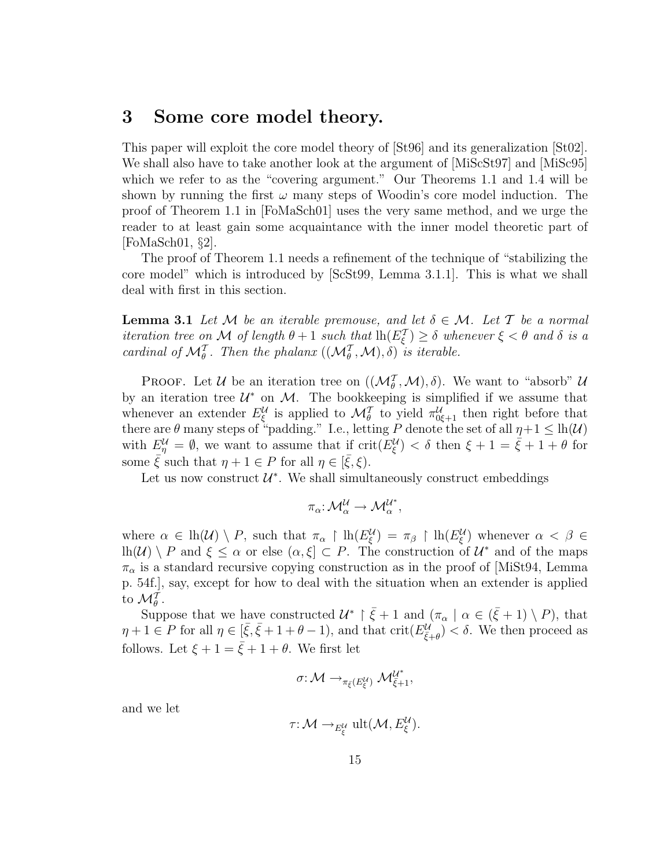## 3 Some core model theory.

This paper will exploit the core model theory of [St96] and its generalization [St02]. We shall also have to take another look at the argument of [MiScSt97] and [MiSc95] which we refer to as the "covering argument." Our Theorems 1.1 and 1.4 will be shown by running the first  $\omega$  many steps of Woodin's core model induction. The proof of Theorem 1.1 in [FoMaSch01] uses the very same method, and we urge the reader to at least gain some acquaintance with the inner model theoretic part of [FoMaSch01, §2].

The proof of Theorem 1.1 needs a refinement of the technique of "stabilizing the core model" which is introduced by [ScSt99, Lemma 3.1.1]. This is what we shall deal with first in this section.

**Lemma 3.1** Let M be an iterable premouse, and let  $\delta \in \mathcal{M}$ . Let T be a normal iteration tree on M of length  $\theta + 1$  such that  $\ln(E_{\xi}^{\mathcal{T}}) \geq \delta$  whenever  $\xi < \theta$  and  $\delta$  is a cardinal of  $\mathcal{M}_{\theta}^{\mathcal{T}}$ . Then the phalanx  $((\mathcal{M}_{\theta}^{\mathcal{T}}, \mathcal{M}), \delta)$  is iterable.

**PROOF.** Let U be an iteration tree on  $((\mathcal{M}_{\theta}^{\mathcal{T}}, \mathcal{M}), \delta)$ . We want to "absorb" U by an iteration tree  $\mathcal{U}^*$  on  $\mathcal{M}$ . The bookkeeping is simplified if we assume that whenever an extender  $E_{\xi}^{\mathcal{U}}$  is applied to  $\mathcal{M}_{\theta}^{\mathcal{T}}$  to yield  $\pi_{0\xi+1}^{\mathcal{U}}$  then right before that there are  $\theta$  many steps of "padding." I.e., letting P denote the set of all  $\eta + 1 \leq \text{lh}(\mathcal{U})$ with  $E_{\eta}^{\mathcal{U}} = \emptyset$ , we want to assume that if  $\text{crit}(E_{\xi}^{\mathcal{U}}) < \delta$  then  $\xi + 1 = \dot{\xi} + 1 + \theta$  for some  $\bar{\xi}$  such that  $\eta + 1 \in P$  for all  $\eta \in [\bar{\xi}, \xi)$ .

Let us now construct  $\mathcal{U}^*$ . We shall simultaneously construct embeddings

$$
\pi_{\alpha} \hbox{:}\ {\mathcal M}_{\alpha}^{\mathcal U} \to {\mathcal M}_{\alpha}^{{\mathcal U}^*},
$$

where  $\alpha \in \text{lh}(\mathcal{U}) \setminus P$ , such that  $\pi_\alpha \restriction \text{lh}(E_\xi^{\mathcal{U}}) = \pi_\beta \restriction \text{lh}(E_\xi^{\mathcal{U}})$  whenever  $\alpha < \beta \in$  $\text{lh}(\mathcal{U})\setminus P$  and  $\xi\leq \alpha$  or else  $(\alpha,\xi]\subset P$ . The construction of  $\mathcal{U}^*$  and of the maps  $\pi_{\alpha}$  is a standard recursive copying construction as in the proof of [MiSt94, Lemma p. 54f.], say, except for how to deal with the situation when an extender is applied to  $\mathcal{M}_{\theta}^T$ .

Suppose that we have constructed  $\mathcal{U}^* \restriction \bar{\xi} + 1$  and  $(\pi_{\alpha} \mid \alpha \in (\bar{\xi} + 1) \setminus P)$ , that  $\eta + 1 \in P$  for all  $\eta \in [\bar{\xi}, \bar{\xi} + 1 + \theta - 1)$ , and that  $\mathrm{crit}(E_{\bar{\xi}+\theta}^{\mathcal{U}}) < \delta$ . We then proceed as follows. Let  $\xi + 1 = \overline{\xi} + 1 + \theta$ . We first let

$$
\sigma\colon {\mathcal M}\to_{\pi_{\bar{\xi}}(E_{\xi}^{\mathcal U})}{\mathcal M}_{\bar{\xi}+1}^{{\mathcal U}^*},
$$

and we let

$$
\tau: \mathcal{M} \longrightarrow_{E_{\xi}^{\mathcal{U}}} \text{ult}(\mathcal{M}, E_{\xi}^{\mathcal{U}}).
$$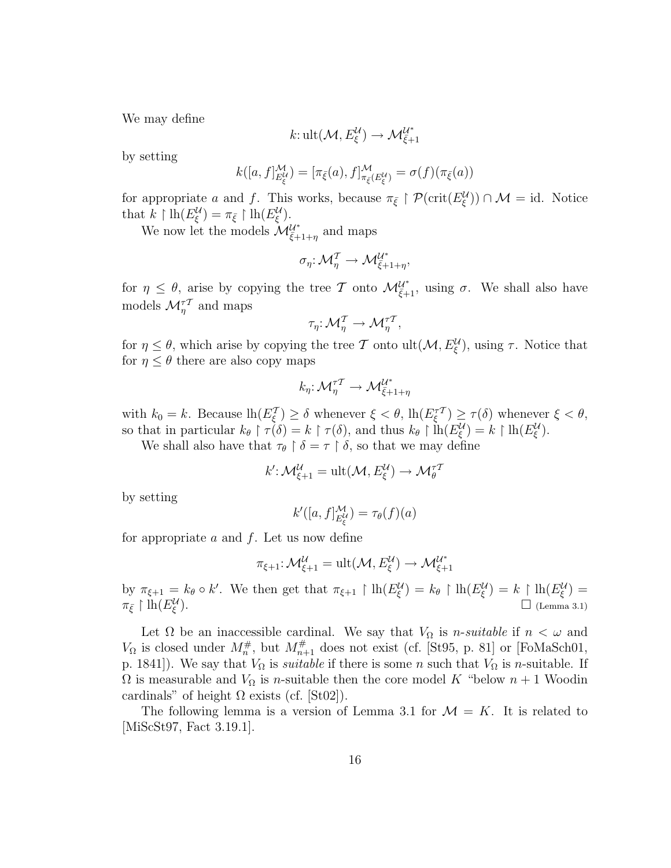We may define

$$
k: \text{ult}(\mathcal{M}, E_{\xi}^{\mathcal{U}}) \to \mathcal{M}_{\bar{\xi}+1}^{\mathcal{U}^*}
$$

by setting

$$
k([a, f]_{E_{\xi}^{\mathcal{U}}}^{\mathcal{M}}) = [\pi_{\bar{\xi}}(a), f]_{\pi_{\bar{\xi}}(E_{\xi}^{\mathcal{U}})}^{\mathcal{M}} = \sigma(f)(\pi_{\bar{\xi}}(a))
$$

for appropriate a and f. This works, because  $\pi_{\bar{\xi}} \restriction \mathcal{P}(\text{crit}(E_{\xi}^{\mathcal{U}})) \cap \mathcal{M} = id$ . Notice that  $k \restriction \mathrm{lh}(E_{\xi}^{\mathcal{U}}) = \pi_{\bar{\xi}} \restriction \mathrm{lh}(E_{\xi}^{\mathcal{U}}).$ 

We now let the models  $\mathcal{M}_{\bar{\xi}+1+\eta}^{U^*}$  and maps

$$
\sigma_{\eta} \colon \mathcal{M}_{\eta}^{\mathcal{T}} \to \mathcal{M}_{\bar{\xi}+1+\eta}^{\mathcal{U}^*},
$$

for  $\eta \leq \theta$ , arise by copying the tree T onto  $\mathcal{M}_{\xi+1}^{\mathcal{U}^*}$ , using  $\sigma$ . We shall also have models  $\mathcal{M}_\eta^{\tau\tau}$  and maps

$$
\tau_\eta\!:\mathcal{M}^{\mathcal{T}}_\eta\rightarrow\mathcal{M}^{\tau\mathcal{T}}_\eta
$$

,

for  $\eta \leq \theta$ , which arise by copying the tree T onto  $ult(M, E_{\xi}^{U})$ , using  $\tau$ . Notice that for  $\eta \leq \theta$  there are also copy maps

$$
k_\eta\colon \mathcal{M}^{\tau\tau}_\eta \to \mathcal{M}^{\mathcal{U}^*}_{\bar{\xi}+1+\eta}
$$

with  $k_0 = k$ . Because  $\ln(E_{\xi}^{\mathcal{T}}) \ge \delta$  whenever  $\xi < \theta$ ,  $\ln(E_{\xi}^{\tau \mathcal{T}}) \ge \tau(\delta)$  whenever  $\xi < \theta$ , so that in particular  $k_{\theta} \restriction \tau(\delta) = k \restriction \tau(\delta)$ , and thus  $k_{\theta} \restriction \text{lh}(E_{\xi}^{\mathcal{U}}) = k \restriction \text{lh}(E_{\xi}^{\mathcal{U}})$ .

We shall also have that  $\tau_{\theta} \restriction \delta = \tau \restriction \delta$ , so that we may define

$$
k'\colon \mathcal{M}^{\mathcal{U}}_{\xi+1} = \text{ult}(\mathcal{M}, E^{ \mathcal{U}}_{\xi}) \to \mathcal{M}^{\tau T}_{\theta}
$$

by setting

$$
k'([a, f]_{E_{\xi}^{\mathcal{U}}}^{\mathcal{M}}) = \tau_{\theta}(f)(a)
$$

for appropriate  $a$  and  $f$ . Let us now define

$$
\pi_{\xi+1}\!:\mathcal{M}^{\mathcal{U}}_{\xi+1}=\mathrm{ult}(\mathcal{M},E^{\mathcal{U}}_{\xi})\to \mathcal{M}^{\mathcal{U}^*}_{\xi+1}
$$

by  $\pi_{\xi+1} = k_{\theta} \circ k'$ . We then get that  $\pi_{\xi+1} \restriction \mathrm{lh}(E_{\xi}^{\mathcal{U}}) = k_{\theta} \restriction \mathrm{lh}(E_{\xi}^{\mathcal{U}}) = k \restriction \mathrm{lh}(E_{\xi}^{\mathcal{U}}) =$  $\pi_{\bar{\xi}} \restriction \mathrm{lh}(E_{\xi}^{\mathcal{U}}).$   $\Box$  (Lemma 3.1)

Let  $\Omega$  be an inaccessible cardinal. We say that  $V_{\Omega}$  is *n-suitable* if  $n < \omega$  and  $V_{\Omega}$  is closed under  $M_n^{\#}$ , but  $M_{n+1}^{\#}$  does not exist (cf. [St95, p. 81] or [FoMaSch01, p. 1841]). We say that  $V_{\Omega}$  is *suitable* if there is some n such that  $V_{\Omega}$  is n-suitable. If  $\Omega$  is measurable and  $V_{\Omega}$  is *n*-suitable then the core model K "below  $n+1$  Woodin cardinals" of height  $\Omega$  exists (cf. [St02]).

The following lemma is a version of Lemma 3.1 for  $\mathcal{M} = K$ . It is related to [MiScSt97, Fact 3.19.1].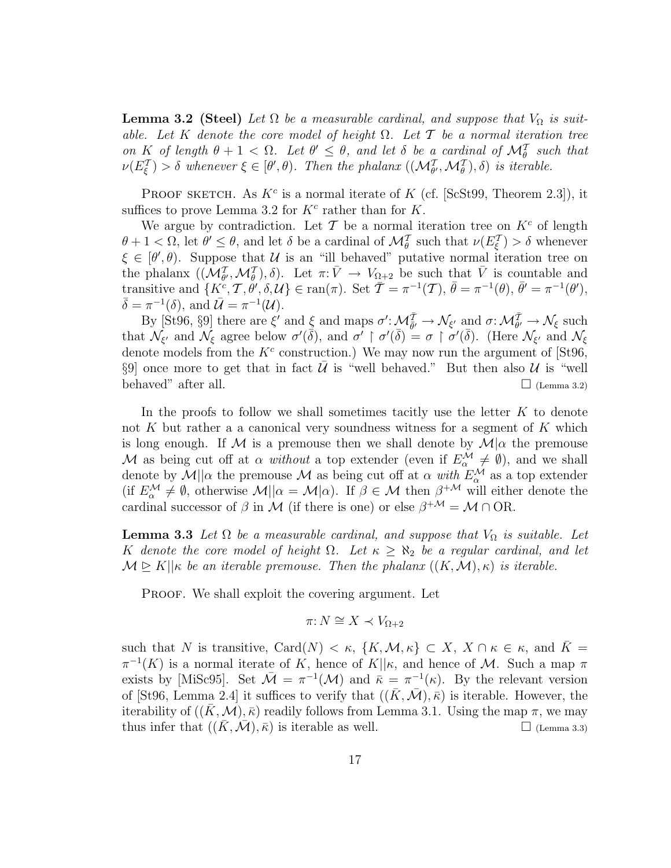**Lemma 3.2 (Steel)** Let  $\Omega$  be a measurable cardinal, and suppose that  $V_{\Omega}$  is suitable. Let K denote the core model of height  $\Omega$ . Let T be a normal iteration tree on K of length  $\theta + 1 < \Omega$ . Let  $\theta' \leq \theta$ , and let  $\delta$  be a cardinal of  $\mathcal{M}_{\theta}^T$  such that  $\nu(E_{\xi}^{\mathcal{T}}) > \delta$  whenever  $\xi \in [\theta', \theta)$ . Then the phalanx  $((\mathcal{M}_{\theta'}^{\mathcal{T}}, \mathcal{M}_{\theta}^{\mathcal{T}}), \delta)$  is iterable.

PROOF SKETCH. As  $K^c$  is a normal iterate of K (cf. [ScSt99, Theorem 2.3]), it suffices to prove Lemma 3.2 for  $K^c$  rather than for  $K$ .

We argue by contradiction. Let  $\mathcal T$  be a normal iteration tree on  $K^c$  of length  $\theta + 1 < \Omega$ , let  $\theta' \leq \theta$ , and let  $\delta$  be a cardinal of  $\mathcal{M}_{\theta}^{\mathcal{T}}$  such that  $\nu(E_{\xi}^{\mathcal{T}}) > \delta$  whenever  $\xi \in [\theta', \theta]$ . Suppose that U is an "ill behaved" putative normal iteration tree on the phalanx  $((\mathcal{M}_{\theta}^T, \mathcal{M}_{\theta}^T), \delta)$ . Let  $\pi: \bar{V} \to V_{\Omega+2}$  be such that  $\bar{V}$  is countable and transitive and  $\{K^c, \mathcal{T}, \dot{\theta}', \delta, \mathcal{U}\}\in \text{ran}(\pi)$ . Set  $\overline{\mathcal{T}}=\pi^{-1}(\mathcal{T}), \overline{\theta}=\pi^{-1}(\theta), \overline{\theta}'=\pi^{-1}(\theta'),$  $\bar{\delta} = \pi^{-1}(\delta)$ , and  $\bar{\mathcal{U}} = \pi^{-1}(\mathcal{U})$ .

By [St96, §9] there are  $\xi'$  and  $\underline{\xi}$  and maps  $\sigma' : \mathcal{M}_{\bar{\theta}'}^{\bar{T}} \to \mathcal{N}_{\xi'}$  and  $\sigma : \mathcal{M}_{\theta'}^{\bar{T}} \to \mathcal{N}_{\xi}$  such that  $\mathcal{N}_{\xi'}$  and  $\mathcal{N}_{\xi}$  agree below  $\sigma'(\bar{\delta})$ , and  $\sigma' \restriction \sigma'(\bar{\delta}) = \sigma \restriction \sigma'(\bar{\delta})$ . (Here  $\mathcal{N}_{\xi'}$  and  $\mathcal{N}_{\xi}$ denote models from the  $K^c$  construction.) We may now run the argument of [St96, §9] once more to get that in fact  $\bar{U}$  is "well behaved." But then also  $U$  is "well behaved" after all.  $\Box$  (Lemma 3.2)

In the proofs to follow we shall sometimes tacitly use the letter  $K$  to denote not K but rather a a canonical very soundness witness for a segment of  $K$  which is long enough. If M is a premouse then we shall denote by  $\mathcal{M}|\alpha$  the premouse M as being cut off at  $\alpha$  without a top extender (even if  $E^{\mathcal{M}}_{\alpha} \neq \emptyset$ ), and we shall denote by  $\mathcal{M}||\alpha$  the premouse  $\mathcal M$  as being cut off at  $\alpha$  with  $E^{\mathcal M}_\alpha$  as a top extender (if  $E_{\alpha}^{\mathcal{M}} \neq \emptyset$ , otherwise  $\mathcal{M}||\alpha = \mathcal{M}|\alpha|$ ). If  $\beta \in \mathcal{M}$  then  $\beta^{+\mathcal{M}}$  will either denote the cardinal successor of  $\beta$  in M (if there is one) or else  $\beta^{+\mathcal{M}} = \mathcal{M} \cap \mathrm{OR}$ .

**Lemma 3.3** Let  $\Omega$  be a measurable cardinal, and suppose that  $V_{\Omega}$  is suitable. Let K denote the core model of height  $\Omega$ . Let  $\kappa \geq \aleph_2$  be a regular cardinal, and let  $\mathcal{M} \trianglerighteq K||\kappa$  be an iterable premouse. Then the phalanx  $((K,\mathcal{M}),\kappa)$  is iterable.

PROOF. We shall exploit the covering argument. Let

$$
\pi: N \cong X \prec V_{\Omega+2}
$$

such that N is transitive, Card $(N) < \kappa$ ,  $\{K, \mathcal{M}, \kappa\} \subset X$ ,  $X \cap \kappa \in \kappa$ , and  $\overline{K} =$  $\pi^{-1}(K)$  is a normal iterate of K, hence of K|| $\kappa$ , and hence of M. Such a map  $\pi$ exists by [MiSc95]. Set  $\overline{\mathcal{M}} = \pi^{-1}(\mathcal{M})$  and  $\overline{\kappa} = \pi^{-1}(\kappa)$ . By the relevant version of [St96, Lemma 2.4] it suffices to verify that  $((\overline{K}, \overline{\mathcal{M}}), \overline{\kappa})$  is iterable. However, the iterability of  $((\bar{K}, \mathcal{M}), \bar{\kappa})$  readily follows from Lemma 3.1. Using the map  $\pi$ , we may thus infer that  $((K, \mathcal{M}), \overline{\kappa})$  is iterable as well.  $\square$  (Lemma 3.3)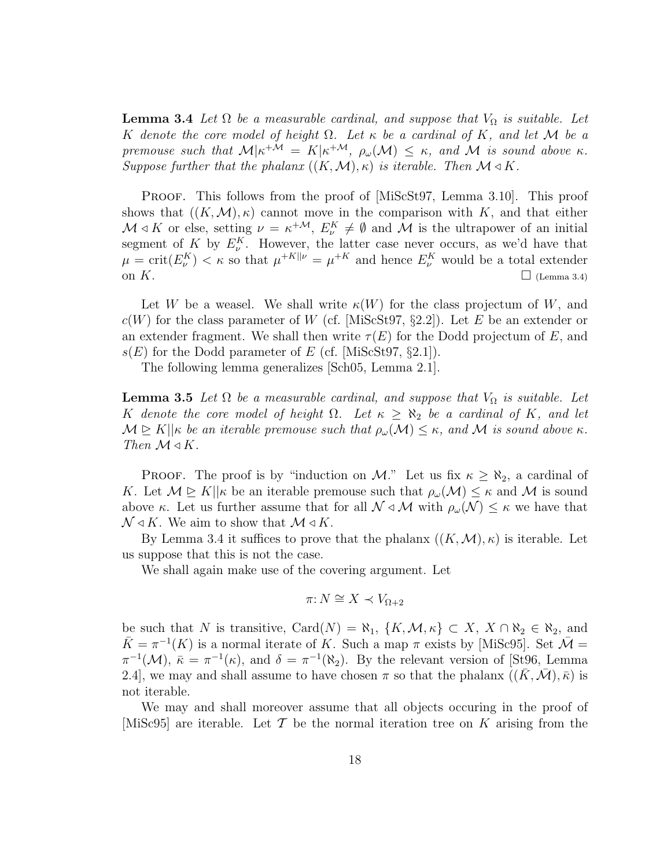**Lemma 3.4** Let  $\Omega$  be a measurable cardinal, and suppose that  $V_{\Omega}$  is suitable. Let K denote the core model of height  $\Omega$ . Let  $\kappa$  be a cardinal of K, and let M be a premouse such that  $M|\kappa^{+\mathcal{M}} = K|\kappa^{+\mathcal{M}}, \rho_{\omega}(\mathcal{M}) \leq \kappa$ , and M is sound above  $\kappa$ . Suppose further that the phalanx  $((K, \mathcal{M}), \kappa)$  is iterable. Then  $\mathcal{M} \triangleleft K$ .

PROOF. This follows from the proof of [MiScSt97, Lemma 3.10]. This proof shows that  $((K,\mathcal{M}),\kappa)$  cannot move in the comparison with K, and that either  $\mathcal{M} \triangleleft K$  or else, setting  $\nu = \kappa^{+\mathcal{M}}, E_{\nu}^K \neq \emptyset$  and  $\mathcal{M}$  is the ultrapower of an initial segment of K by  $E_{\nu}^{K}$ . However, the latter case never occurs, as we'd have that  $\mu = \text{crit}(E_{\nu}^K) < \kappa$  so that  $\mu^{+K||\nu|} = \mu^{+K}$  and hence  $E_{\nu}^K$  would be a total extender on  $K$ .  $\Box$  (Lemma 3.4)

Let W be a weasel. We shall write  $\kappa(W)$  for the class projectum of W, and  $c(W)$  for the class parameter of W (cf. [MiScSt97, §2.2]). Let E be an extender or an extender fragment. We shall then write  $\tau(E)$  for the Dodd projectum of E, and  $s(E)$  for the Dodd parameter of E (cf. [MiScSt97, §2.1]).

The following lemma generalizes [Sch05, Lemma 2.1].

**Lemma 3.5** Let  $\Omega$  be a measurable cardinal, and suppose that  $V_{\Omega}$  is suitable. Let K denote the core model of height  $\Omega$ . Let  $\kappa \geq \aleph_2$  be a cardinal of K, and let  $\mathcal{M} \trianglerighteq K||\kappa$  be an iterable premouse such that  $\rho_\omega(\mathcal{M}) \leq \kappa$ , and M is sound above  $\kappa$ . Then  $\mathcal{M} \triangleleft K$ .

**PROOF.** The proof is by "induction on M." Let us fix  $\kappa \geq \aleph_2$ , a cardinal of K. Let  $\mathcal{M} \trianglerighteq K||\kappa$  be an iterable premouse such that  $\rho_\omega(\mathcal{M}) \leq \kappa$  and M is sound above κ. Let us further assume that for all  $\mathcal{N} \triangleleft \mathcal{M}$  with  $\rho_\omega(\mathcal{N}) \leq \kappa$  we have that  $\mathcal{N} \triangleleft K$ . We aim to show that  $\mathcal{M} \triangleleft K$ .

By Lemma 3.4 it suffices to prove that the phalanx  $((K,\mathcal{M}),\kappa)$  is iterable. Let us suppose that this is not the case.

We shall again make use of the covering argument. Let

$$
\pi: N \cong X \prec V_{\Omega+2}
$$

be such that N is transitive, Card $(N) = \aleph_1$ ,  $\{K, \mathcal{M}, \kappa\} \subset X$ ,  $X \cap \aleph_2 \in \aleph_2$ , and  $\bar{K} = \pi^{-1}(K)$  is a normal iterate of K. Such a map  $\pi$  exists by [MiSc95]. Set  $\bar{\mathcal{M}} =$  $\pi^{-1}(\mathcal{M})$ ,  $\bar{\kappa} = \pi^{-1}(\kappa)$ , and  $\delta = \pi^{-1}(\aleph_2)$ . By the relevant version of [St96, Lemma 2.4], we may and shall assume to have chosen  $\pi$  so that the phalanx  $((\bar{K}, \bar{\mathcal{M}}), \bar{\kappa})$  is not iterable.

We may and shall moreover assume that all objects occuring in the proof of [MiSc95] are iterable. Let T be the normal iteration tree on K arising from the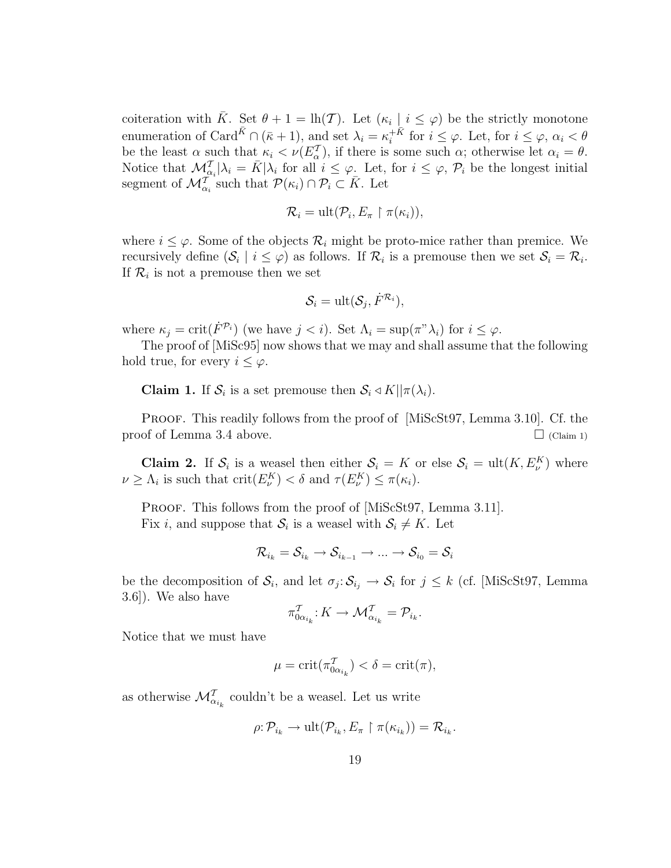coiteration with  $\bar{K}$ . Set  $\theta + 1 = \ln(\mathcal{T})$ . Let  $(\kappa_i | i \leq \varphi)$  be the strictly monotone enumeration of Card<sup> $\bar{K} \cap (\bar{\kappa} + 1)$ , and set  $\lambda_i = \kappa_i^{+ \bar{K}}$ </sup>  $i^{+K}$  for  $i \leq \varphi$ . Let, for  $i \leq \varphi$ ,  $\alpha_i < \theta$ be the least  $\alpha$  such that  $\kappa_i < \nu(E_{\alpha}^{\mathcal{T}})$ , if there is some such  $\alpha$ ; otherwise let  $\alpha_i = \theta$ . Notice that  $\mathcal{M}_{\alpha_i}^{\mathcal{I}}|\lambda_i = \bar{K}|\lambda_i$  for all  $i \leq \varphi$ . Let, for  $i \leq \varphi$ ,  $\mathcal{P}_i$  be the longest initial segment of  $\mathcal{M}_{\alpha_i}^{\mathcal{T}^{(i)}}$  such that  $\mathcal{P}(\kappa_i) \cap \mathcal{P}_i \subset \overline{K}$ . Let

$$
\mathcal{R}_i = \text{ult}(\mathcal{P}_i, E_{\pi} \restriction \pi(\kappa_i)),
$$

where  $i \leq \varphi$ . Some of the objects  $\mathcal{R}_i$  might be proto-mice rather than premice. We recursively define  $(\mathcal{S}_i \mid i \leq \varphi)$  as follows. If  $\mathcal{R}_i$  is a premouse then we set  $\mathcal{S}_i = \mathcal{R}_i$ . If  $\mathcal{R}_i$  is not a premouse then we set

$$
\mathcal{S}_i = \text{ult}(\mathcal{S}_j, \dot{F}^{\mathcal{R}_i}),
$$

where  $\kappa_j = \text{crit}(\dot{F}^{\mathcal{P}_i})$  (we have  $j < i$ ). Set  $\Lambda_i = \text{sup}(\pi^{\nu} \lambda_i)$  for  $i \leq \varphi$ .

The proof of [MiSc95] now shows that we may and shall assume that the following hold true, for every  $i \leq \varphi$ .

**Claim 1.** If  $S_i$  is a set premouse then  $S_i \triangleleft K || \pi(\lambda_i)$ .

PROOF. This readily follows from the proof of [MiScSt97, Lemma 3.10]. Cf. the proof of Lemma 3.4 above.  $\Box$  (Claim 1)

**Claim 2.** If  $S_i$  is a weasel then either  $S_i = K$  or else  $S_i = \text{ult}(K, E_{\nu}^K)$  where  $\nu \geq \Lambda_i$  is such that  $\mathrm{crit}(E_{\nu}^K) < \delta$  and  $\tau(E_{\nu}^K) \leq \pi(\kappa_i)$ .

PROOF. This follows from the proof of [MiScSt97, Lemma 3.11]. Fix *i*, and suppose that  $S_i$  is a weasel with  $S_i \neq K$ . Let

$$
\mathcal{R}_{i_k} = \mathcal{S}_{i_k} \rightarrow \mathcal{S}_{i_{k-1}} \rightarrow ... \rightarrow \mathcal{S}_{i_0} = \mathcal{S}_i
$$

be the decomposition of  $S_i$ , and let  $\sigma_j: S_{i_j} \to S_i$  for  $j \leq k$  (cf. [MiScSt97, Lemma 3.6]). We also have

$$
\pi_{0\alpha_{i_k}}^{\mathcal{T}}: K \to \mathcal{M}_{\alpha_{i_k}}^{\mathcal{T}} = \mathcal{P}_{i_k}.
$$

Notice that we must have

$$
\mu = \operatorname{crit}(\pi^{\mathcal{T}}_{0\alpha_{i_k}}) < \delta = \operatorname{crit}(\pi),
$$

as otherwise  $\mathcal{M}_{\alpha_{i_k}}^{\mathcal{T}}$  couldn't be a weasel. Let us write

$$
\rho: \mathcal{P}_{i_k} \to \text{ult}(\mathcal{P}_{i_k}, E_{\pi} \upharpoonright \pi(\kappa_{i_k})) = \mathcal{R}_{i_k}.
$$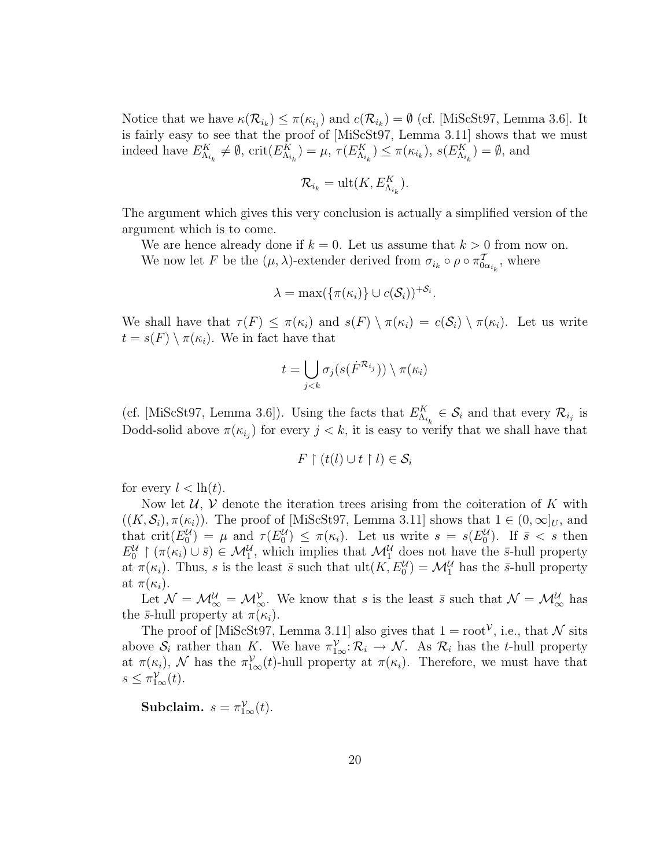Notice that we have  $\kappa(\mathcal{R}_{i_k}) \leq \pi(\kappa_{i_j})$  and  $c(\mathcal{R}_{i_k}) = \emptyset$  (cf. [MiScSt97, Lemma 3.6]. It is fairly easy to see that the proof of [MiScSt97, Lemma 3.11] shows that we must indeed have  $E_{\Lambda_{i_k}}^K \neq \emptyset$ ,  $\text{crit}(E_{\Lambda_{i_k}}^K) = \mu$ ,  $\tau(E_{\Lambda_{i_k}}^K) \leq \pi(\kappa_{i_k})$ ,  $s(E_{\Lambda_{i_k}}^K) = \emptyset$ , and

$$
\mathcal{R}_{i_k} = \text{ult}(K, E_{\Lambda_{i_k}}^K).
$$

The argument which gives this very conclusion is actually a simplified version of the argument which is to come.

We are hence already done if  $k = 0$ . Let us assume that  $k > 0$  from now on.

We now let F be the  $(\mu, \lambda)$ -extender derived from  $\sigma_{i_k} \circ \rho \circ \pi_{0\alpha_{i_k}}^T$ , where

$$
\lambda = \max(\{\pi(\kappa_i)\} \cup c(\mathcal{S}_i))^{+\mathcal{S}_i}.
$$

We shall have that  $\tau(F) \leq \pi(\kappa_i)$  and  $s(F) \setminus \pi(\kappa_i) = c(S_i) \setminus \pi(\kappa_i)$ . Let us write  $t = s(F) \setminus \pi(\kappa_i)$ . We in fact have that

$$
t = \bigcup_{j < k} \sigma_j(s(\dot{F}^{\mathcal{R}_{i_j}})) \setminus \pi(\kappa_i)
$$

(cf. [MiScSt97, Lemma 3.6]). Using the facts that  $E_{\Lambda_{i_k}}^K \in \mathcal{S}_i$  and that every  $\mathcal{R}_{i_j}$  is Dodd-solid above  $\pi(\kappa_{i_j})$  for every  $j < k$ , it is easy to verify that we shall have that

$$
F \restriction (t(l) \cup t \restriction l) \in \mathcal{S}_i
$$

for every  $l < lh(t)$ .

Now let  $U, V$  denote the iteration trees arising from the coiteration of K with  $((K, \mathcal{S}_i), \pi(\kappa_i))$ . The proof of [MiScSt97, Lemma 3.11] shows that  $1 \in (0, \infty]_U$ , and that crit $(E_0^{\mathcal{U}}) = \mu$  and  $\tau(E_0^{\mathcal{U}}) \leq \pi(\kappa_i)$ . Let us write  $s = s(E_0^{\mathcal{U}})$ . If  $\bar{s} < s$  then  $E_0^{\mathcal{U}} \restriction (\pi(\kappa_i) \cup \bar{s}) \in \mathcal{M}_1^{\mathcal{U}}$ , which implies that  $\mathcal{M}_1^{\mathcal{U}}$  does not have the  $\bar{s}$ -hull property at  $\pi(\kappa_i)$ . Thus, s is the least  $\bar{s}$  such that  $ult(K, E_0^{\mathcal{U}}) = \mathcal{M}_1^{\mathcal{U}}$  has the  $\bar{s}$ -hull property at  $\pi(\kappa_i)$ .

Let  $\mathcal{N} = \mathcal{M}_{\infty}^{\mathcal{U}} = \mathcal{M}_{\infty}^{\mathcal{V}}$ . We know that s is the least  $\bar{s}$  such that  $\mathcal{N} = \mathcal{M}_{\infty}^{\mathcal{U}}$  has the  $\bar{s}$ -hull property at  $\pi(\kappa_i)$ .

The proof of [MiScSt97, Lemma 3.11] also gives that  $1 = root^{\mathcal{V}}$ , i.e., that N sits above  $S_i$  rather than K. We have  $\pi_{1\infty}^{\mathcal{V}}: \mathcal{R}_i \to \mathcal{N}$ . As  $\mathcal{R}_i$  has the t-hull property at  $\pi(\kappa_i)$ , N has the  $\pi_{1\infty}^{\mathcal{V}}(t)$ -hull property at  $\pi(\kappa_i)$ . Therefore, we must have that  $s \leq \pi_{1\infty}^{\mathcal{V}}(t).$ 

Subclaim.  $s = \pi_{1\infty}^{\mathcal{V}}(t)$ .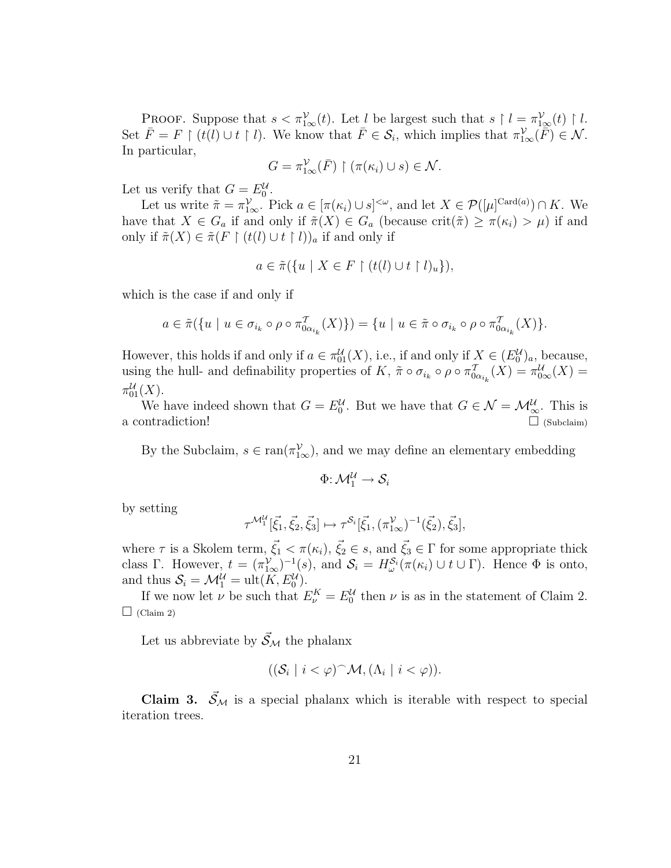**PROOF.** Suppose that  $s < \pi_{1\infty}^{\mathcal{V}}(t)$ . Let l be largest such that  $s \restriction l = \pi_{1\infty}^{\mathcal{V}}(t) \restriction l$ . Set  $\overline{F} = F \restriction (t(l) \cup t \restriction l)$ . We know that  $\overline{F} \in \mathcal{S}_i$ , which implies that  $\pi_{1\infty}^{\mathcal{V}}(\overline{F}) \in \mathcal{N}$ . In particular,

$$
G = \pi_{1\infty}^{\mathcal{V}}(\bar{F}) \restriction (\pi(\kappa_i) \cup s) \in \mathcal{N}.
$$

Let us verify that  $G = E_0^{\mathcal{U}}$ .

Let us write  $\tilde{\pi} = \pi_{1\infty}^{\mathcal{V}}$ . Pick  $a \in [\pi(\kappa_i) \cup s]^{<\omega}$ , and let  $X \in \mathcal{P}([\mu]^{\mathrm{Card}(a)}) \cap K$ . We have that  $X \in G_a$  if and only if  $\tilde{\pi}(X) \in G_a$  (because crit $(\tilde{\pi}) \geq \pi(\kappa_i) > \mu$ ) if and only if  $\tilde{\pi}(X) \in \tilde{\pi}(F \restriction (t(l) \cup t \restriction l))_a$  if and only if

$$
a \in \tilde{\pi}(\{u \mid X \in F \restriction (t(l) \cup t \restriction l)_u\}),
$$

which is the case if and only if

$$
a \in \tilde{\pi}(\lbrace u \mid u \in \sigma_{i_k} \circ \rho \circ \pi_{0 \alpha_{i_k}}^T(X) \rbrace) = \lbrace u \mid u \in \tilde{\pi} \circ \sigma_{i_k} \circ \rho \circ \pi_{0 \alpha_{i_k}}^T(X) \rbrace.
$$

However, this holds if and only if  $a \in \pi_{01}^{\mathcal{U}}(X)$ , i.e., if and only if  $X \in (E_0^{\mathcal{U}})_a$ , because, using the hull- and definability properties of K,  $\tilde{\pi} \circ \sigma_{i_k} \circ \rho \circ \pi_{0\alpha_{i_k}}^T(X) = \pi_{0\infty}^{\mathcal{U}}(X) =$  $\pi_{01}^{\mathcal{U}}(X).$ 

We have indeed shown that  $G = E_0^{\mathcal{U}}$ . But we have that  $G \in \mathcal{N} = \mathcal{M}_{\infty}^{\mathcal{U}}$ . This is a contradiction!  $\Box$  (Subclaim)

By the Subclaim,  $s \in \text{ran}(\pi_{1\infty}^{\mathcal{V}})$ , and we may define an elementary embedding

$$
\Phi \colon \mathcal{M}_1^\mathcal{U} \to \mathcal{S}_i
$$

by setting

$$
\tau^{\mathcal{M}_1^{\mathcal{U}}}[\vec{\xi}_1, \vec{\xi}_2, \vec{\xi}_3] \mapsto \tau^{\mathcal{S}_i}[\vec{\xi}_1, (\pi_{1\infty}^{\mathcal{V}})^{-1}(\vec{\xi}_2), \vec{\xi}_3],
$$

where  $\tau$  is a Skolem term,  $\vec{\xi}_1 < \pi(\kappa_i)$ ,  $\vec{\xi}_2 \in s$ , and  $\vec{\xi}_3 \in \Gamma$  for some appropriate thick class Γ. However,  $t = (\pi_{1\infty}^{\mathcal{V}})^{-1}(s)$ , and  $\mathcal{S}_i = H_{\omega}^{\mathcal{S}_i}(\pi(\kappa_i) \cup t \cup \Gamma)$ . Hence  $\Phi$  is onto, and thus  $S_i = \mathcal{M}_1^{\mathcal{U}} = \text{ult}(K, E_0^{\mathcal{U}}).$ 

If we now let  $\nu$  be such that  $E_{\nu}^{K} = E_{0}^{U}$  then  $\nu$  is as in the statement of Claim 2.  $\Box$  (Claim 2)

Let us abbreviate by  $\vec{S}_{\mathcal{M}}$  the phalanx

$$
((\mathcal{S}_i \mid i < \varphi)^\frown \mathcal{M}, (\Lambda_i \mid i < \varphi)).
$$

Claim 3.  $\vec{S}_{\mathcal{M}}$  is a special phalanx which is iterable with respect to special iteration trees.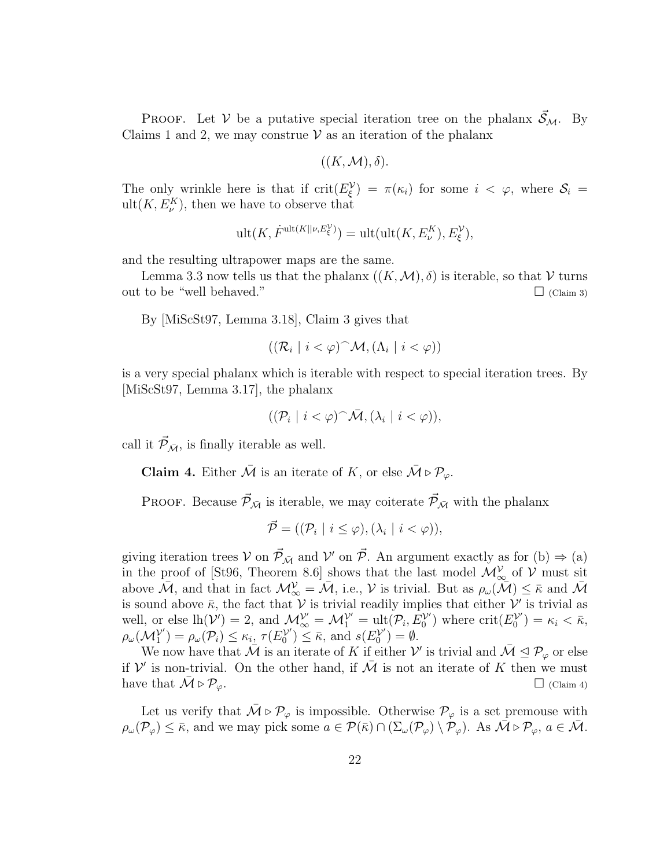**PROOF.** Let V be a putative special iteration tree on the phalanx  $S_M$ . By Claims 1 and 2, we may construe  $V$  as an iteration of the phalanx

$$
((K, \mathcal{M}), \delta).
$$

The only wrinkle here is that if  $\text{crit}(E_{\xi}^{\mathcal{V}}) = \pi(\kappa_i)$  for some  $i < \varphi$ , where  $\mathcal{S}_i =$  $ult(K, E_{\nu}^{K}),$  then we have to observe that

$$
\mathrm{ult}(K,\dot{F}^{\mathrm{ult}(K||\nu,E^{\mathcal{V}}_{\xi})})=\mathrm{ult}(\mathrm{ult}(K,E^K_{\nu}),E^{\mathcal{V}}_{\xi}),
$$

and the resulting ultrapower maps are the same.

Lemma 3.3 now tells us that the phalanx  $((K,\mathcal{M}),\delta)$  is iterable, so that V turns out to be "well behaved."  $\Box$  (Claim 3)

By [MiScSt97, Lemma 3.18], Claim 3 gives that

$$
((\mathcal{R}_i \mid i < \varphi)^\frown \mathcal{M}, (\Lambda_i \mid i < \varphi))
$$

is a very special phalanx which is iterable with respect to special iteration trees. By [MiScSt97, Lemma 3.17], the phalanx

$$
((\mathcal{P}_i \mid i < \varphi)^\frown \bar{\mathcal{M}}, (\lambda_i \mid i < \varphi)),
$$

call it  $\vec{\mathcal{P}}_{\bar{\mathcal{M}}}$ , is finally iterable as well.

**Claim 4.** Either  $\overline{\mathcal{M}}$  is an iterate of K, or else  $\overline{\mathcal{M}} \triangleright \mathcal{P}_{\varphi}$ .

PROOF. Because  $\vec{\mathcal{P}}_{\bar{\mathcal{M}}}$  is iterable, we may coiterate  $\vec{\mathcal{P}}_{\bar{\mathcal{M}}}$  with the phalanx

$$
\vec{\mathcal{P}} = ((\mathcal{P}_i \mid i \leq \varphi), (\lambda_i \mid i < \varphi)),
$$

giving iteration trees  $V$  on  $\vec{\mathcal{P}}_{\bar{\mathcal{M}}}$  and  $V'$  on  $\vec{\mathcal{P}}$ . An argument exactly as for (b)  $\Rightarrow$  (a) in the proof of [St96, Theorem 8.6] shows that the last model  $\mathcal{M}_{\infty}^{\mathcal{V}}$  of  $\mathcal{V}$  must sit above  $\mathcal{\tilde{M}}$ , and that in fact  $\mathcal{M}_{\infty}^{\mathcal{V}} = \mathcal{\tilde{M}}$ , i.e.,  $\mathcal{V}$  is trivial. But as  $\rho_{\omega}(\mathcal{\tilde{M}}) \leq \bar{\kappa}$  and  $\mathcal{\tilde{M}}$ is sound above  $\bar{\kappa}$ , the fact that  $\mathcal V$  is trivial readily implies that either  $\mathcal V'$  is trivial as well, or else  $lh(\mathcal{V}')=2$ , and  $\mathcal{M}_{\infty}^{\mathcal{V}'}=\mathcal{M}_{1}^{\mathcal{V}'}=\text{ult}(\mathcal{P}_i,E_0^{\mathcal{V}'})$  $\binom{\mathcal{V}'}{0}$  where crit $(E_0^{\mathcal{V}'}$  $\binom{\mathcal{V}'}{0} = \kappa_i < \bar{\kappa},$  $\rho_\omega(\mathcal{M}_1^{\mathcal{V}'}$  $\binom{\mathcal{V}'}{1} = \rho_\omega(\mathcal{P}_i) \leq \kappa_i, \, \tau(E_0^{\mathcal{V}'}).$  $S_0^{(\mathcal{V}')} \leq \bar{\kappa}$ , and  $s(E_0^{(\mathcal{V}')}$  $\binom{\mathcal{V}'}{0} = \emptyset.$ 

We now have that  $\mathcal{\overline{M}}$  is an iterate of K if either  $\mathcal{V}'$  is trivial and  $\mathcal{\overline{M}} \trianglelefteq \mathcal{P}_{\varphi}$  or else if  $\mathcal V'$  is non-trivial. On the other hand, if  $\bar{\mathcal M}$  is not an iterate of K then we must have that  $M \triangleright \mathcal{P}_{\varphi}$ .  $\Box$  (Claim 4)

Let us verify that  $\bar{M} \triangleright \mathcal{P}_{\varphi}$  is impossible. Otherwise  $\mathcal{P}_{\varphi}$  is a set premouse with  $\rho_\omega(\mathcal{P}_\varphi) \leq \bar{\kappa}$ , and we may pick some  $a \in \mathcal{P}(\bar{\kappa}) \cap (\Sigma_\omega(\mathcal{P}_\varphi) \setminus \mathcal{P}_\varphi)$ . As  $\bar{\mathcal{M}} \triangleright \mathcal{P}_\varphi$ ,  $a \in \bar{\mathcal{M}}$ .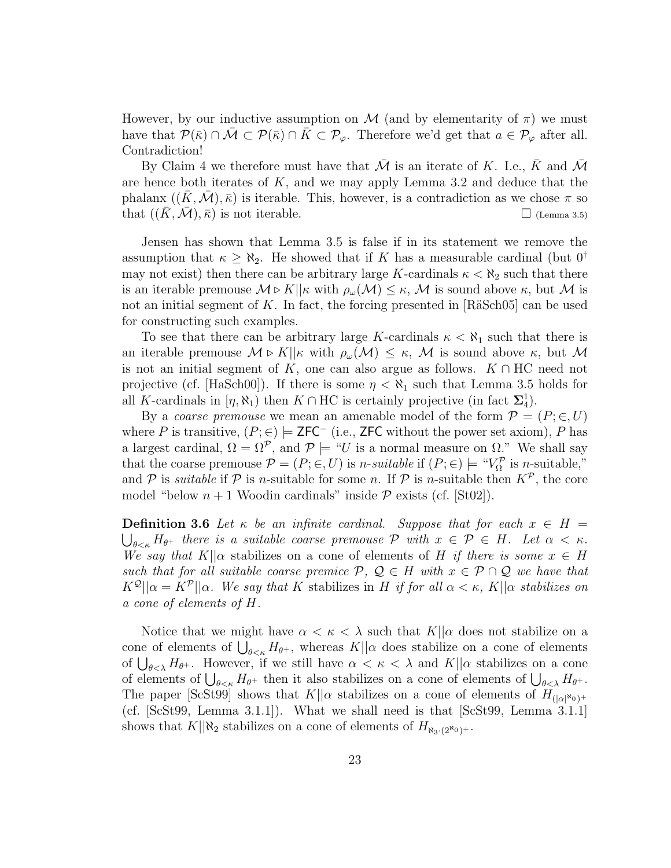However, by our inductive assumption on M (and by elementarity of  $\pi$ ) we must have that  $\mathcal{P}(\bar{\kappa}) \cap \bar{\mathcal{M}} \subset \mathcal{P}(\bar{\kappa}) \cap \bar{K} \subset \mathcal{P}_{\varphi}$ . Therefore we'd get that  $a \in \mathcal{P}_{\varphi}$  after all. Contradiction!

By Claim 4 we therefore must have that  $\overline{\mathcal{M}}$  is an iterate of K. I.e.,  $\overline{K}$  and  $\overline{\mathcal{M}}$ are hence both iterates of  $K$ , and we may apply Lemma 3.2 and deduce that the phalanx  $((K, \mathcal{M}), \overline{\kappa})$  is iterable. This, however, is a contradiction as we chose  $\pi$  so that  $((K, \mathcal{M}), \overline{\kappa})$  is not iterable.  $\square$  (Lemma 3.5)

Jensen has shown that Lemma 3.5 is false if in its statement we remove the assumption that  $\kappa \geq \aleph_2$ . He showed that if K has a measurable cardinal (but  $0^{\dagger}$ ) may not exist) then there can be arbitrary large K-cardinals  $\kappa < \aleph_2$  such that there is an iterable premouse  $M \triangleright K||\kappa$  with  $\rho_\omega(M) \leq \kappa$ , M is sound above  $\kappa$ , but M is not an initial segment of K. In fact, the forcing presented in  $[R\ddot{a}Sch05]$  can be used for constructing such examples.

To see that there can be arbitrary large K-cardinals  $\kappa < \aleph_1$  such that there is an iterable premouse  $M \triangleright K||\kappa$  with  $\rho_\omega(M) \leq \kappa$ , M is sound above  $\kappa$ , but M is not an initial segment of K, one can also argue as follows.  $K \cap \text{HC}$  need not projective (cf. [HaSch00]). If there is some  $\eta < \aleph_1$  such that Lemma 3.5 holds for all K-cardinals in  $[\eta, \aleph_1)$  then  $K \cap HC$  is certainly projective (in fact  $\Sigma_4^1$ ).

By a *coarse premouse* we mean an amenable model of the form  $\mathcal{P} = (P; \in, U)$ where P is transitive,  $(P, \in) \models$  ZFC<sup>-</sup> (i.e., ZFC without the power set axiom), P has a largest cardinal,  $\Omega = \Omega^{\mathcal{P}}$ , and  $\mathcal{P} \models \text{``}U$  is a normal measure on  $\Omega$ ." We shall say that the coarse premouse  $\mathcal{P} = (P; \in, U)$  is *n*-suitable if  $(P; \in) \models "V^{\mathcal{P}}_{\Omega}$  is *n*-suitable," and P is *suitable* if P is *n*-suitable for some *n*. If P is *n*-suitable then  $K^p$ , the core model "below  $n + 1$  Woodin cardinals" inside  $P$  exists (cf. [St02]).

**Definition 3.6** Let  $\kappa$  be an infinite cardinal. Suppose that for each  $x \in H =$  $\bigcup_{\theta \leq \kappa} H_{\theta^+}$  there is a suitable coarse premouse P with  $x \in \mathcal{P} \in H$ . Let  $\alpha < \kappa$ . We say that K|| $\alpha$  stabilizes on a cone of elements of H if there is some  $x \in H$ such that for all suitable coarse premice  $P, Q \in H$  with  $x \in P \cap Q$  we have that  $K^{\mathcal{Q}}||\alpha = K^{\mathcal{P}}||\alpha$ . We say that K stabilizes in H if for all  $\alpha < \kappa$ , K|| $\alpha$  stabilizes on a cone of elements of H.

Notice that we might have  $\alpha < \kappa < \lambda$  such that  $K||\alpha$  does not stabilize on a Notice that we finglit have  $\alpha < \kappa < \lambda$  such that  $K||\alpha$  does not stabilize on a<br>cone of elements of  $\bigcup_{\theta < \kappa} H_{\theta^+}$ , whereas  $K||\alpha$  does stabilize on a cone of elements cone of elements of  $\bigcup_{\theta \leq \lambda} H_{\theta+}$ . However, if we still have  $\alpha < \kappa < \lambda$  and  $K||\alpha$  stabilizes on a cone of  $\bigcup_{\theta \leq \lambda} H_{\theta+}$ . However, if we still have  $\alpha \leq \kappa \leq \lambda$  and  $K||\alpha$  stabilizes on a cone of elements of  $\bigcup_{\theta \leq \lambda} H_{\theta+}$ . The paper [ScSt99] shows that  $K||\alpha$  stabilizes on a cone of elements of  $H_{(|\alpha|^{\aleph_0})^+}$ (cf. [ScSt99, Lemma 3.1.1]). What we shall need is that [ScSt99, Lemma 3.1.1] shows that  $K||\aleph_2$  stabilizes on a cone of elements of  $H_{\aleph_3,(2^{\aleph_0})^+}.$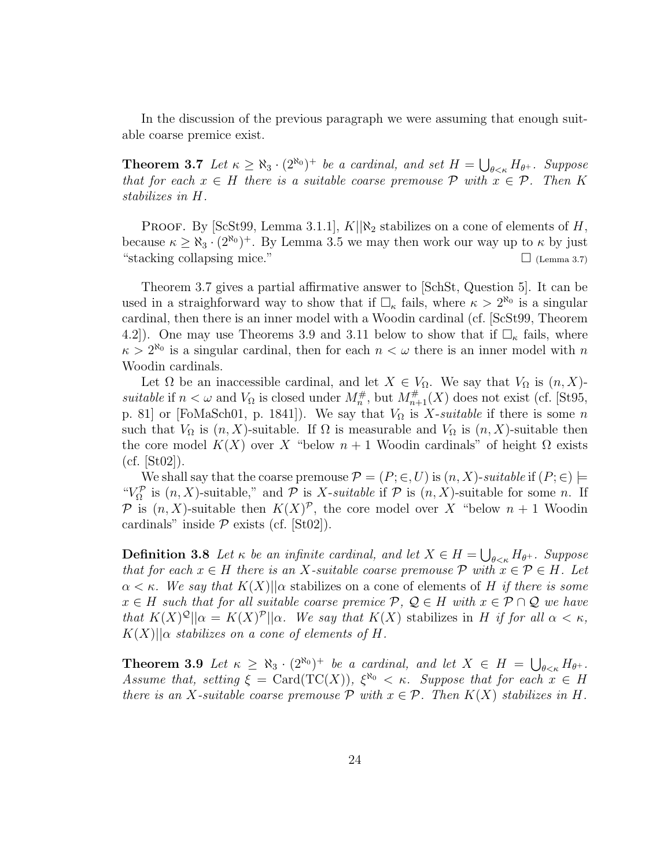In the discussion of the previous paragraph we were assuming that enough suitable coarse premice exist.

**Theorem 3.7** Let  $\kappa \ge \aleph_3 \cdot (2^{\aleph_0})^+$  be a cardinal, and set  $H = \bigcup$  $\theta_{\leq \kappa} H_{\theta^+}$ . Suppose that for each  $x \in H$  there is a suitable coarse premouse  $P$  with  $x \in P$ . Then K stabilizes in H.

PROOF. By [ScSt99, Lemma 3.1.1],  $K||\aleph_2$  stabilizes on a cone of elements of H, because  $\kappa \geq \aleph_3 \cdot (2^{\aleph_0})^+$ . By Lemma 3.5 we may then work our way up to  $\kappa$  by just "stacking collapsing mice."  $\Box$  (Lemma 3.7)

Theorem 3.7 gives a partial affirmative answer to [SchSt, Question 5]. It can be used in a straighforward way to show that if  $\Box_{\kappa}$  fails, where  $\kappa > 2^{\aleph_0}$  is a singular cardinal, then there is an inner model with a Woodin cardinal (cf. [ScSt99, Theorem 4.2]). One may use Theorems 3.9 and 3.11 below to show that if  $\Box_{\kappa}$  fails, where  $\kappa > 2^{\aleph_0}$  is a singular cardinal, then for each  $n < \omega$  there is an inner model with n Woodin cardinals.

Let  $\Omega$  be an inaccessible cardinal, and let  $X \in V_{\Omega}$ . We say that  $V_{\Omega}$  is  $(n, X)$ suitable if  $n < \omega$  and  $V_{\Omega}$  is closed under  $M_n^{\#}$ , but  $M_{n+1}^{\#}(X)$  does not exist (cf. [St95, p. 81] or [FoMaSch01, p. 1841]). We say that  $V_{\Omega}$  is X-suitable if there is some n such that  $V_{\Omega}$  is  $(n, X)$ -suitable. If  $\Omega$  is measurable and  $V_{\Omega}$  is  $(n, X)$ -suitable then the core model  $K(X)$  over X "below  $n + 1$  Woodin cardinals" of height  $\Omega$  exists  $(cf. |St02|).$ 

We shall say that the coarse premouse  $\mathcal{P} = (P; \in, U)$  is  $(n, X)$ -suitable if  $(P; \in) \models$ " $V_{\Omega}^{\mathcal{P}}$  is  $(n, X)$ -suitable," and  $\mathcal{P}$  is X-suitable if  $\mathcal{P}$  is  $(n, X)$ -suitable for some n. If P is  $(n, X)$ -suitable then  $K(X)^{p}$ , the core model over X "below  $n + 1$  Woodin cardinals" inside  $P$  exists (cf. [St02]).

**Definition 3.8** Let  $\kappa$  be an infinite cardinal, and let  $X \in H$  = S  $\theta_{\leq \kappa} H_{\theta^+}$ . Suppose that for each  $x \in H$  there is an X-suitable coarse premouse  $\mathcal{P}$  with  $x \in \mathcal{P} \in H$ . Let  $\alpha < \kappa$ . We say that  $K(X)$ || $\alpha$  stabilizes on a cone of elements of H if there is some  $x \in H$  such that for all suitable coarse premice  $P, Q \in H$  with  $x \in P \cap Q$  we have that  $K(X)^{\mathcal{Q}}||\alpha = K(X)^{\mathcal{P}}||\alpha$ . We say that  $K(X)$  stabilizes in H if for all  $\alpha < \kappa$ ,  $K(X)$ || $\alpha$  stabilizes on a cone of elements of H.

**Theorem 3.9** Let  $\kappa \ge \aleph_3 \cdot (2^{\aleph_0})^+$  be a cardinal, and let  $X \in H = \bigcup$  $_{\theta<\kappa}$  H $_{\theta^+}$ . Assume that, setting  $\xi = \text{Card}(\text{TC}(X))$ ,  $\xi^{\aleph_0} < \kappa$ . Suppose that for each  $x \in H$ there is an X-suitable coarse premouse  $P$  with  $x \in P$ . Then  $K(X)$  stabilizes in H.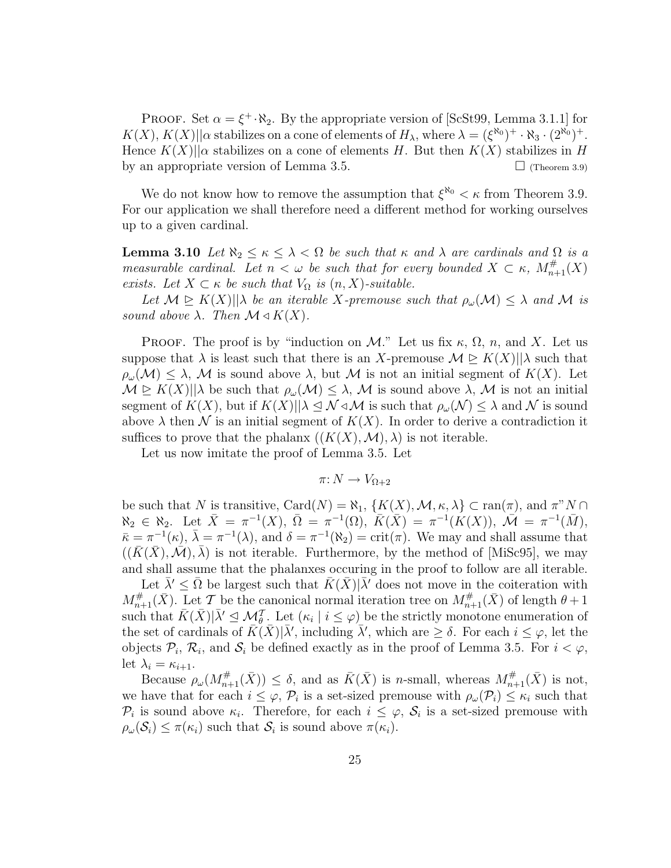PROOF. Set  $\alpha = \xi^+ \cdot \aleph_2$ . By the appropriate version of [ScSt99, Lemma 3.1.1] for  $K(X), K(X) || \alpha$  stabilizes on a cone of elements of  $H_{\lambda}$ , where  $\lambda = (\xi^{\aleph_0})^+ \cdot \aleph_3 \cdot (2^{\aleph_0})^+$ . Hence  $K(X)$ || $\alpha$  stabilizes on a cone of elements H. But then  $K(X)$  stabilizes in H by an appropriate version of Lemma 3.5.  $\Box$  (Theorem 3.9)

We do not know how to remove the assumption that  $\xi^{\aleph_0} < \kappa$  from Theorem 3.9. For our application we shall therefore need a different method for working ourselves up to a given cardinal.

**Lemma 3.10** Let  $\aleph_2 \leq \kappa \leq \lambda < \Omega$  be such that  $\kappa$  and  $\lambda$  are cardinals and  $\Omega$  is a measurable cardinal. Let  $n < \omega$  be such that for every bounded  $X \subset \kappa$ ,  $M_{n+1}^{\#}(X)$ exists. Let  $X \subset \kappa$  be such that  $V_{\Omega}$  is  $(n, X)$ -suitable.

Let  $\mathcal{M} \trianglerighteq K(X)||\lambda$  be an iterable X-premouse such that  $\rho_\omega(\mathcal{M}) \leq \lambda$  and M is sound above  $\lambda$ . Then  $\mathcal{M} \triangleleft K(X)$ .

**PROOF.** The proof is by "induction on M." Let us fix  $\kappa$ ,  $\Omega$ ,  $n$ , and X. Let us suppose that  $\lambda$  is least such that there is an X-premouse  $\mathcal{M} \trianglerighteq K(X)||\lambda$  such that  $\rho_\omega(\mathcal{M}) \leq \lambda$ , M is sound above  $\lambda$ , but M is not an initial segment of  $K(X)$ . Let  $\mathcal{M} \trianglerighteq K(X)||\lambda$  be such that  $\rho_\omega(\mathcal{M}) \leq \lambda$ , M is sound above  $\lambda$ , M is not an initial segment of  $K(X)$ , but if  $K(X)||\lambda \leq \mathcal{N} \triangleleft \mathcal{M}$  is such that  $\rho_\omega(\mathcal{N}) \leq \lambda$  and  $\mathcal{N}$  is sound above  $\lambda$  then  $\mathcal N$  is an initial segment of  $K(X)$ . In order to derive a contradiction it suffices to prove that the phalanx  $((K(X),\mathcal{M}),\lambda)$  is not iterable.

Let us now imitate the proof of Lemma 3.5. Let

$$
\pi\colon N\to V_{\Omega+2}
$$

be such that N is transitive, Card $(N) = \aleph_1$ ,  $\{K(X), \mathcal{M}, \kappa, \lambda\} \subset \text{ran}(\pi)$ , and  $\pi^* N \cap$  $\aleph_2 \in \aleph_2$ . Let  $\bar{X} = \pi^{-1}(X)$ ,  $\bar{\Omega} = \pi^{-1}(\Omega)$ ,  $\bar{K}(\bar{X}) = \pi^{-1}(K(X))$ ,  $\mathcal{M} = \pi^{-1}(\bar{M})$ ,  $\bar{\kappa} = \pi^{-1}(\kappa), \bar{\lambda} = \pi^{-1}(\lambda), \text{ and } \delta = \pi^{-1}(\aleph_2) = \text{crit}(\pi).$  We may and shall assume that  $((K(X),\mathcal{M}),\lambda)$  is not iterable. Furthermore, by the method of [MiSc95], we may and shall assume that the phalanxes occuring in the proof to follow are all iterable.

Let  $\bar{\lambda}' \leq \bar{\Omega}$  be largest such that  $\bar{K}(\bar{X})|\bar{\lambda}'$  does not move in the coiteration with  $M_{n+1}^{\#}(\bar{X})$ . Let T be the canonical normal iteration tree on  $M_{n+1}^{\#}(\bar{X})$  of length  $\theta+1$ such that  $\bar{K}(\bar{X})|\bar{\lambda}' \leq \mathcal{M}_{\theta}^T$ . Let  $(\kappa_i \mid i \leq \varphi)$  be the strictly monotone enumeration of the set of cardinals of  $\bar{K}(\bar{X})|\bar{\lambda}'$ , including  $\bar{\lambda}'$ , which are  $\geq \delta$ . For each  $i \leq \varphi$ , let the objects  $\mathcal{P}_i$ ,  $\mathcal{R}_i$ , and  $\mathcal{S}_i$  be defined exactly as in the proof of Lemma 3.5. For  $i < \varphi$ , let  $\lambda_i = \kappa_{i+1}$ .

Because  $\rho_\omega(M_{n+1}^{\#}(\bar{X})) \leq \delta$ , and as  $\bar{K}(\bar{X})$  is n-small, whereas  $M_{n+1}^{\#}(\bar{X})$  is not, we have that for each  $i \leq \varphi$ ,  $\mathcal{P}_i$  is a set-sized premouse with  $\rho_\omega(\mathcal{P}_i) \leq \kappa_i$  such that  $\mathcal{P}_i$  is sound above  $\kappa_i$ . Therefore, for each  $i \leq \varphi$ ,  $\mathcal{S}_i$  is a set-sized premouse with  $\rho_\omega(\mathcal{S}_i) \leq \pi(\kappa_i)$  such that  $\mathcal{S}_i$  is sound above  $\pi(\kappa_i)$ .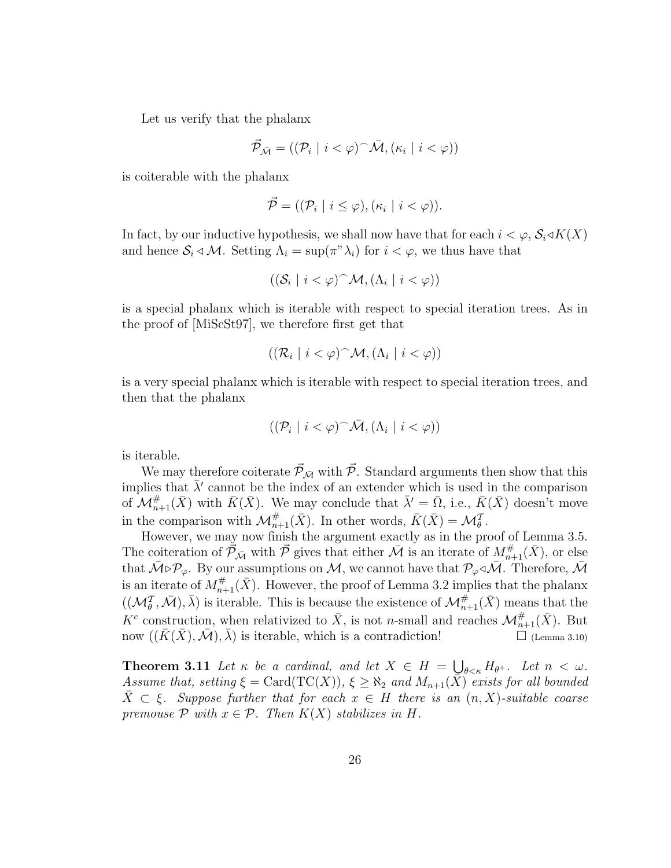Let us verify that the phalanx

$$
\vec{\mathcal{P}}_{\bar{\mathcal{M}}} = ((\mathcal{P}_i \mid i < \varphi)^\frown \bar{\mathcal{M}}, (\kappa_i \mid i < \varphi))
$$

is coiterable with the phalanx

$$
\vec{\mathcal{P}} = ((\mathcal{P}_i \mid i \leq \varphi), (\kappa_i \mid i < \varphi)).
$$

In fact, by our inductive hypothesis, we shall now have that for each  $i < \varphi$ ,  $\mathcal{S}_i \triangleleft K(X)$ and hence  $S_i \triangleleft \mathcal{M}$ . Setting  $\Lambda_i = \sup(\pi^* \lambda_i)$  for  $i < \varphi$ , we thus have that

$$
((\mathcal{S}_i \mid i < \varphi)^\frown \mathcal{M}, (\Lambda_i \mid i < \varphi))
$$

is a special phalanx which is iterable with respect to special iteration trees. As in the proof of [MiScSt97], we therefore first get that

$$
((\mathcal{R}_i \mid i < \varphi)^\frown \mathcal{M}, (\Lambda_i \mid i < \varphi))
$$

is a very special phalanx which is iterable with respect to special iteration trees, and then that the phalanx

$$
((\mathcal{P}_i \mid i < \varphi)^\frown \bar{\mathcal{M}}, (\Lambda_i \mid i < \varphi))
$$

is iterable.

We may therefore coiterate  $\vec{\mathcal{P}}_{\bar{\mathcal{M}}}$  with  $\vec{\mathcal{P}}$ . Standard arguments then show that this implies that  $\bar{\lambda}'$  cannot be the index of an extender which is used in the comparison of  $\mathcal{M}_{n+1}^{\#}(\bar{X})$  with  $\bar{K}(\bar{X})$ . We may conclude that  $\bar{\lambda}' = \bar{\Omega}$ , i.e.,  $\bar{K}(\bar{X})$  doesn't move in the comparison with  $\mathcal{M}_{n+1}^{\#}(\bar{X})$ . In other words,  $\bar{K}(\bar{X}) = \mathcal{M}_{\theta}^{\mathcal{T}}$ .

However, we may now finish the argument exactly as in the proof of Lemma 3.5. The coiteration of  $\vec{P}_{\bar{\mathcal{M}}}$  with  $\vec{P}$  gives that either  $\bar{\mathcal{M}}$  is an iterate of  $M^{\#}_{n+1}(\bar{X})$ , or else that  $\bar{M} \triangleright \mathcal{P}_{\varphi}$ . By our assumptions on M, we cannot have that  $\mathcal{P}_{\varphi} \triangleleft \bar{M}$ . Therefore,  $\bar{M}$ is an iterate of  $M^{\#}_{n+1}(\bar{X})$ . However, the proof of Lemma 3.2 implies that the phalanx  $((\mathcal{M}_{\theta}^{\mathcal{T}}, \bar{\mathcal{M}}), \bar{\lambda})$  is iterable. This is because the existence of  $\mathcal{M}_{n+1}^{\#}(\bar{X})$  means that the  $K^c$  construction, when relativized to  $\bar{X}$ , is not *n*-small and reaches  $\mathcal{M}_{n+1}^{\#}(\bar{X})$ . But now  $((\bar{K}(\bar{X}), \bar{\mathcal{M}}), \lambda)$  is iterable, which is a contradiction!  $\Box$  (Lemma 3.10)

**Theorem 3.11** Let  $\kappa$  be a cardinal, and let  $X \in H$  = S  $\theta_{\leq \kappa} H_{\theta^+}$ . Let  $n < \omega$ . Assume that, setting  $\xi = \text{Card}(\text{TC}(X)), \xi \geq \aleph_2$  and  $M_{n+1}(\bar{X})$  exists for all bounded  $X \subset \xi$ . Suppose further that for each  $x \in H$  there is an  $(n, X)$ -suitable coarse premouse  $P$  with  $x \in P$ . Then  $K(X)$  stabilizes in H.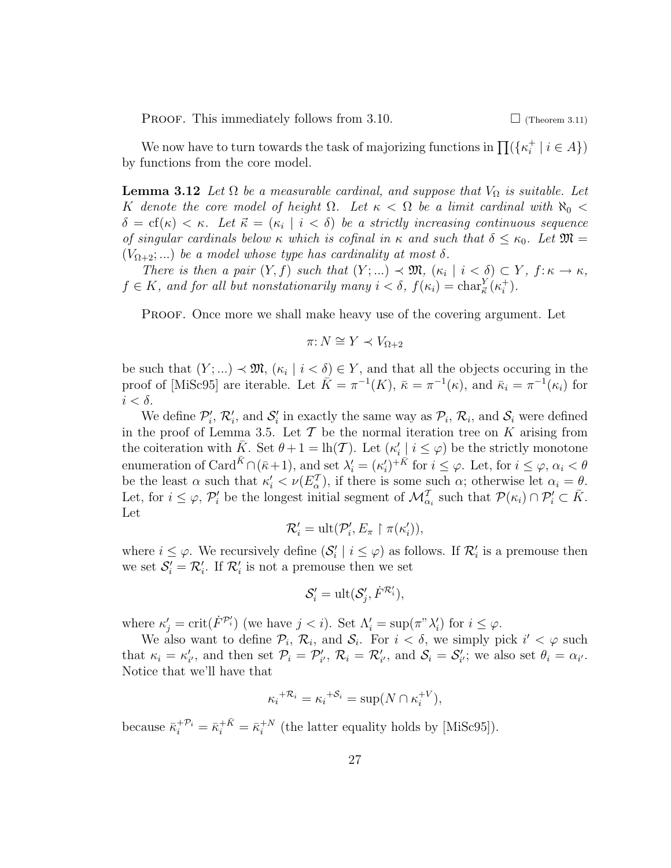**PROOF.** This immediately follows from 3.10.  $\Box$  (Theorem 3.11)

We now have to turn towards the task of majorizing functions in  $\prod({\{\kappa_i^+\})}$  $i^+ | i \in A \}$ by functions from the core model.

**Lemma 3.12** Let  $\Omega$  be a measurable cardinal, and suppose that  $V_{\Omega}$  is suitable. Let K denote the core model of height  $\Omega$ . Let  $\kappa < \Omega$  be a limit cardinal with  $\aleph_0 <$  $\delta = cf(\kappa) < \kappa$ . Let  $\vec{\kappa} = (\kappa_i \mid i < \delta)$  be a strictly increasing continuous sequence of singular cardinals below  $\kappa$  which is cofinal in  $\kappa$  and such that  $\delta \leq \kappa_0$ . Let  $\mathfrak{M} =$  $(V_{\Omega+2};...)$  be a model whose type has cardinality at most  $\delta$ .

There is then a pair  $(Y, f)$  such that  $(Y; ...) \prec \mathfrak{M}, (\kappa_i | i < \delta) \subset Y, f: \kappa \to \kappa$ ,  $f \in K$ , and for all but nonstationarily many  $i < \delta$ ,  $f(\kappa_i) = \text{char}^Y_{\vec{\kappa}}(\kappa_i^+$  $\binom{+}{i}$  .

PROOF. Once more we shall make heavy use of the covering argument. Let

$$
\pi: N \cong Y \prec V_{\Omega+2}
$$

be such that  $(Y; ...) \prec \mathfrak{M}, (\kappa_i \mid i < \delta) \in Y$ , and that all the objects occuring in the proof of [MiSc95] are iterable. Let  $\overline{K} = \pi^{-1}(K)$ ,  $\overline{\kappa} = \pi^{-1}(\kappa)$ , and  $\overline{\kappa}_i = \pi^{-1}(\kappa_i)$  for  $i < \delta$ .

We define  $\mathcal{P}'_i$ ,  $\mathcal{R}'_i$ , and  $\mathcal{S}'_i$  in exactly the same way as  $\mathcal{P}_i$ ,  $\mathcal{R}_i$ , and  $\mathcal{S}_i$  were defined in the proof of Lemma 3.5. Let  $\mathcal T$  be the normal iteration tree on K arising from the coiteration with  $\bar{K}$ . Set  $\theta + 1 = \ln(\mathcal{T})$ . Let  $(\kappa_i' | i \leq \varphi)$  be the strictly monotone enumeration of Card<sup> $\bar{K} \cap (\bar{\kappa}+1)$ , and set  $\lambda'_i = (\kappa'_i)^{+} \bar{K}$  for  $i \leq \varphi$ . Let, for  $i \leq \varphi$ ,  $\alpha_i < \theta$ </sup> be the least  $\alpha$  such that  $\kappa_i' < \nu(E_{\alpha}^{\mathcal{T}})$ , if there is some such  $\alpha_i$ ; otherwise let  $\alpha_i = \theta$ . Let, for  $i \leq \varphi$ ,  $\mathcal{P}'_i$  be the longest initial segment of  $\mathcal{M}_{\alpha_i}^{\mathcal{T}}$  such that  $\mathcal{P}(\kappa_i) \cap \mathcal{P}'_i \subset \overline{K}$ . Let

$$
\mathcal{R}'_i = \text{ult}(\mathcal{P}'_i, E_\pi \restriction \pi(\kappa'_i)),
$$

where  $i \leq \varphi$ . We recursively define  $(\mathcal{S}'_i \mid i \leq \varphi)$  as follows. If  $\mathcal{R}'_i$  is a premouse then we set  $S_i' = \mathcal{R}_i'$ . If  $\mathcal{R}_i'$  is not a premouse then we set

$$
\mathcal{S}'_i = \text{ult}(\mathcal{S}'_j, \dot{F}^{\mathcal{R}'_i}),
$$

where  $\kappa'_j = \text{crit}(\dot{F}^{\mathcal{P}'_i})$  (we have  $j < i$ ). Set  $\Lambda'_i = \text{sup}(\pi^{\nu} \lambda'_i)$  for  $i \leq \varphi$ .

We also want to define  $\mathcal{P}_i$ ,  $\mathcal{R}_i$ , and  $\mathcal{S}_i$ . For  $i < \delta$ , we simply pick  $i' < \varphi$  such that  $\kappa_i = \kappa'_{i'}$ , and then set  $\mathcal{P}_i = \mathcal{P}'_{i'}$ ,  $\mathcal{R}_i = \mathcal{R}'_{i'}$ , and  $\mathcal{S}_i = \mathcal{S}'_{i'}$ ; we also set  $\theta_i = \alpha_{i'}$ . Notice that we'll have that

$$
\kappa_i^{+{\mathcal R}_i} = \kappa_i^{+{\mathcal S}_i} = \sup(N \cap \kappa_i^{+V}),
$$

because  $\bar{\kappa}_i^{+ \mathcal{P}_i} = \bar{\kappa}_i^{+ \bar{K}} = \bar{\kappa}_i^{+ N}$  $i^{+N}$  (the latter equality holds by [MiSc95]).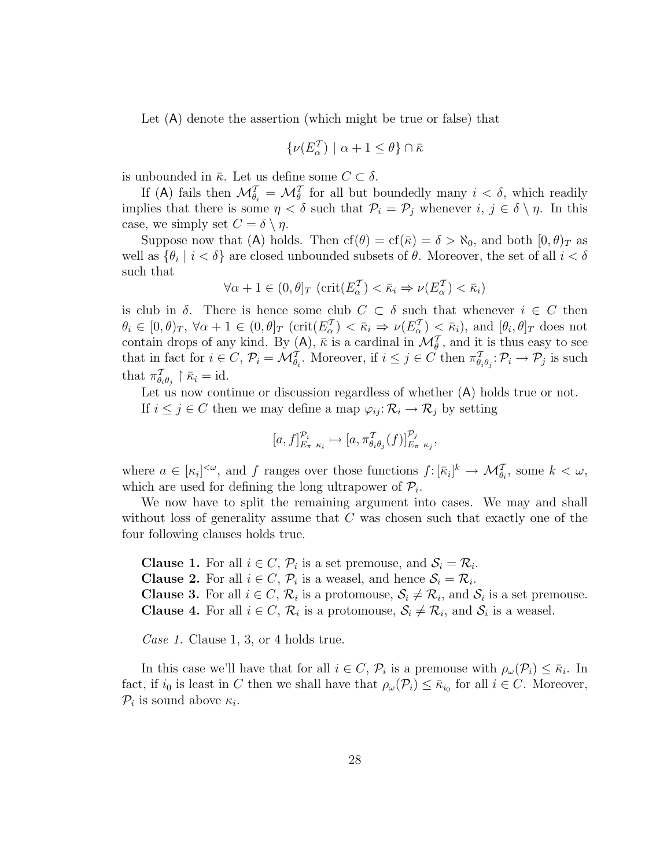Let (A) denote the assertion (which might be true or false) that

$$
\{\nu(E^{\mathcal T}_\alpha)\mid \alpha+1\leq \theta\}\cap \bar \kappa
$$

is unbounded in  $\bar{\kappa}$ . Let us define some  $C \subset \delta$ .

If (A) fails then  $\mathcal{M}_{\theta_i}^{\mathcal{T}} = \mathcal{M}_{\theta}^{\mathcal{T}}$  for all but boundedly many  $i < \delta$ , which readily implies that there is some  $\eta < \delta$  such that  $\mathcal{P}_i = \mathcal{P}_j$  whenever  $i, j \in \delta \setminus \eta$ . In this case, we simply set  $C = \delta \setminus \eta$ .

Suppose now that (A) holds. Then  $cf(\theta) = cf(\bar{\kappa}) = \delta > \aleph_0$ , and both  $[0, \theta)_T$  as well as  $\{\theta_i \mid i < \delta\}$  are closed unbounded subsets of  $\theta$ . Moreover, the set of all  $i < \delta$ such that

$$
\forall \alpha + 1 \in (0, \theta]_T \ (\text{crit}(E_{\alpha}^{\mathcal{T}}) < \bar{\kappa}_i \Rightarrow \nu(E_{\alpha}^{\mathcal{T}}) < \bar{\kappa}_i)
$$

is club in  $\delta$ . There is hence some club  $C \subset \delta$  such that whenever  $i \in C$  then  $\theta_i \in [0, \theta)_T$ ,  $\forall \alpha + 1 \in (0, \theta]_T$  (crit $(E_\alpha^{\mathcal{T}}) < \bar{\kappa}_i \Rightarrow \nu(E_\alpha^{\mathcal{T}}) < \bar{\kappa}_i$ ), and  $[\theta_i, \theta]_T$  does not contain drops of any kind. By (A),  $\bar{\kappa}$  is a cardinal in  $\mathcal{M}_{\theta}^{\mathcal{T}}$ , and it is thus easy to see that in fact for  $i \in C$ ,  $\mathcal{P}_i = \mathcal{M}_{\theta_i}^T$ . Moreover, if  $i \leq j \in C$  then  $\pi_{\theta_i \theta_j}^T \colon \mathcal{P}_i \to \mathcal{P}_j$  is such that  $\pi^{\mathcal{T}}_{\theta_i \theta_j} \restriction \bar{\kappa}_i = \text{id}.$ 

Let us now continue or discussion regardless of whether  $(A)$  holds true or not. If  $i \leq j \in C$  then we may define a map  $\varphi_{ij} : \mathcal{R}_i \to \mathcal{R}_j$  by setting

$$
[a, f]_{E_{\pi}\kappa_i}^{\mathcal{P}_i} \mapsto [a, \pi_{\theta_i\theta_j}^{\mathcal{T}}(f)]_{E_{\pi}\kappa_j}^{\mathcal{P}_j},
$$

where  $a \in [\kappa_i]^{<\omega}$ , and f ranges over those functions  $f: [\bar{\kappa}_i]^k \to \mathcal{M}_{\theta_i}^T$ , some  $k < \omega$ , which are used for defining the long ultrapower of  $\mathcal{P}_i$ .

We now have to split the remaining argument into cases. We may and shall without loss of generality assume that  $C$  was chosen such that exactly one of the four following clauses holds true.

**Clause 1.** For all  $i \in C$ ,  $\mathcal{P}_i$  is a set premouse, and  $\mathcal{S}_i = \mathcal{R}_i$ . **Clause 2.** For all  $i \in C$ ,  $\mathcal{P}_i$  is a weasel, and hence  $\mathcal{S}_i = \mathcal{R}_i$ . **Clause 3.** For all  $i \in C$ ,  $\mathcal{R}_i$  is a protomouse,  $\mathcal{S}_i \neq \mathcal{R}_i$ , and  $\mathcal{S}_i$  is a set premouse. **Clause 4.** For all  $i \in C$ ,  $\mathcal{R}_i$  is a protomouse,  $\mathcal{S}_i \neq \mathcal{R}_i$ , and  $\mathcal{S}_i$  is a weasel.

Case 1. Clause 1, 3, or 4 holds true.

In this case we'll have that for all  $i \in C$ ,  $\mathcal{P}_i$  is a premouse with  $\rho_\omega(\mathcal{P}_i) \leq \bar{\kappa}_i$ . In fact, if  $i_0$  is least in C then we shall have that  $\rho_\omega(\mathcal{P}_i) \leq \bar{\kappa}_{i_0}$  for all  $i \in C$ . Moreover,  $\mathcal{P}_i$  is sound above  $\kappa_i$ .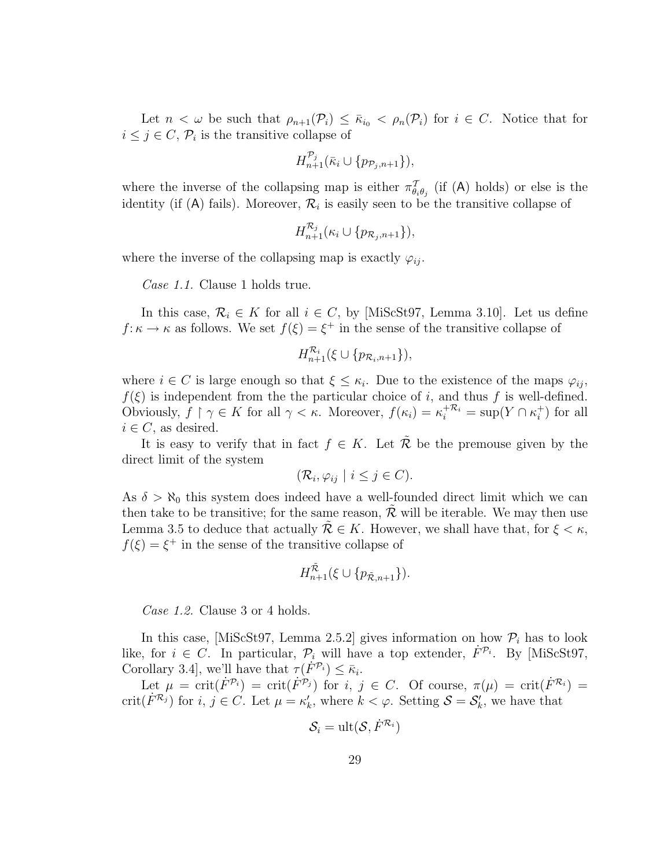Let  $n < \omega$  be such that  $\rho_{n+1}(\mathcal{P}_i) \leq \bar{\kappa}_{i_0} < \rho_n(\mathcal{P}_i)$  for  $i \in \mathbb{C}$ . Notice that for  $i \leq j \in C, \mathcal{P}_i$  is the transitive collapse of

$$
H_{n+1}^{\mathcal{P}_j}(\bar{\kappa}_i\cup\{p_{\mathcal{P}_j,n+1}\}),
$$

where the inverse of the collapsing map is either  $\pi^{\mathcal{T}}_{\theta_i\theta_j}$  (if (A) holds) or else is the identity (if (A) fails). Moreover,  $\mathcal{R}_i$  is easily seen to be the transitive collapse of

$$
H_{n+1}^{\mathcal{R}_j}(\kappa_i \cup \{p_{\mathcal{R}_j,n+1}\}),
$$

where the inverse of the collapsing map is exactly  $\varphi_{ij}$ .

Case 1.1. Clause 1 holds true.

In this case,  $\mathcal{R}_i \in K$  for all  $i \in C$ , by [MiScSt97, Lemma 3.10]. Let us define  $f: \kappa \to \kappa$  as follows. We set  $f(\xi) = \xi^+$  in the sense of the transitive collapse of

$$
H_{n+1}^{\mathcal{R}_i}(\xi \cup \{p_{\mathcal{R}_i,n+1}\}),
$$

where  $i \in C$  is large enough so that  $\xi \leq \kappa_i$ . Due to the existence of the maps  $\varphi_{ij}$ ,  $f(\xi)$  is independent from the the particular choice of i, and thus f is well-defined. Obviously,  $f \restriction \gamma \in K$  for all  $\gamma < \kappa$ . Moreover,  $f(\kappa_i) = \kappa_i^{+\mathcal{R}_i} = \sup(Y \cap \kappa_i^+)$  $i^{\dagger}$ ) for all  $i \in C$ , as desired.

It is easy to verify that in fact  $f \in K$ . Let R be the premouse given by the direct limit of the system

$$
(\mathcal{R}_i, \varphi_{ij} \mid i \leq j \in C).
$$

As  $\delta > \aleph_0$  this system does indeed have a well-founded direct limit which we can then take to be transitive; for the same reason,  $R$  will be iterable. We may then use Lemma 3.5 to deduce that actually  $\mathcal{R} \in K$ . However, we shall have that, for  $\xi < \kappa$ ,  $f(\xi) = \xi^+$  in the sense of the transitive collapse of

$$
H_{n+1}^{\tilde{\mathcal{R}}}(\xi\cup\{p_{\tilde{\mathcal{R}},n+1}\}).
$$

Case 1.2. Clause 3 or 4 holds.

In this case, [MiScSt97, Lemma 2.5.2] gives information on how  $P_i$  has to look like, for  $i \in C$ . In particular,  $\mathcal{P}_i$  will have a top extender,  $\dot{F}^{\mathcal{P}_i}$ . By [MiScSt97, Corollary 3.4, we'll have that  $\tau(F^{\mathcal{P}_i}) \leq \bar{\kappa}_i$ .

Let  $\mu = \text{crit}(\dot{F}^{\mathcal{P}_i}) = \text{crit}(\dot{F}^{\mathcal{P}_j})$  for  $i, j \in C$ . Of course,  $\pi(\mu) = \text{crit}(\dot{F}^{\mathcal{R}_i}) =$ crit( $\dot{F}^{\mathcal{R}_j}$ ) for  $i, j \in C$ . Let  $\mu = \kappa'_k$ , where  $k < \varphi$ . Setting  $\mathcal{S} = \mathcal{S}'_k$ , we have that

$$
\mathcal{S}_i = \text{ult}(\mathcal{S}, \dot{F}^{\mathcal{R}_i})
$$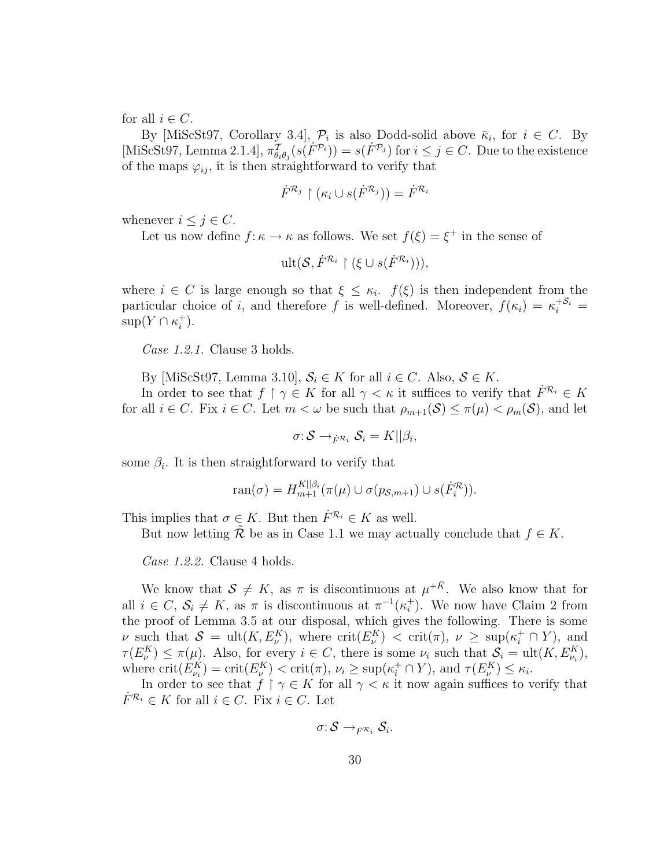for all  $i \in C$ .

By [MiScSt97, Corollary 3.4],  $\mathcal{P}_i$  is also Dodd-solid above  $\bar{\kappa}_i$ , for  $i \in C$ . By [MiScSt97, Lemma 2.1.4],  $\pi^T_{\theta_i\theta_j}(s(\vec{F}^{\mathcal{P}_i}))=s(\vec{F}^{\mathcal{P}_j})$  for  $i\leq j\in C$ . Due to the existence of the maps  $\varphi_{ij}$ , it is then straightforward to verify that

$$
\dot{F}^{\mathcal{R}_j} \restriction (\kappa_i \cup s(\dot{F}^{\mathcal{R}_j})) = \dot{F}^{\mathcal{R}_i}
$$

whenever  $i \leq j \in C$ .

Let us now define  $f: \kappa \to \kappa$  as follows. We set  $f(\xi) = \xi^+$  in the sense of

$$
\text{ult}(\mathcal{S}, \dot{F}^{\mathcal{R}_i} \upharpoonright (\xi \cup s(\dot{F}^{\mathcal{R}_i}))),
$$

where  $i \in C$  is large enough so that  $\xi \leq \kappa_i$ .  $f(\xi)$  is then independent from the particular choice of i, and therefore f is well-defined. Moreover,  $f(\kappa_i) = \kappa_i^{+S_i} =$  $\sup(Y \cap \kappa_i^+$  $\binom{+}{i}$ .

Case 1.2.1. Clause 3 holds.

By [MiScSt97, Lemma 3.10],  $S_i \in K$  for all  $i \in C$ . Also,  $S \in K$ .

In order to see that  $f \restriction \gamma \in K$  for all  $\gamma < \kappa$  it suffices to verify that  $F^{\mathcal{R}_i} \in K$ for all  $i \in C$ . Fix  $i \in C$ . Let  $m < \omega$  be such that  $\rho_{m+1}(S) \leq \pi(\mu) < \rho_m(S)$ , and let

 $\sigma: \mathcal{S} \rightarrow_{\dot{F}} \mathcal{R}_i \mathcal{S}_i = K || \beta_i,$ 

some  $\beta_i$ . It is then straightforward to verify that

$$
\operatorname{ran}(\sigma) = H_{m+1}^{K||\beta_i}(\pi(\mu) \cup \sigma(p_{\mathcal{S},m+1}) \cup s(\dot{F}_i^{\mathcal{R}})).
$$

This implies that  $\sigma \in K$ . But then  $\dot{F}^{\mathcal{R}_i} \in K$  as well.

But now letting  $\mathcal R$  be as in Case 1.1 we may actually conclude that  $f \in K$ .

Case 1.2.2. Clause 4 holds.

We know that  $S \neq K$ , as  $\pi$  is discontinuous at  $\mu^{+\bar{K}}$ . We also know that for all  $i \in C$ ,  $\mathcal{S}_i \neq K$ , as  $\pi$  is discontinuous at  $\pi^{-1}(\kappa_i^+)$  $i<sub>i</sub>$ ). We now have Claim 2 from the proof of Lemma 3.5 at our disposal, which gives the following. There is some v such that  $S = \text{ult}(K, E_{\nu}^{K})$ , where  $\text{crit}(E_{\nu}^{K}) < \text{crit}(\pi), \nu \geq \text{sup}(\kappa_{i}^{+} \cap Y)$ , and  $\tau(E_{\nu}^{K}) \leq \pi(\mu)$ . Also, for every  $i \in C$ , there is some  $\nu_{i}$  such that  $S_{i} = \text{ult}(K, E_{\nu_{i}}^{K})$ , where  $\text{crit}(E_{\nu_i}^K) = \text{crit}(E_{\nu}^K) < \text{crit}(\pi), \nu_i \ge \text{sup}(\kappa_i^+ \cap Y)$ , and  $\tau(E_{\nu}^K) \le \kappa_i$ .

In order to see that  $f \restriction \gamma \in K$  for all  $\gamma < \kappa$  it now again suffices to verify that  $\dot{F}^{\mathcal{R}_i} \in K$  for all  $i \in C$ . Fix  $i \in C$ . Let

$$
\sigma{:} \, {\mathcal S} \rightarrow_{\dot{F}} \nolimits_{{\mathcal R}_i} {\mathcal S}_i.
$$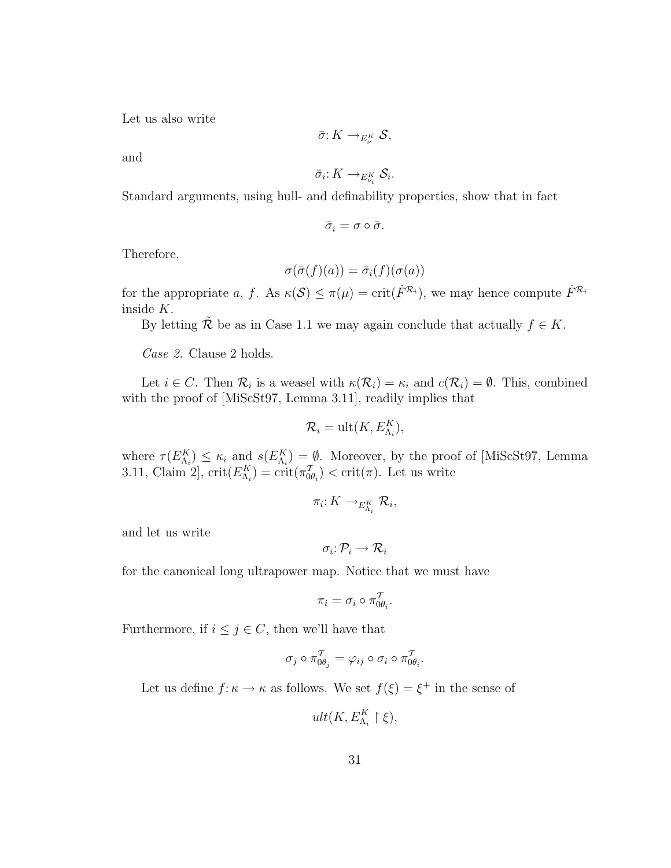Let us also write

$$
\bar{\sigma}: K \to_{E_{\nu}^K} S,
$$

and

$$
\bar{\sigma}_i: K \to_{E^K_{\nu_i}} \mathcal{S}_i.
$$

Standard arguments, using hull- and definability properties, show that in fact

$$
\bar{\sigma}_i=\sigma\circ\bar{\sigma}.
$$

Therefore,

$$
\sigma(\bar{\sigma}(f)(a)) = \bar{\sigma}_i(f)(\sigma(a))
$$

for the appropriate a, f. As  $\kappa(S) \leq \pi(\mu) = \text{crit}(\dot{F}^{\mathcal{R}_i})$ , we may hence compute  $\dot{F}^{\mathcal{R}_i}$ inside K.

By letting  $\tilde{\mathcal{R}}$  be as in Case 1.1 we may again conclude that actually  $f \in K$ .

Case 2. Clause 2 holds.

Let  $i \in C$ . Then  $\mathcal{R}_i$  is a weasel with  $\kappa(\mathcal{R}_i) = \kappa_i$  and  $c(\mathcal{R}_i) = \emptyset$ . This, combined with the proof of [MiScSt97, Lemma 3.11], readily implies that

$$
\mathcal{R}_i = \text{ult}(K, E_{\Lambda_i}^K),
$$

where  $\tau(E_{\Lambda_i}^K) \leq \kappa_i$  and  $s(E_{\Lambda_i}^K) = \emptyset$ . Moreover, by the proof of [MiScSt97, Lemma 3.11, Claim 2, crit $(E_{\Lambda_i}^K) = \text{crit}(\pi_{0\theta_i}^T) < \text{crit}(\pi)$ . Let us write

$$
\pi_i: K \to_{E_{\Lambda_i}^K} \mathcal{R}_i,
$$

and let us write

$$
\sigma_i\colon \mathcal{P}_i\to \mathcal{R}_i
$$

for the canonical long ultrapower map. Notice that we must have

$$
\pi_i = \sigma_i \circ \pi_{0\theta_i}^{\mathcal{T}}.
$$

Furthermore, if  $i \leq j \in C$ , then we'll have that

$$
\sigma_j \circ \pi_{0\theta_j}^T = \varphi_{ij} \circ \sigma_i \circ \pi_{0\theta_i}^T.
$$

Let us define  $f: \kappa \to \kappa$  as follows. We set  $f(\xi) = \xi^+$  in the sense of

$$
ult(K, E_{\Lambda_i}^K \restriction \xi),
$$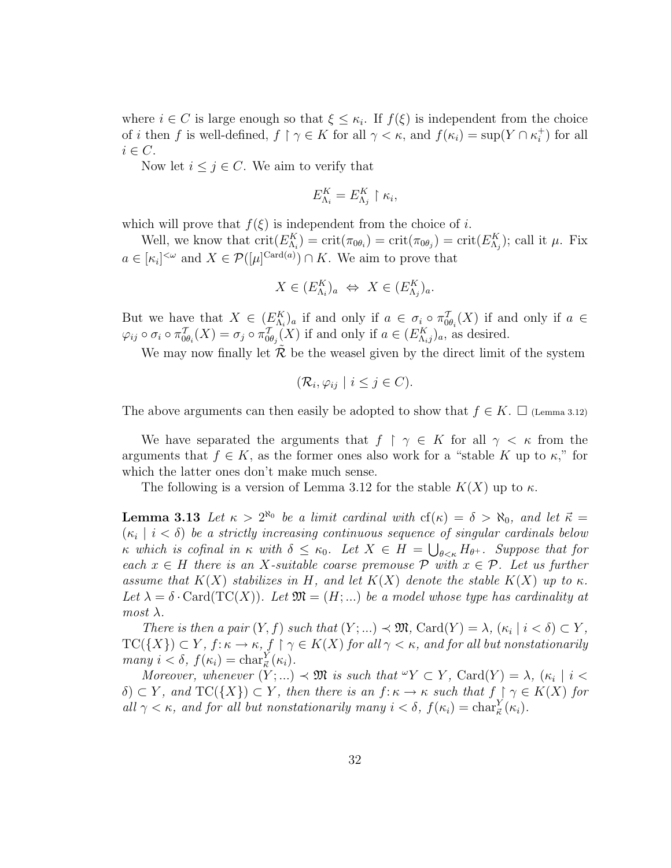where  $i \in C$  is large enough so that  $\xi \leq \kappa_i$ . If  $f(\xi)$  is independent from the choice of *i* then f is well-defined,  $f \restriction \gamma \in K$  for all  $\gamma < \kappa$ , and  $f(\kappa_i) = \sup(Y \cap \kappa_i^+$  $i^{\dagger}$ ) for all  $i \in C$ .

Now let  $i \leq j \in C$ . We aim to verify that

$$
E_{\Lambda_i}^K = E_{\Lambda_j}^K \restriction \kappa_i,
$$

which will prove that  $f(\xi)$  is independent from the choice of i.

Well, we know that  $\text{crit}(E_{\Lambda_i}^K) = \text{crit}(\pi_{0\theta_i}) = \text{crit}(\pi_{0\theta_j}) = \text{crit}(E_{\Lambda_j}^K)$ ; call it  $\mu$ . Fix  $a \in [\kappa_i]^{<\omega}$  and  $X \in \mathcal{P}([\mu]^{\mathrm{Card}(a)}) \cap K$ . We aim to prove that

$$
X \in (E_{\Lambda_i}^K)_a \Leftrightarrow X \in (E_{\Lambda_j}^K)_a.
$$

But we have that  $X \in (E_{\Lambda_i}^K)_a$  if and only if  $a \in \sigma_i \circ \pi_{0\theta_i}^T(X)$  if and only if  $a \in$  $\varphi_{ij} \circ \sigma_i \circ \pi_{0\theta_i}^T(X) = \sigma_j \circ \pi_{0\theta_j}^T(X)$  if and only if  $a \in (E_{\Lambda_{ij}}^K)_a$ , as desired.

We may now finally let  $R$  be the weasel given by the direct limit of the system

$$
(\mathcal{R}_i, \varphi_{ij} \mid i \leq j \in C).
$$

The above arguments can then easily be adopted to show that  $f \in K$ .  $\Box$  (Lemma 3.12)

We have separated the arguments that  $f \restriction \gamma \in K$  for all  $\gamma < \kappa$  from the arguments that  $f \in K$ , as the former ones also work for a "stable K up to  $\kappa$ ," for which the latter ones don't make much sense.

The following is a version of Lemma 3.12 for the stable  $K(X)$  up to  $\kappa$ .

**Lemma 3.13** Let  $\kappa > 2^{\aleph_0}$  be a limit cardinal with  $cf(\kappa) = \delta > \aleph_0$ , and let  $\vec{\kappa} =$  $(\kappa_i \mid i < \delta)$  be a strictly increasing continuous sequence of singular cardinals below κ which is cofinal in κ with  $\delta \leq \kappa_0$ . Let  $X \in H = \bigcup_{\theta \leq \kappa} H_{\theta^+}$ . Suppose that for each  $x \in H$  there is an X-suitable coarse premouse  $P$  with  $x \in P$ . Let us further assume that  $K(X)$  stabilizes in H, and let  $K(X)$  denote the stable  $K(X)$  up to  $\kappa$ . Let  $\lambda = \delta \cdot \text{Card}(\text{TC}(X))$ . Let  $\mathfrak{M} = (H; \dots)$  be a model whose type has cardinality at  $most \lambda$ .

There is then a pair  $(Y, f)$  such that  $(Y; ...) \prec \mathfrak{M}$ ,  $\text{Card}(Y) = \lambda$ ,  $(\kappa_i | i < \delta) \subset Y$ ,  $TC({X})\subset Y$ ,  $f: \kappa \to \kappa$ ,  $f \restriction \gamma \in K(X)$  for all  $\gamma < \kappa$ , and for all but nonstationarily many  $i < \delta$ ,  $f(\kappa_i) = \text{char}^Y_{\vec{\kappa}}(\kappa_i)$ .

Moreover, whenever  $(Y; ...) \prec \mathfrak{M}$  is such that  $\mathscr{C}Y \subset Y$ ,  $\text{Card}(Y) = \lambda$ ,  $(\kappa_i | i \leq$  $\delta$ )  $\subset Y$ , and  $TC({X}) \subset Y$ , then there is an  $f: \kappa \to \kappa$  such that  $f \restriction \gamma \in K(X)$  for all  $\gamma < \kappa$ , and for all but nonstationarily many  $i < \delta$ ,  $f(\kappa_i) = \text{char}_{\vec{\kappa}}^Y(\kappa_i)$ .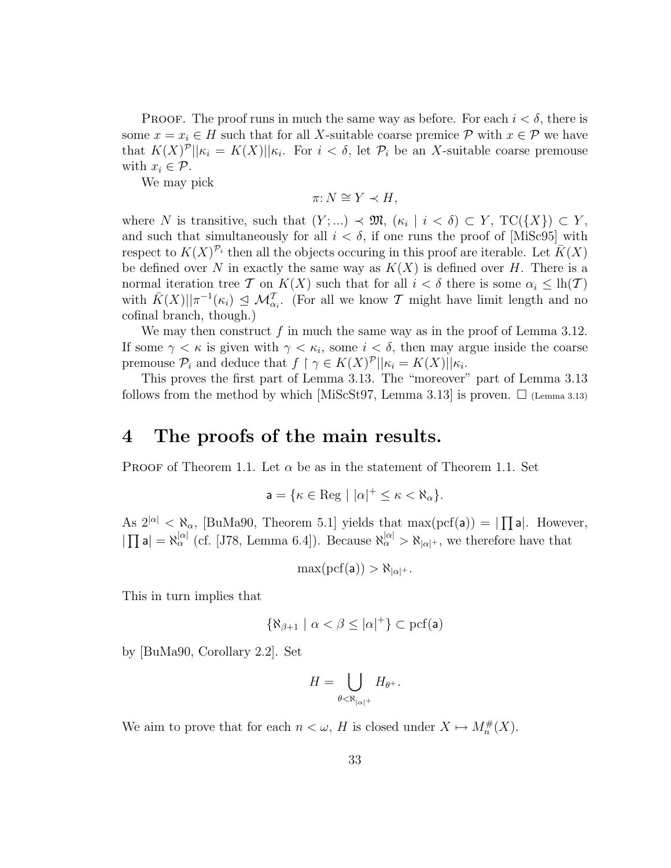**PROOF.** The proof runs in much the same way as before. For each  $i < \delta$ , there is some  $x = x_i \in H$  such that for all X-suitable coarse premice  $P$  with  $x \in P$  we have that  $K(X)^{\mathcal{P}}\vert_{\mathcal{K}_i} = K(X)\vert_{\mathcal{K}_i}$ . For  $i < \delta$ , let  $\mathcal{P}_i$  be an X-suitable coarse premouse with  $x_i \in \mathcal{P}$ .

We may pick

$$
\pi: N \cong Y \prec H,
$$

where N is transitive, such that  $(Y; ...) \prec \mathfrak{M}, (\kappa_i | i < \delta) \subset Y, \operatorname{TC}(\lbrace X \rbrace) \subset Y$ , and such that simultaneously for all  $i < \delta$ , if one runs the proof of [MiSc95] with respect to  $K(X)^{p_i}$  then all the objects occuring in this proof are iterable. Let  $\overline{K}(X)$ be defined over N in exactly the same way as  $K(X)$  is defined over H. There is a normal iteration tree T on  $K(X)$  such that for all  $i < \delta$  there is some  $\alpha_i \leq \text{lh}(T)$ with  $\bar{K}(X)||\pi^{-1}(\kappa_i) \leq \mathcal{M}_{\alpha_i}^{\mathcal{T}}$ . (For all we know T might have limit length and no cofinal branch, though.)

We may then construct  $f$  in much the same way as in the proof of Lemma 3.12. If some  $\gamma < \kappa$  is given with  $\gamma < \kappa_i$ , some  $i < \delta$ , then may argue inside the coarse premouse  $\mathcal{P}_i$  and deduce that  $f \restriction \gamma \in K(X)^{\mathcal{P}} \mid \mid \kappa_i = K(X) \mid \mid \kappa_i$ .

This proves the first part of Lemma 3.13. The "moreover" part of Lemma 3.13 follows from the method by which [MiScSt97, Lemma 3.13] is proven.  $\Box$  (Lemma 3.13)

#### 4 The proofs of the main results.

PROOF of Theorem 1.1. Let  $\alpha$  be as in the statement of Theorem 1.1. Set

$$
\mathsf{a} = \{\kappa \in \text{Reg} \mid |\alpha|^+ \leq \kappa < \aleph_\alpha\}.
$$

As  $2^{|\alpha|} < \aleph_{\alpha}$ , [BuMa90, Theorem 5.1] yields that max(pcf(a)) =  $\prod$ a|. However, | נט<br>דד  $|a| = \aleph_{\alpha}^{|\alpha|}$  (cf. [J78, Lemma 6.4]). Because  $\aleph_{\alpha}^{|\alpha|} > \aleph_{|\alpha|}$ , we therefore have that

$$
\max(\mathrm{pcf}(a))>\aleph_{|\alpha|^+}.
$$

This in turn implies that

$$
\{\aleph_{\beta+1} \mid \alpha < \beta \le |\alpha|^+\} \subset \mathrm{pcf}(a)
$$

by [BuMa90, Corollary 2.2]. Set

$$
H = \bigcup_{\theta < \aleph_{|\alpha|}+} H_{\theta^+}.
$$

We aim to prove that for each  $n < \omega$ , H is closed under  $X \mapsto M_n^{\#}(X)$ .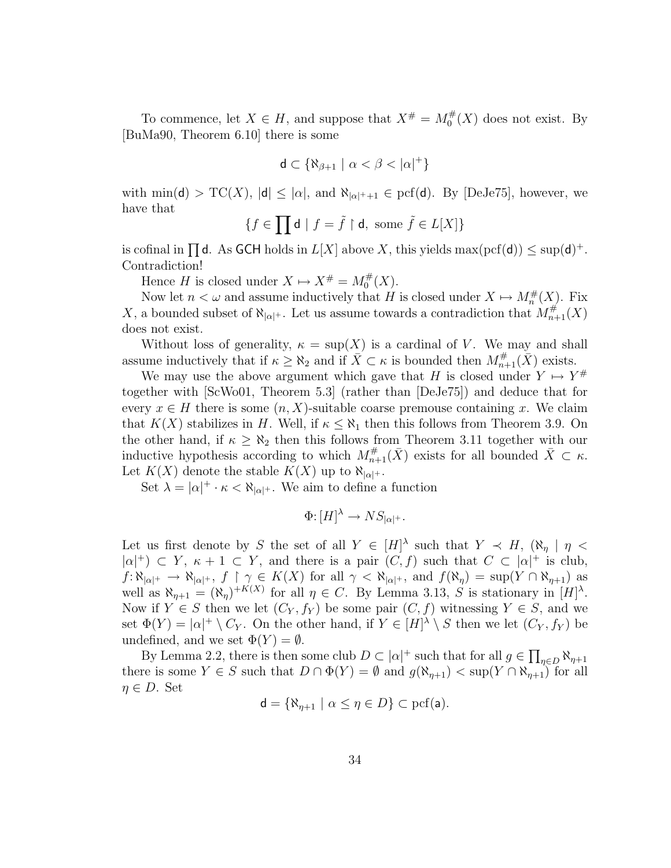To commence, let  $X \in H$ , and suppose that  $X^{\#} = M_0^{\#}$  $\int_0^{\#}(X)$  does not exist. By [BuMa90, Theorem 6.10] there is some

$$
\mathsf{d} \subset \{\aleph_{\beta+1} \mid \alpha < \beta < |\alpha|^+\}
$$

with  $\min(\mathsf{d}) > \mathrm{TC}(X)$ ,  $|\mathsf{d}| \leq |\alpha|$ , and  $\aleph_{|\alpha|+1} \in \mathrm{pcf}(\mathsf{d})$ . By [DeJe75], however, we have that

$$
\{f\in\prod\mathsf{d}\mid f=\tilde{f}\restriction\mathsf{d},\text{ some }\tilde{f}\in L[X]\}
$$

is cofinal in  $\prod d$ . As GCH holds in  $L[X]$  above X, this yields max(pcf(d))  $\leq$  sup(d)<sup>+</sup>. Contradiction!

Hence H is closed under  $X \mapsto X^{\#} = M_0^{\#}$  $_{0}^{\#}(X).$ 

Now let  $n < \omega$  and assume inductively that H is closed under  $X \mapsto M_n^{\#}(X)$ . Fix X, a bounded subset of  $\aleph_{|\alpha|}$ . Let us assume towards a contradiction that  $M_{n+1}^{\#}(X)$ does not exist.

Without loss of generality,  $\kappa = \sup(X)$  is a cardinal of V. We may and shall assume inductively that if  $\kappa \geq \aleph_2$  and if  $\overline{X} \subset \kappa$  is bounded then  $M^{\#}_{n+1}(\overline{X})$  exists.

We may use the above argument which gave that H is closed under  $Y \mapsto Y^{\#}$ together with [ScWo01, Theorem 5.3] (rather than [DeJe75]) and deduce that for every  $x \in H$  there is some  $(n, X)$ -suitable coarse premouse containing x. We claim that  $K(X)$  stabilizes in H. Well, if  $\kappa \leq \aleph_1$  then this follows from Theorem 3.9. On the other hand, if  $\kappa \geq \aleph_2$  then this follows from Theorem 3.11 together with our inductive hypothesis according to which  $M_{n+1}^{\#}(\bar{X})$  exists for all bounded  $\bar{X} \subset \kappa$ . Let  $K(X)$  denote the stable  $K(X)$  up to  $\aleph_{|\alpha|+}$ .

Set  $\lambda = |\alpha|^+ \cdot \kappa < \aleph_{|\alpha|^{+}}$ . We aim to define a function

$$
\Phi: [H]^{\lambda} \to NS_{|\alpha|^{+}}.
$$

Let us first denote by S the set of all  $Y \in [H]^{\lambda}$  such that  $Y \prec H$ ,  $(\aleph_{\eta} | \eta$  $|\alpha|^+$ )  $\subset Y$ ,  $\kappa + 1 \subset Y$ , and there is a pair  $(C, f)$  such that  $C \subset |\alpha|^+$  is club,  $f: \aleph_{|\alpha|} \to \aleph_{|\alpha|}$ ,  $f \upharpoonright \gamma \in K(X)$  for all  $\gamma < \aleph_{|\alpha|}$ , and  $f(\aleph_{\eta}) = \sup(Y \cap \aleph_{\eta+1})$  as well as  $\aleph_{\eta+1} = (\aleph_{\eta})^{+K(X)}$  for all  $\eta \in C$ . By Lemma 3.13, S is stationary in  $[H]^{\lambda}$ . Now if  $Y \in S$  then we let  $(C_Y, f_Y)$  be some pair  $(C, f)$  witnessing  $Y \in S$ , and we set  $\Phi(Y) = |\alpha|^+ \setminus C_Y$ . On the other hand, if  $Y \in [H]^{\lambda} \setminus S$  then we let  $(C_Y, f_Y)$  be undefined, and we set  $\Phi(Y) = \emptyset$ .

By Lemma 2.2, there is then some club  $D \subset |\alpha|^+$  such that for all  $g \in \prod$  $_{\eta \in D}$   $\aleph_{\eta+1}$ there is some  $Y \in S$  such that  $D \cap \Phi(Y) = \emptyset$  and  $g(\aleph_{\eta+1}) < \sup(Y \cap \aleph_{\eta+1})$  for all  $\eta \in D$ . Set

$$
\mathsf{d} = \{ \aleph_{\eta+1} \mid \alpha \leq \eta \in D \} \subset \text{pcf}(\mathsf{a}).
$$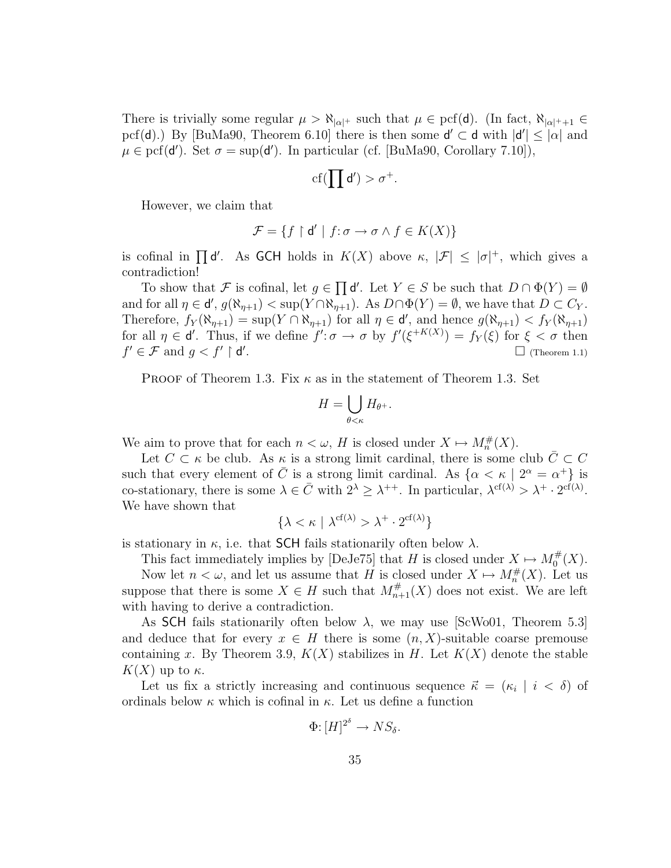There is trivially some regular  $\mu > \aleph_{|\alpha|}$  such that  $\mu \in \text{pcf}(\mathsf{d})$ . (In fact,  $\aleph_{|\alpha|}$ +<sub>+1</sub>  $\in$ pcf(d).) By [BuMa90, Theorem 6.10] there is then some  $d' \subset d$  with  $|d'| \leq |\alpha|$  and  $\mu \in \text{pcf}(d')$ . Set  $\sigma = \sup(d')$ . In particular (cf. [BuMa90, Corollary 7.10]),

$$
\mathrm{cf}(\prod d')>\sigma^+.
$$

However, we claim that

$$
\mathcal{F} = \{f \restriction \mathsf{d}' \mid f{:}\,\sigma \to \sigma \land f \in K(X)\}
$$

is cofinal in  $\prod d'$ . As GCH holds in  $K(X)$  above  $\kappa$ ,  $|\mathcal{F}| \leq |\sigma|^+$ , which gives a contradiction!  $\overline{a}$ 

To show that F is cofinal, let  $g \in$ d'. Let  $Y \in S$  be such that  $D \cap \Phi(Y) = \emptyset$ and for all  $\eta \in \mathsf{d}'$ ,  $g(\aleph_{\eta+1}) < \sup(Y \cap \aleph_{\eta+1})$ . As  $D \cap \Phi(Y) = \emptyset$ , we have that  $D \subset C_Y$ . Therefore,  $f_Y(\aleph_{\eta+1}) = \sup(Y \cap \aleph_{\eta+1})$  for all  $\eta \in \mathsf{d}'$ , and hence  $g(\aleph_{\eta+1}) < f_Y(\aleph_{\eta+1})$ for all  $\eta \in \mathsf{d}'$ . Thus, if we define  $f' : \sigma \to \sigma$  by  $f'(\xi^{+K(X)}) = f_Y(\xi)$  for  $\xi < \sigma$  then  $f' \in \mathcal{F}$  and  $g < f' \restriction \mathsf{d}'$  $\Box$  (Theorem 1.1)

PROOF of Theorem 1.3. Fix  $\kappa$  as in the statement of Theorem 1.3. Set

$$
H = \bigcup_{\theta < \kappa} H_{\theta^+}.
$$

We aim to prove that for each  $n < \omega$ , H is closed under  $X \mapsto M_n^{\#}(X)$ .

Let  $C \subset \kappa$  be club. As  $\kappa$  is a strong limit cardinal, there is some club  $\overline{C} \subset C$ such that every element of  $\overline{C}$  is a strong limit cardinal. As  $\{\alpha < \kappa \mid 2^{\alpha} = \alpha^+\}$  is co-stationary, there is some  $\lambda \in \overline{C}$  with  $2^{\lambda} \geq \lambda^{++}$ . In particular,  $\lambda^{\text{cf}(\lambda)} > \lambda^{+} \cdot 2^{\text{cf}(\lambda)}$ . We have shown that

$$
\{\lambda < \kappa \mid \lambda^{\text{cf}(\lambda)} > \lambda^+ \cdot 2^{\text{cf}(\lambda)}\}
$$

is stationary in  $\kappa$ , i.e. that **SCH** fails stationarily often below  $\lambda$ .

This fact immediately implies by [DeJe75] that H is closed under  $X \mapsto M_0^{\#}$  $_{0}^{\#}(X).$ 

Now let  $n < \omega$ , and let us assume that H is closed under  $X \mapsto M_n^{\#}(X)$ . Let us suppose that there is some  $X \in H$  such that  $M_{n+1}^{\#}(X)$  does not exist. We are left with having to derive a contradiction.

As SCH fails stationarily often below  $\lambda$ , we may use [ScWo01, Theorem 5.3] and deduce that for every  $x \in H$  there is some  $(n, X)$ -suitable coarse premouse containing x. By Theorem 3.9,  $K(X)$  stabilizes in H. Let  $K(X)$  denote the stable  $K(X)$  up to  $\kappa$ .

Let us fix a strictly increasing and continuous sequence  $\vec{\kappa} = (\kappa_i \mid i < \delta)$  of ordinals below  $\kappa$  which is cofinal in  $\kappa$ . Let us define a function

$$
\Phi \colon [H]^{2^{\delta}} \to NS_{\delta}.
$$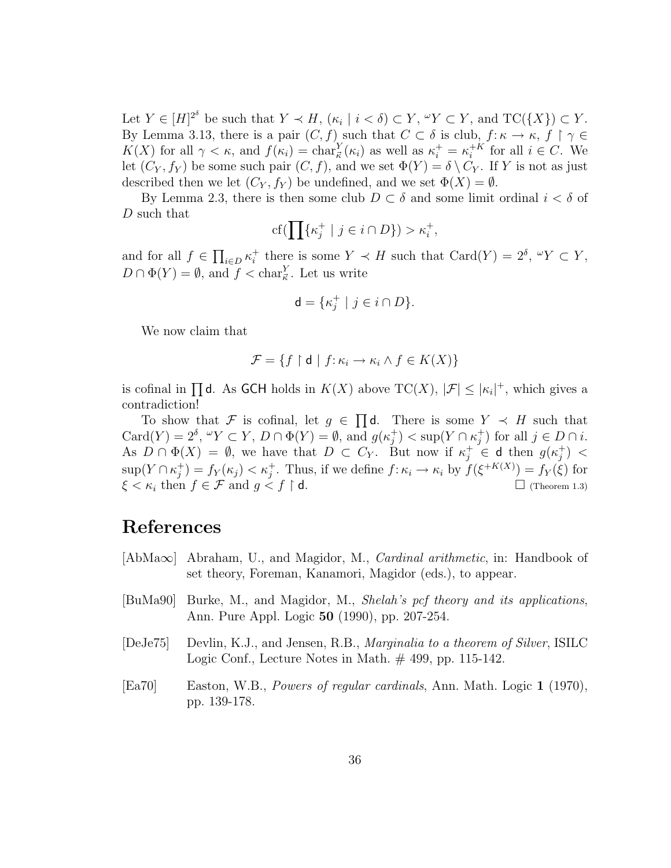Let  $Y \in [H]^{2^{\delta}}$  be such that  $Y \prec H$ ,  $(\kappa_i \mid i < \delta) \subset Y$ ,  $\text{``} Y \subset Y$ , and  $TC({X}) \subset Y$ . By Lemma 3.13, there is a pair  $(C, f)$  such that  $C \subset \delta$  is club,  $f: \kappa \to \kappa$ ,  $f \restriction \gamma \in$ K(X) for all  $\gamma < \kappa$ , and  $f(\kappa_i) = \text{char}_{\vec{\kappa}}^Y(\kappa_i)$  as well as  $\kappa_i^+ = \kappa_i^{+K}$  $i^{+K}$  for all  $i \in C$ . We let  $(C_Y, f_Y)$  be some such pair  $(C, f)$ , and we set  $\Phi(Y) = \delta \setminus C_Y$ . If Y is not as just described then we let  $(C_Y, f_Y)$  be undefined, and we set  $\Phi(X) = \emptyset$ .

By Lemma 2.3, there is then some club  $D \subset \delta$  and some limit ordinal  $i < \delta$  of D such that

$$
\mathrm{cf}(\prod\{\kappa_j^+ \mid j \in i \cap D\}) > \kappa_i^+,
$$

and for all  $f \in$  $\overline{a}$  $_{i\in D}\kappa_i^+$ <sup>+</sup> there is some  $Y \prec H$  such that  $Card(Y) = 2^{\delta}, \, {}^{\omega}Y \subset Y$ ,  $D \cap \Phi(Y) = \emptyset$ , and  $f < \text{char}_{\vec{\kappa}}^Y$ . Let us write

$$
\mathbf{d} = \{ \kappa_j^+ \mid j \in i \cap D \}.
$$

We now claim that

$$
\mathcal{F} = \{ f \restriction \mathsf{d} \mid f \colon \kappa_i \to \kappa_i \land f \in K(X) \}
$$

is cofinal in  $\prod$ d. As GCH holds in  $K(X)$  above  $TC(X)$ ,  $|\mathcal{F}| \leq |\kappa_i|^+$ , which gives a contradiction!  $\overline{a}$ 

To show that F is cofinal, let  $g \in$ d. There is some  $Y \prec H$  such that  $Card(Y)=2^{\delta}, \,^{\omega}Y\subset Y, \, D\cap \Phi(Y)=\emptyset, \, \text{and} \, g(\kappa_i^+$  $j^+$ ) < sup(Y  $\cap \kappa_j^+$  $j^{\dagger}$  for all  $j \in D \cap i$ . As  $D \cap \Phi(X) = \emptyset$ , we have that  $D \subset C_Y$ . But now if  $\kappa_j^+ \in \mathsf{d}$  then  $g(\kappa_j^+)$  $\binom{+}{j}$   $<$  $\sup(Y \cap \kappa_i^+$  $j_j^+$  =  $f_Y(\kappa_j) < \kappa_j^+$ . Thus, if we define  $f: \kappa_i \to \kappa_i$  by  $f(\xi^{+K(X)}) = f_Y(\xi)$  for  $\xi < \kappa_i$  then  $f \in \mathcal{F}$  and  $g \leq f \restriction d$ .  $\Box$  (Theorem 1.3)

# References

- [AbMa∞] Abraham, U., and Magidor, M., Cardinal arithmetic, in: Handbook of set theory, Foreman, Kanamori, Magidor (eds.), to appear.
- [BuMa90] Burke, M., and Magidor, M., Shelah's pcf theory and its applications, Ann. Pure Appl. Logic 50 (1990), pp. 207-254.
- [DeJe75] Devlin, K.J., and Jensen, R.B., Marginalia to a theorem of Silver, ISILC Logic Conf., Lecture Notes in Math. # 499, pp. 115-142.
- [Ea70] Easton, W.B., Powers of regular cardinals, Ann. Math. Logic 1 (1970), pp. 139-178.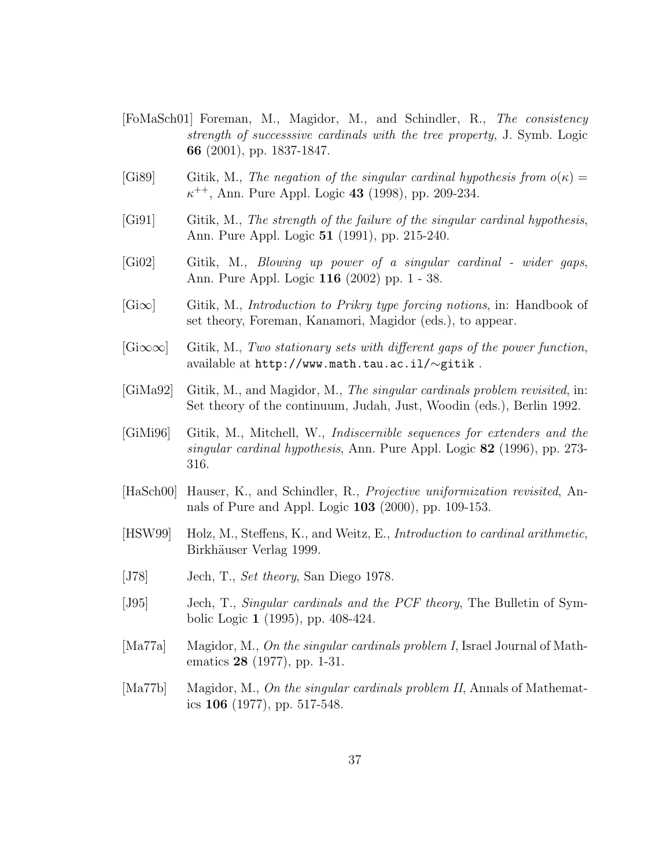- [FoMaSch01] Foreman, M., Magidor, M., and Schindler, R., The consistency strength of successsive cardinals with the tree property, J. Symb. Logic 66 (2001), pp. 1837-1847.
- [Gi89] Gitik, M., The negation of the singular cardinal hypothesis from  $o(\kappa) =$  $\kappa^{++}$ , Ann. Pure Appl. Logic 43 (1998), pp. 209-234.
- [Gi91] Gitik, M., The strength of the failure of the singular cardinal hypothesis, Ann. Pure Appl. Logic 51 (1991), pp. 215-240.
- [Gi02] Gitik, M., Blowing up power of a singular cardinal wider gaps, Ann. Pure Appl. Logic 116 (2002) pp. 1 - 38.
- $[G\infty]$  Gitik, M., *Introduction to Prikry type forcing notions*, in: Handbook of set theory, Foreman, Kanamori, Magidor (eds.), to appear.
- $[G\infty\infty]$  Gitik, M., Two stationary sets with different gaps of the power function, available at http://www.math.tau.ac.il/∼gitik .
- [GiMa92] Gitik, M., and Magidor, M., The singular cardinals problem revisited, in: Set theory of the continuum, Judah, Just, Woodin (eds.), Berlin 1992.
- [GiMi96] Gitik, M., Mitchell, W., Indiscernible sequences for extenders and the singular cardinal hypothesis, Ann. Pure Appl. Logic 82 (1996), pp. 273- 316.
- [HaSch00] Hauser, K., and Schindler, R., Projective uniformization revisited, Annals of Pure and Appl. Logic 103 (2000), pp. 109-153.
- [HSW99] Holz, M., Steffens, K., and Weitz, E., Introduction to cardinal arithmetic, Birkhäuser Verlag 1999.
- [J78] Jech, T., Set theory, San Diego 1978.
- [J95] Jech, T., Singular cardinals and the PCF theory, The Bulletin of Symbolic Logic 1 (1995), pp. 408-424.
- [Ma77a] Magidor, M., On the singular cardinals problem I, Israel Journal of Mathematics 28 (1977), pp. 1-31.
- [Ma77b] Magidor, M., On the singular cardinals problem II, Annals of Mathematics 106 (1977), pp. 517-548.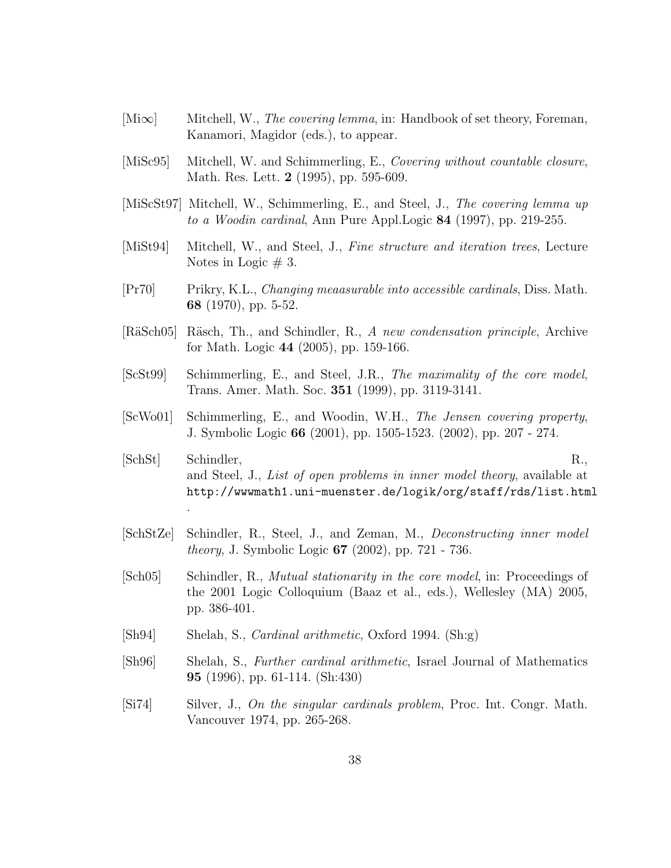- $[\text{Mix}]$  Mitchell, W., *The covering lemma*, in: Handbook of set theory, Foreman, Kanamori, Magidor (eds.), to appear.
- [MiSc95] Mitchell, W. and Schimmerling, E., Covering without countable closure, Math. Res. Lett. 2 (1995), pp. 595-609.
- [MiScSt97] Mitchell, W., Schimmerling, E., and Steel, J., The covering lemma up to a Woodin cardinal, Ann Pure Appl.Logic 84 (1997), pp. 219-255.
- [MiSt94] Mitchell, W., and Steel, J., Fine structure and iteration trees, Lecture Notes in Logic  $# 3$ .
- [Pr70] Prikry, K.L., Changing meaasurable into accessible cardinals, Diss. Math. 68 (1970), pp. 5-52.
- [RäSch05] Räsch, Th., and Schindler, R., A new condensation principle, Archive for Math. Logic 44 (2005), pp. 159-166.
- [ScSt99] Schimmerling, E., and Steel, J.R., The maximality of the core model, Trans. Amer. Math. Soc. 351 (1999), pp. 3119-3141.
- [ScWo01] Schimmerling, E., and Woodin, W.H., The Jensen covering property, J. Symbolic Logic 66 (2001), pp. 1505-1523. (2002), pp. 207 - 274.
- [SchSt] Schindler, R., and Steel, J., List of open problems in inner model theory, available at http://wwwmath1.uni-muenster.de/logik/org/staff/rds/list.html
- [SchStZe] Schindler, R., Steel, J., and Zeman, M., Deconstructing inner model theory, J. Symbolic Logic 67 (2002), pp. 721 - 736.
- [Sch05] Schindler, R., Mutual stationarity in the core model, in: Proceedings of the 2001 Logic Colloquium (Baaz et al., eds.), Wellesley (MA) 2005, pp. 386-401.
- [Sh94] Shelah, S., Cardinal arithmetic, Oxford 1994. (Sh:g)

.

- [Sh96] Shelah, S., Further cardinal arithmetic, Israel Journal of Mathematics 95 (1996), pp. 61-114. (Sh:430)
- [Si74] Silver, J., On the singular cardinals problem, Proc. Int. Congr. Math. Vancouver 1974, pp. 265-268.